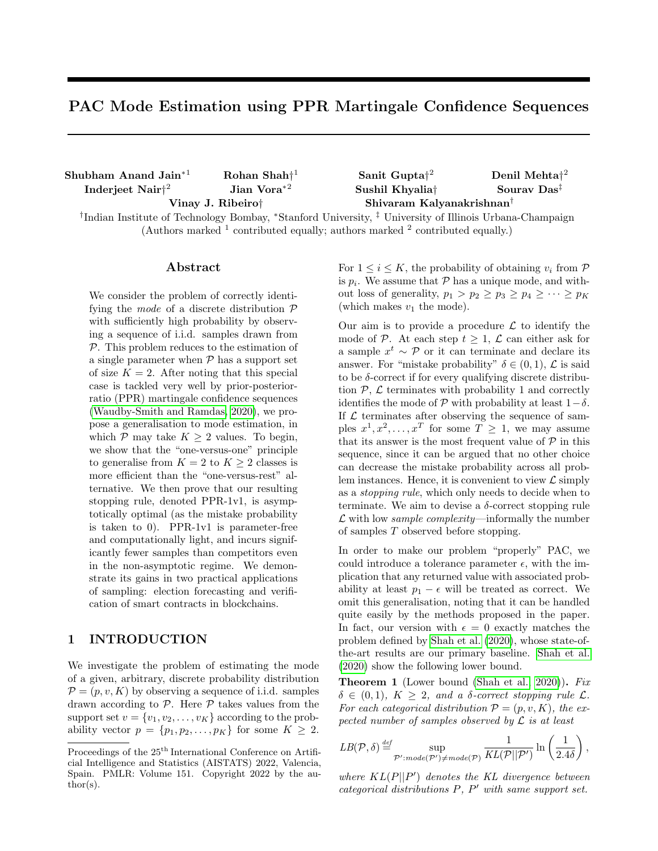# PAC Mode Estimation using PPR Martingale Confidence Sequences

| $Shubham$ Anand Jain <sup>*1</sup>                                                                                             | Rohan Shah <sup><math>+1</math></sup> | Sanit Gupta <sup><math>2</math></sup> | Denil Mehta <sup><math>2</math></sup>       |  |
|--------------------------------------------------------------------------------------------------------------------------------|---------------------------------------|---------------------------------------|---------------------------------------------|--|
| Inderjeet Nair $\ddagger^2$                                                                                                    | Jian Vora $*^2$                       | Sushil Khyalia <sup>†</sup>           | Sourav Das <sup><math>\ddagger</math></sup> |  |
| Vinay J. Ribeiro†                                                                                                              |                                       | Shivaram Kalyanakrishnan <sup>†</sup> |                                             |  |
| <sup>†</sup> Indian Institute of Technology Bombay, *Stanford University, <sup>‡</sup> University of Illinois Urbana-Champaign |                                       |                                       |                                             |  |
| (Authors marked $^1$ contributed equally; authors marked $^2$ contributed equally.)                                            |                                       |                                       |                                             |  |

### Abstract

We consider the problem of correctly identifying the *mode* of a discrete distribution  $\mathcal{P}$ with sufficiently high probability by observing a sequence of i.i.d. samples drawn from P. This problem reduces to the estimation of a single parameter when  $P$  has a support set of size  $K = 2$ . After noting that this special case is tackled very well by prior-posteriorratio (PPR) martingale confidence sequences [\(Waudby-Smith and Ramdas, 2020\)](#page-10-0), we propose a generalisation to mode estimation, in which  $P$  may take  $K \geq 2$  values. To begin, we show that the "one-versus-one" principle to generalise from  $K = 2$  to  $K \geq 2$  classes is more efficient than the "one-versus-rest" alternative. We then prove that our resulting stopping rule, denoted PPR-1v1, is asymptotically optimal (as the mistake probability is taken to 0). PPR-1v1 is parameter-free and computationally light, and incurs significantly fewer samples than competitors even in the non-asymptotic regime. We demonstrate its gains in two practical applications of sampling: election forecasting and verification of smart contracts in blockchains.

# 1 INTRODUCTION

We investigate the problem of estimating the mode of a given, arbitrary, discrete probability distribution  $\mathcal{P} = (p, v, K)$  by observing a sequence of i.i.d. samples drawn according to  $P$ . Here  $P$  takes values from the support set  $v = \{v_1, v_2, \ldots, v_K\}$  according to the probability vector  $p = \{p_1, p_2, \ldots, p_K\}$  for some  $K \geq 2$ . For  $1 \leq i \leq K$ , the probability of obtaining  $v_i$  from  $\mathcal P$ is  $p_i$ . We assume that  $P$  has a unique mode, and without loss of generality,  $p_1 > p_2 \geq p_3 \geq p_4 \geq \cdots \geq p_K$ (which makes  $v_1$  the mode).

Our aim is to provide a procedure  $\mathcal L$  to identify the mode of P. At each step  $t \geq 1$ ,  $\mathcal{L}$  can either ask for a sample  $x^t \sim \mathcal{P}$  or it can terminate and declare its answer. For "mistake probability"  $\delta \in (0,1)$ ,  $\mathcal L$  is said to be  $\delta$ -correct if for every qualifying discrete distribution  $P$ ,  $\mathcal L$  terminates with probability 1 and correctly identifies the mode of  $\mathcal P$  with probability at least  $1-\delta$ . If  $\mathcal L$  terminates after observing the sequence of samples  $x^1, x^2, \ldots, x^T$  for some  $T \geq 1$ , we may assume that its answer is the most frequent value of  $P$  in this sequence, since it can be argued that no other choice can decrease the mistake probability across all problem instances. Hence, it is convenient to view  $\mathcal L$  simply as a stopping rule, which only needs to decide when to terminate. We aim to devise a  $\delta$ -correct stopping rule  $\mathcal L$  with low *sample complexity*—informally the number of samples T observed before stopping.

In order to make our problem "properly" PAC, we could introduce a tolerance parameter  $\epsilon$ , with the implication that any returned value with associated probability at least  $p_1 - \epsilon$  will be treated as correct. We omit this generalisation, noting that it can be handled quite easily by the methods proposed in the paper. In fact, our version with  $\epsilon = 0$  exactly matches the problem defined by [Shah et al. \(2020\)](#page-9-0), whose state-ofthe-art results are our primary baseline. [Shah et al.](#page-9-0) [\(2020\)](#page-9-0) show the following lower bound.

<span id="page-0-0"></span>**Theorem 1** (Lower bound [\(Shah et al., 2020\)](#page-9-0)). Fix  $\delta \in (0,1), K \geq 2$ , and a  $\delta$ -correct stopping rule  $\mathcal{L}$ . For each categorical distribution  $\mathcal{P} = (p, v, K)$ , the expected number of samples observed by  $\mathcal L$  is at least

$$
LB(\mathcal{P}, \delta) \stackrel{def}{=} \sup_{\mathcal{P}': mode(\mathcal{P}') \neq mode(\mathcal{P})} \frac{1}{KL(\mathcal{P}||\mathcal{P}')} \ln\left(\frac{1}{2.4\delta}\right),
$$

where  $KL(P||P')$  denotes the KL divergence between categorical distributions  $P$ ,  $P'$  with same support set.

Proceedings of the  $25<sup>th</sup>$  International Conference on Artificial Intelligence and Statistics (AISTATS) 2022, Valencia, Spain. PMLR: Volume 151. Copyright 2022 by the author(s).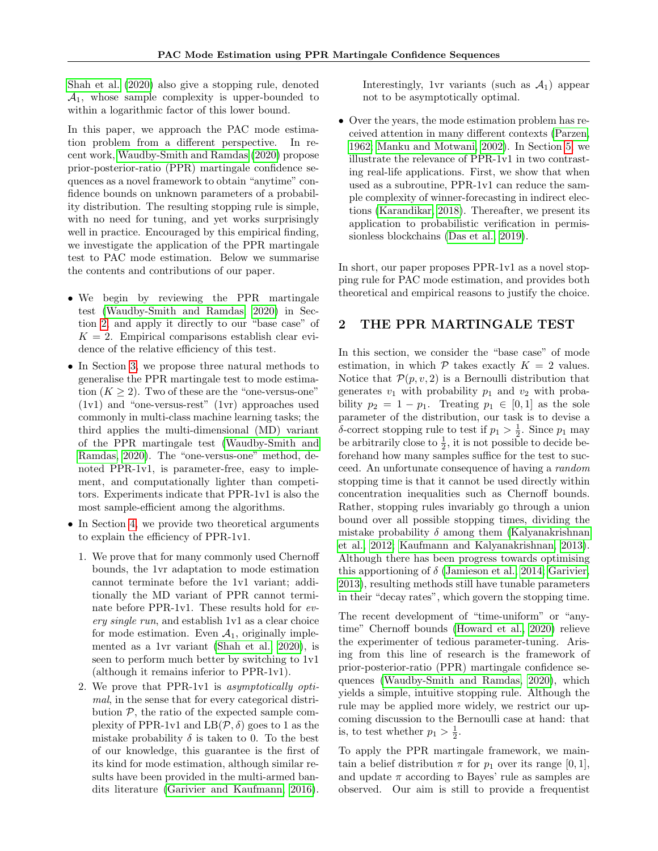[Shah et al. \(2020\)](#page-9-0) also give a stopping rule, denoted  $A_1$ , whose sample complexity is upper-bounded to within a logarithmic factor of this lower bound.

In this paper, we approach the PAC mode estimation problem from a different perspective. In recent work, [Waudby-Smith and Ramdas \(2020\)](#page-10-0) propose prior-posterior-ratio (PPR) martingale confidence sequences as a novel framework to obtain "anytime" confidence bounds on unknown parameters of a probability distribution. The resulting stopping rule is simple, with no need for tuning, and yet works surprisingly well in practice. Encouraged by this empirical finding, we investigate the application of the PPR martingale test to PAC mode estimation. Below we summarise the contents and contributions of our paper.

- We begin by reviewing the PPR martingale test [\(Waudby-Smith and Ramdas, 2020\)](#page-10-0) in Section [2,](#page-1-0) and apply it directly to our "base case" of  $K = 2$ . Empirical comparisons establish clear evidence of the relative efficiency of this test.
- In Section [3,](#page-3-0) we propose three natural methods to generalise the PPR martingale test to mode estimation  $(K > 2)$ . Two of these are the "one-versus-one" (1v1) and "one-versus-rest" (1vr) approaches used commonly in multi-class machine learning tasks; the third applies the multi-dimensional (MD) variant of the PPR martingale test [\(Waudby-Smith and](#page-10-0) [Ramdas, 2020\)](#page-10-0). The "one-versus-one" method, denoted PPR-1v1, is parameter-free, easy to implement, and computationally lighter than competitors. Experiments indicate that PPR-1v1 is also the most sample-efficient among the algorithms.
- In Section [4,](#page-4-0) we provide two theoretical arguments to explain the efficiency of PPR-1v1.
	- 1. We prove that for many commonly used Chernoff bounds, the 1vr adaptation to mode estimation cannot terminate before the 1v1 variant; additionally the MD variant of PPR cannot terminate before PPR-1v1. These results hold for every single run, and establish 1v1 as a clear choice for mode estimation. Even  $A_1$ , originally implemented as a 1vr variant [\(Shah et al., 2020\)](#page-9-0), is seen to perform much better by switching to 1v1 (although it remains inferior to PPR-1v1).
	- 2. We prove that PPR-1v1 is asymptotically optimal, in the sense that for every categorical distribution  $P$ , the ratio of the expected sample complexity of PPR-1v1 and  $LB(\mathcal{P}, \delta)$  goes to 1 as the mistake probability  $\delta$  is taken to 0. To the best of our knowledge, this guarantee is the first of its kind for mode estimation, although similar results have been provided in the multi-armed bandits literature [\(Garivier and Kaufmann, 2016\)](#page-9-1).

Interestingly, 1vr variants (such as  $\mathcal{A}_1$ ) appear not to be asymptotically optimal.

• Over the years, the mode estimation problem has received attention in many different contexts [\(Parzen,](#page-9-2) [1962;](#page-9-2) [Manku and Motwani, 2002\)](#page-9-3). In Section [5,](#page-6-0) we illustrate the relevance of PPR-1v1 in two contrasting real-life applications. First, we show that when used as a subroutine, PPR-1v1 can reduce the sample complexity of winner-forecasting in indirect elections [\(Karandikar, 2018\)](#page-9-4). Thereafter, we present its application to probabilistic verification in permissionless blockchains [\(Das et al., 2019\)](#page-9-5).

In short, our paper proposes PPR-1v1 as a novel stopping rule for PAC mode estimation, and provides both theoretical and empirical reasons to justify the choice.

# <span id="page-1-0"></span>2 THE PPR MARTINGALE TEST

In this section, we consider the "base case" of mode estimation, in which  $P$  takes exactly  $K = 2$  values. Notice that  $\mathcal{P}(p, v, 2)$  is a Bernoulli distribution that generates  $v_1$  with probability  $p_1$  and  $v_2$  with probability  $p_2 = 1 - p_1$ . Treating  $p_1 \in [0, 1]$  as the sole parameter of the distribution, our task is to devise a δ-correct stopping rule to test if  $p_1 > \frac{1}{2}$ . Since  $p_1$  may be arbitrarily close to  $\frac{1}{2}$ , it is not possible to decide beforehand how many samples suffice for the test to succeed. An unfortunate consequence of having a random stopping time is that it cannot be used directly within concentration inequalities such as Chernoff bounds. Rather, stopping rules invariably go through a union bound over all possible stopping times, dividing the mistake probability  $\delta$  among them [\(Kalyanakrishnan](#page-9-6) [et al., 2012;](#page-9-6) [Kaufmann and Kalyanakrishnan, 2013\)](#page-9-7). Although there has been progress towards optimising this apportioning of  $\delta$  [\(Jamieson et al., 2014;](#page-9-8) [Garivier,](#page-9-9) [2013\)](#page-9-9), resulting methods still have tunable parameters in their "decay rates", which govern the stopping time.

The recent development of "time-uniform" or "anytime" Chernoff bounds [\(Howard et al., 2020\)](#page-9-10) relieve the experimenter of tedious parameter-tuning. Arising from this line of research is the framework of prior-posterior-ratio (PPR) martingale confidence sequences [\(Waudby-Smith and Ramdas, 2020\)](#page-10-0), which yields a simple, intuitive stopping rule. Although the rule may be applied more widely, we restrict our upcoming discussion to the Bernoulli case at hand: that is, to test whether  $p_1 > \frac{1}{2}$ .

To apply the PPR martingale framework, we maintain a belief distribution  $\pi$  for  $p_1$  over its range [0, 1], and update  $\pi$  according to Bayes' rule as samples are observed. Our aim is still to provide a frequentist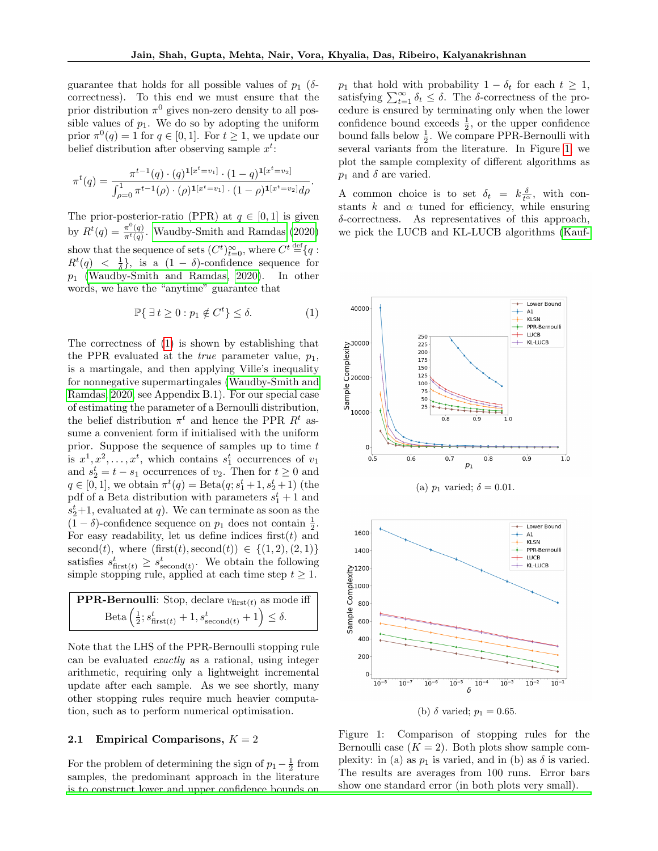guarantee that holds for all possible values of  $p_1$  ( $\delta$ correctness). To this end we must ensure that the prior distribution  $\pi^0$  gives non-zero density to all possible values of  $p_1$ . We do so by adopting the uniform prior  $\pi^0(q) = 1$  for  $q \in [0, 1]$ . For  $t \geq 1$ , we update our belief distribution after observing sample  $x^t$ :

$$
\pi^t(q) = \frac{\pi^{t-1}(q) \cdot (q)^{\mathbf{1}[x^t = v_1]} \cdot (1-q)^{\mathbf{1}[x^t = v_2]}}{\int_{\rho=0}^1 \pi^{t-1}(\rho) \cdot (\rho)^{\mathbf{1}[x^t = v_1]} \cdot (1-\rho)^{\mathbf{1}[x^t = v_2]} d\rho}.
$$

The prior-posterior-ratio (PPR) at  $q \in [0,1]$  is given by  $R^t(q) = \frac{\pi^0(q)}{\pi^t(q)}$ . [Waudby-Smith and Ramdas \(2020\)](#page-10-0) show that the sequence of sets  $(C^t)_{t=0}^{\infty}$ , where  $C^t \stackrel{\text{def}}{=} \{q:$  $R^t(q) < \frac{1}{\delta}$ , is a  $(1 - \delta)$ -confidence sequence for  $p_1$  [\(Waudby-Smith and Ramdas, 2020\)](#page-10-0). In other words, we have the "anytime" guarantee that

<span id="page-2-0"></span>
$$
\mathbb{P}\{\exists t \ge 0 : p_1 \notin C^t\} \le \delta. \tag{1}
$$

The correctness of [\(1\)](#page-2-0) is shown by establishing that the PPR evaluated at the *true* parameter value,  $p_1$ , is a martingale, and then applying Ville's inequality for nonnegative supermartingales [\(Waudby-Smith and](#page-10-0) [Ramdas, 2020,](#page-10-0) see Appendix B.1). For our special case of estimating the parameter of a Bernoulli distribution, the belief distribution  $\pi^t$  and hence the PPR  $R^t$  assume a convenient form if initialised with the uniform prior. Suppose the sequence of samples up to time  $t$ is  $x^1, x^2, \ldots, x^t$ , which contains  $s_1^t$  occurrences of  $v_1$ and  $s_2^t = t - s_1$  occurrences of  $v_2$ . Then for  $t \ge 0$  and  $q \in [0, 1]$ , we obtain  $\pi^t(q) = \text{Beta}(q; s_1^t + 1, s_2^t + 1)$  (the pdf of a Beta distribution with parameters  $s_1^t + 1$  and  $s_2^t$ +1, evaluated at q). We can terminate as soon as the  $(1 - \delta)$ -confidence sequence on  $p_1$  does not contain  $\frac{1}{2}$ . For easy readability, let us define indices first $(t)$  and second(t), where  $(first(t), second(t)) \in \{(1,2), (2, 1)\}\$ satisfies  $s_{\text{first}(t)}^t \geq s_{\text{second}(t)}^t$ . We obtain the following simple stopping rule, applied at each time step  $t \geq 1$ .

**PPR-Bernoulli:** Stop, declare 
$$
v_{\text{first}(t)}
$$
 as mode iff  
\nBeta  $\left(\frac{1}{2}; s_{\text{first}(t)}^t + 1, s_{\text{second}(t)}^t + 1\right) \le \delta$ .

Note that the LHS of the PPR-Bernoulli stopping rule can be evaluated exactly as a rational, using integer arithmetic, requiring only a lightweight incremental update after each sample. As we see shortly, many other stopping rules require much heavier computation, such as to perform numerical optimisation.

#### 2.1 Empirical Comparisons,  $K = 2$

For the problem of determining the sign of  $p_1 - \frac{1}{2}$  from samples, the predominant approach in the literature [is to construct lower and upper confidence bounds on](#page-9-7)  $p_1$  that hold with probability  $1 - \delta_t$  for each  $t \geq 1$ , satisfying  $\sum_{t=1}^{\infty} \delta_t \leq \delta$ . The  $\delta$ -correctness of the procedure is ensured by terminating only when the lower confidence bound exceeds  $\frac{1}{2}$ , or the upper confidence bound falls below  $\frac{1}{2}$ . We compare PPR-Bernoulli with several variants from the literature. In Figure [1,](#page-2-1) we plot the sample complexity of different algorithms as  $p_1$  and  $\delta$  are varied.

A common choice is to set  $\delta_t = k \frac{\delta}{t^{\alpha}}$ , with constants  $k$  and  $\alpha$  tuned for efficiency, while ensuring δ-correctness. As representatives of this approach, we pick the LUCB and KL-LUCB algorithms [\(Kauf-](#page-9-7)

<span id="page-2-1"></span>

Figure 1: Comparison of stopping rules for the Bernoulli case  $(K = 2)$ . Both plots show sample complexity: in (a) as  $p_1$  is varied, and in (b) as  $\delta$  is varied. The results are averages from 100 runs. Error bars show one standard error (in both plots very small).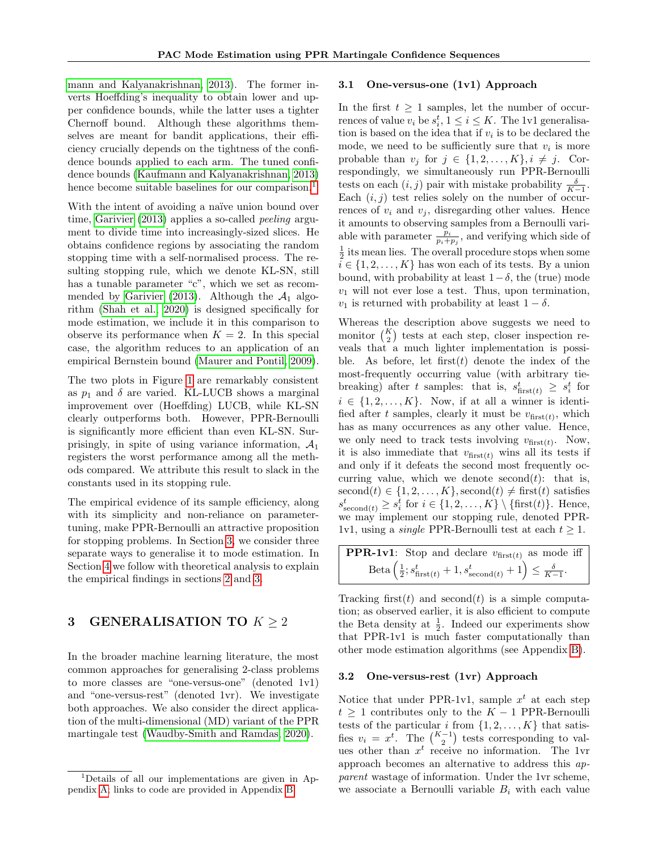[mann and Kalyanakrishnan, 2013\)](#page-9-7). The former inverts Hoeffding's inequality to obtain lower and upper confidence bounds, while the latter uses a tighter Chernoff bound. Although these algorithms themselves are meant for bandit applications, their efficiency crucially depends on the tightness of the confidence bounds applied to each arm. The tuned confidence bounds [\(Kaufmann and Kalyanakrishnan, 2013\)](#page-9-7) hence become suitable baselines for our comparison.<sup>[1](#page-3-1)</sup>

With the intent of avoiding a naïve union bound over time, [Garivier \(2013\)](#page-9-9) applies a so-called *peeling* argument to divide time into increasingly-sized slices. He obtains confidence regions by associating the random stopping time with a self-normalised process. The resulting stopping rule, which we denote KL-SN, still has a tunable parameter "c", which we set as recom-mended by [Garivier \(2013\)](#page-9-9). Although the  $A_1$  algorithm [\(Shah et al., 2020\)](#page-9-0) is designed specifically for mode estimation, we include it in this comparison to observe its performance when  $K = 2$ . In this special case, the algorithm reduces to an application of an empirical Bernstein bound [\(Maurer and Pontil, 2009\)](#page-9-11).

The two plots in Figure [1](#page-2-1) are remarkably consistent as  $p_1$  and  $\delta$  are varied. KL-LUCB shows a marginal improvement over (Hoeffding) LUCB, while KL-SN clearly outperforms both. However, PPR-Bernoulli is significantly more efficient than even KL-SN. Surprisingly, in spite of using variance information,  $A_1$ registers the worst performance among all the methods compared. We attribute this result to slack in the constants used in its stopping rule.

The empirical evidence of its sample efficiency, along with its simplicity and non-reliance on parametertuning, make PPR-Bernoulli an attractive proposition for stopping problems. In Section [3,](#page-3-0) we consider three separate ways to generalise it to mode estimation. In Section [4](#page-4-0) we follow with theoretical analysis to explain the empirical findings in sections [2](#page-1-0) and [3.](#page-3-0)

# <span id="page-3-0"></span>3 GENERALISATION TO  $K \geq 2$

In the broader machine learning literature, the most common approaches for generalising 2-class problems to more classes are "one-versus-one" (denoted 1v1) and "one-versus-rest" (denoted 1vr). We investigate both approaches. We also consider the direct application of the multi-dimensional (MD) variant of the PPR martingale test [\(Waudby-Smith and Ramdas, 2020\)](#page-10-0).

#### 3.1 One-versus-one (1v1) Approach

In the first  $t \geq 1$  samples, let the number of occurrences of value  $v_i$  be  $s_i^t$ ,  $1 \le i \le K$ . The 1v1 generalisation is based on the idea that if  $v_i$  is to be declared the mode, we need to be sufficiently sure that  $v_i$  is more probable than  $v_j$  for  $j \in \{1, 2, ..., K\}, i \neq j$ . Correspondingly, we simultaneously run PPR-Bernoulli tests on each  $(i, j)$  pair with mistake probability  $\frac{\delta}{K-1}$ . Each  $(i, j)$  test relies solely on the number of occurrences of  $v_i$  and  $v_j$ , disregarding other values. Hence it amounts to observing samples from a Bernoulli variable with parameter  $\frac{\bar{p}_i}{p_i+p_j}$ , and verifying which side of  $\frac{1}{2}$  its mean lies. The overall procedure stops when some  $i \in \{1, 2, \ldots, K\}$  has won each of its tests. By a union bound, with probability at least  $1-\delta$ , the (true) mode  $v_1$  will not ever lose a test. Thus, upon termination,  $v_1$  is returned with probability at least  $1 - \delta$ .

Whereas the description above suggests we need to monitor  $\binom{K}{2}$  tests at each step, closer inspection reveals that a much lighter implementation is possible. As before, let first $(t)$  denote the index of the most-frequently occurring value (with arbitrary tiebreaking) after t samples: that is,  $s_{\text{first}(t)}^t \geq s_i^t$  for  $i \in \{1, 2, \ldots, K\}$ . Now, if at all a winner is identified after t samples, clearly it must be  $v_{\text{first}(t)}$ , which has as many occurrences as any other value. Hence, we only need to track tests involving  $v_{\text{first}(t)}$ . Now, it is also immediate that  $v_{\text{first}(t)}$  wins all its tests if and only if it defeats the second most frequently occurring value, which we denote  $second(t)$ : that is,  $\operatorname{second}(t) \in \{1, 2, \ldots, K\}$ ,  $\operatorname{second}(t) \neq \operatorname{first}(t)$  satisfies  $s_{\text{second}(t)}^t \geq s_i^t$  for  $i \in \{1, 2, ..., K\} \setminus \{\text{first}(t)\}.$  Hence, we may implement our stopping rule, denoted PPR-1v1, using a *single* PPR-Bernoulli test at each  $t \geq 1$ .

**PPR-1v1:** Stop and declare 
$$
v_{\text{first}(t)}
$$
 as mode iff  
\nBeta  $\left(\frac{1}{2}; s_{\text{first}(t)}^t + 1, s_{\text{second}(t)}^t + 1\right) \le \frac{\delta}{K-1}$ .

Tracking first(t) and second(t) is a simple computation; as observed earlier, it is also efficient to compute the Beta density at  $\frac{1}{2}$ . Indeed our experiments show that PPR-1v1 is much faster computationally than other mode estimation algorithms (see Appendix [B\)](#page-12-0).

#### 3.2 One-versus-rest (1vr) Approach

Notice that under PPR-1v1, sample  $x^t$  at each step  $t \geq 1$  contributes only to the  $K - 1$  PPR-Bernoulli tests of the particular i from  $\{1, 2, \ldots, K\}$  that satisfies  $v_i = x^i$ . The  $\binom{K-1}{2}$  tests corresponding to values other than  $x^t$  receive no information. The 1vr approach becomes an alternative to address this apparent wastage of information. Under the 1vr scheme, we associate a Bernoulli variable  $B_i$  with each value

<span id="page-3-1"></span><sup>1</sup>Details of all our implementations are given in Appendix [A;](#page-11-0) links to code are provided in Appendix [B.](#page-12-0)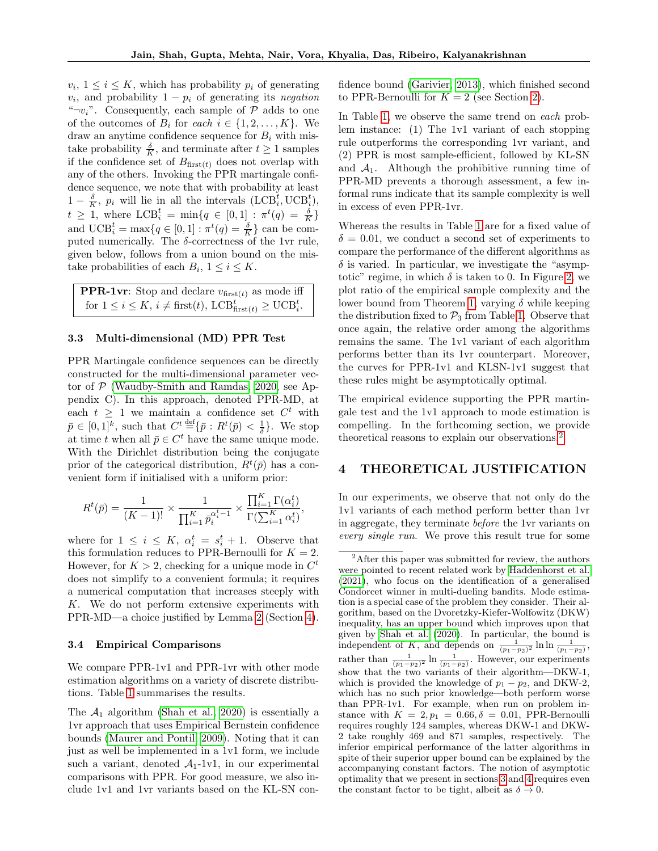$v_i, 1 \leq i \leq K$ , which has probability  $p_i$  of generating  $v_i$ , and probability  $1 - p_i$  of generating its negation " $\neg v_i$ ". Consequently, each sample of  $\mathcal P$  adds to one of the outcomes of  $B_i$  for each  $i \in \{1, 2, ..., K\}$ . We draw an anytime confidence sequence for  $B_i$  with mistake probability  $\frac{\delta}{K}$ , and terminate after  $t \geq 1$  samples if the confidence set of  $B_{\text{first}(t)}$  does not overlap with any of the others. Invoking the PPR martingale confidence sequence, we note that with probability at least  $1 - \frac{\delta}{K}, \ p_i$  will lie in all the intervals  $(\text{LCB}_i^t, \text{UCB}_i^t)$ ,  $t \geq 1$ , where  $LCB_i^t = \min\{q \in [0,1] : \pi^t(q) = \frac{\delta}{K}\}\$ and  $\mathrm{UCB}_i^t = \max\{q \in [0,1] : \pi^t(q) = \frac{\delta}{K}\}\)$  can be computed numerically. The  $\delta$ -correctness of the 1vr rule, given below, follows from a union bound on the mistake probabilities of each  $B_i$ ,  $1 \leq i \leq K$ .

| <b>PPR-1vr</b> : Stop and declare $v_{\text{first}(t)}$ as mode iff                                       |
|-----------------------------------------------------------------------------------------------------------|
| for $1 \leq i \leq K$ , $i \neq \text{first}(t)$ , $\text{LCB}_{\text{first}(t)}^t \geq \text{UCB}_i^t$ . |

#### 3.3 Multi-dimensional (MD) PPR Test

PPR Martingale confidence sequences can be directly constructed for the multi-dimensional parameter vector of  $P$  [\(Waudby-Smith and Ramdas, 2020,](#page-10-0) see Appendix C). In this approach, denoted PPR-MD, at each  $t \geq 1$  we maintain a confidence set  $C^t$  with  $\bar{p} \in [0,1]^k$ , such that  $C^t \stackrel{\text{def}}{=} {\bar{p} : R^t(\bar{p}) < \frac{1}{\delta}}$ . We stop at time t when all  $\bar{p} \in C^t$  have the same unique mode. With the Dirichlet distribution being the conjugate prior of the categorical distribution,  $R^t(\bar{p})$  has a convenient form if initialised with a uniform prior:

$$
R^{t}(\bar{p}) = \frac{1}{(K-1)!} \times \frac{1}{\prod_{i=1}^{K} \bar{p}_{i}^{\alpha_{i}^{t}-1}} \times \frac{\prod_{i=1}^{K} \Gamma(\alpha_{i}^{t})}{\Gamma(\sum_{i=1}^{K} \alpha_{i}^{t})},
$$

where for  $1 \leq i \leq K$ ,  $\alpha_i^t = s_i^t + 1$ . Observe that this formulation reduces to PPR-Bernoulli for  $K = 2$ . However, for  $K > 2$ , checking for a unique mode in  $C^t$ does not simplify to a convenient formula; it requires a numerical computation that increases steeply with K. We do not perform extensive experiments with PPR-MD—a choice justified by Lemma [2](#page-5-0) (Section [4\)](#page-4-0).

#### 3.4 Empirical Comparisons

We compare PPR-1v1 and PPR-1vr with other mode estimation algorithms on a variety of discrete distributions. Table [1](#page-5-1) summarises the results.

The  $A_1$  algorithm [\(Shah et al., 2020\)](#page-9-0) is essentially a 1vr approach that uses Empirical Bernstein confidence bounds [\(Maurer and Pontil, 2009\)](#page-9-11). Noting that it can just as well be implemented in a 1v1 form, we include such a variant, denoted  $A_1$ -1v1, in our experimental comparisons with PPR. For good measure, we also include 1v1 and 1vr variants based on the KL-SN con-

fidence bound [\(Garivier, 2013\)](#page-9-9), which finished second to PPR-Bernoulli for  $K = 2$  (see Section [2\)](#page-1-0).

In Table [1,](#page-5-1) we observe the same trend on each problem instance: (1) The 1v1 variant of each stopping rule outperforms the corresponding 1vr variant, and (2) PPR is most sample-efficient, followed by KL-SN and  $A_1$ . Although the prohibitive running time of PPR-MD prevents a thorough assessment, a few informal runs indicate that its sample complexity is well in excess of even PPR-1vr.

Whereas the results in Table [1](#page-5-1) are for a fixed value of  $\delta = 0.01$ , we conduct a second set of experiments to compare the performance of the different algorithms as  $\delta$  is varied. In particular, we investigate the "asymptotic" regime, in which  $\delta$  is taken to 0. In Figure [2,](#page-5-2) we plot ratio of the empirical sample complexity and the lower bound from Theorem [1,](#page-0-0) varying  $\delta$  while keeping the distribution fixed to  $\mathcal{P}_3$  from Table [1.](#page-5-1) Observe that once again, the relative order among the algorithms remains the same. The 1v1 variant of each algorithm performs better than its 1vr counterpart. Moreover, the curves for PPR-1v1 and KLSN-1v1 suggest that these rules might be asymptotically optimal.

The empirical evidence supporting the PPR martingale test and the 1v1 approach to mode estimation is compelling. In the forthcoming section, we provide theoretical reasons to explain our observations.[2](#page-4-1)

### <span id="page-4-0"></span>4 THEORETICAL JUSTIFICATION

In our experiments, we observe that not only do the 1v1 variants of each method perform better than 1vr in aggregate, they terminate before the 1vr variants on every single run. We prove this result true for some

<span id="page-4-1"></span><sup>&</sup>lt;sup>2</sup>After this paper was submitted for review, the authors were pointed to recent related work by [Haddenhorst et al.](#page-9-12) [\(2021\)](#page-9-12), who focus on the identification of a generalised Condorcet winner in multi-dueling bandits. Mode estimation is a special case of the problem they consider. Their algorithm, based on the Dvoretzky-Kiefer-Wolfowitz (DKW) inequality, has an upper bound which improves upon that given by [Shah et al.](#page-9-0) [\(2020\)](#page-9-0). In particular, the bound is independent of K, and depends on  $\frac{1}{(p_1-p_2)^2} \ln \ln \frac{1}{(p_1-p_2)}$ , rather than  $\frac{1}{(p_1-p_2)^2} \ln \frac{1}{(p_1-p_2)}$ . However, our experiments show that the two variants of their algorithm—DKW-1, which is provided the knowledge of  $p_1 - p_2$ , and DKW-2, which has no such prior knowledge—both perform worse than PPR-1v1. For example, when run on problem instance with  $K = 2, p_1 = 0.66, \delta = 0.01$ , PPR-Bernoulli requires roughly 124 samples, whereas DKW-1 and DKW-2 take roughly 469 and 871 samples, respectively. The inferior empirical performance of the latter algorithms in spite of their superior upper bound can be explained by the accompanying constant factors. The notion of asymptotic optimality that we present in sections [3](#page-3-0) and [4](#page-4-0) requires even the constant factor to be tight, albeit as  $\delta \to 0$ .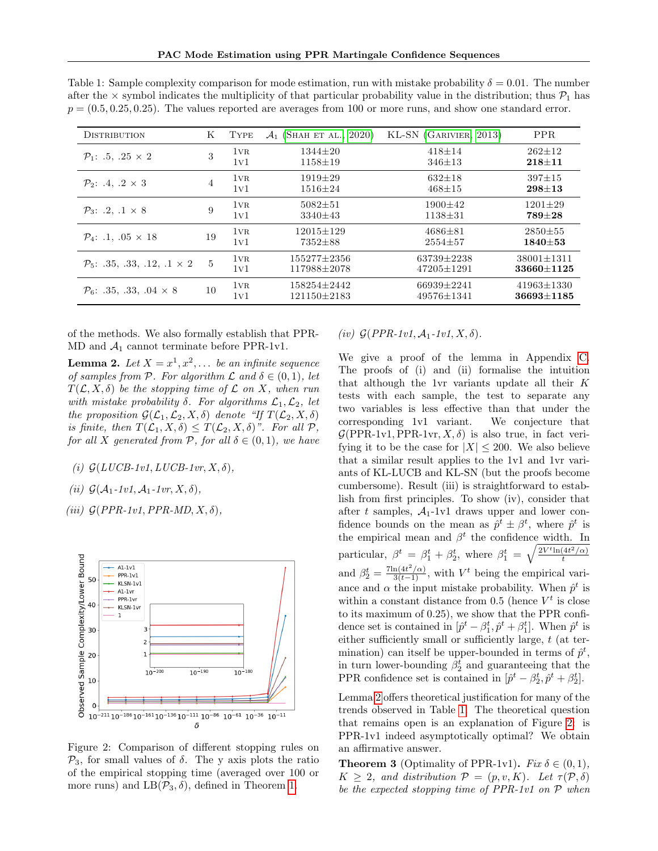| <b>DISTRIBUTION</b>                            | Κ  | TYPE            | $\mathcal{A}_1$ (SHAH ET AL., 2020) | KL-SN (GARIVIER, 2013)               | <b>PPR</b>                           |
|------------------------------------------------|----|-----------------|-------------------------------------|--------------------------------------|--------------------------------------|
| $P_1$ : .5, .25 $\times$ 2                     | 3  | $1\nu R$<br>1v1 | $1344 + 20$<br>$1158 \pm 19$        | $418 + 14$<br>$346 \pm 13$           | $262+12$<br>$218 + 11$               |
| $P_2$ : .4, .2 $\times$ 3                      | 4  | 1vr<br>1v1      | $1919 \pm 29$<br>$1516 \pm 24$      | $632 \pm 18$<br>$468 + 15$           | $397 + 15$<br>$298 + 13$             |
| $P_3$ : .2, .1 $\times$ 8                      | 9  | 1vr<br>1v1      | $5082 + 51$<br>$3340 \pm 43$        | $1900+42$<br>$1138 + 31$             | $1201 + 29$<br>789±28                |
| $P_4$ : .1, .05 $\times$ 18                    | 19 | 1vr<br>1v1      | $12015 + 129$<br>$7352 \pm 88$      | $4686 \pm 81$<br>$2554 \pm 57$       | $2850 \pm 55$<br>$1840 + 53$         |
| $\mathcal{P}_5$ : .35, .33, .12, .1 $\times$ 2 | 5  | $1\nu R$<br>1v1 | $155277+2356$<br>117988±2078        | 63739+2238<br>$47205 \pm 1291$       | $38001 \pm 1311$<br>33660+1125       |
| $\mathcal{P}_6$ : .35, .33, .04 $\times$ 8     | 10 | 1vr<br>1v1      | 158254+2442<br>$121150 \pm 2183$    | $66939 \pm 2241$<br>$49576 \pm 1341$ | $41963 \pm 1330$<br>$36693 \pm 1185$ |

<span id="page-5-1"></span>Table 1: Sample complexity comparison for mode estimation, run with mistake probability  $\delta = 0.01$ . The number after the  $\times$  symbol indicates the multiplicity of that particular probability value in the distribution; thus  $\mathcal{P}_1$  has  $p = (0.5, 0.25, 0.25)$ . The values reported are averages from 100 or more runs, and show one standard error.

of the methods. We also formally establish that PPR-MD and  $A_1$  cannot terminate before PPR-1v1.

<span id="page-5-0"></span>**Lemma 2.** Let  $X = x^1, x^2, \ldots$  be an infinite sequence of samples from P. For algorithm  $\mathcal L$  and  $\delta \in (0,1)$ , let  $T(\mathcal{L}, X, \delta)$  be the stopping time of  $\mathcal L$  on X, when run with mistake probability  $\delta$ . For algorithms  $\mathcal{L}_1, \mathcal{L}_2$ , let the proposition  $\mathcal{G}(\mathcal{L}_1,\mathcal{L}_2,X,\delta)$  denote "If  $T(\mathcal{L}_2, X,\delta)$ is finite, then  $T(\mathcal{L}_1, X, \delta) \leq T(\mathcal{L}_2, X, \delta)$ ". For all  $\mathcal{P}$ , for all X generated from P, for all  $\delta \in (0,1)$ , we have

- (i)  $\mathcal{G}(LUCB-1v1, LUCB-1vr, X, \delta),$
- (ii)  $\mathcal{G}(\mathcal{A}_1$ -1v1,  $\mathcal{A}_1$ -1vr,  $X, \delta$ ),

(iii)  $G(PPR-1v1, PPR-MD, X, \delta)$ ,

<span id="page-5-2"></span>

Figure 2: Comparison of different stopping rules on  $\mathcal{P}_3$ , for small values of  $\delta$ . The y axis plots the ratio of the empirical stopping time (averaged over 100 or more runs) and  $LB(\mathcal{P}_3, \delta)$ , defined in Theorem [1.](#page-0-0)

### (iv)  $G(PPR-1v1, \mathcal{A}_1-1v1, X, \delta)$ .

We give a proof of the lemma in Appendix [C.](#page-13-0) The proofs of (i) and (ii) formalise the intuition that although the 1vr variants update all their K tests with each sample, the test to separate any two variables is less effective than that under the corresponding 1v1 variant. We conjecture that  $\mathcal{G}(PPR-1v1,PPR-1vr, X, \delta)$  is also true, in fact verifying it to be the case for  $|X| \leq 200$ . We also believe that a similar result applies to the 1v1 and 1vr variants of KL-LUCB and KL-SN (but the proofs become cumbersome). Result (iii) is straightforward to establish from first principles. To show (iv), consider that after t samples,  $A_1$ -1v1 draws upper and lower confidence bounds on the mean as  $\hat{p}^t \pm \beta^t$ , where  $\hat{p}^t$  is the empirical mean and  $\beta^t$  the confidence width. In particular,  $\beta^t = \beta_1^t + \beta_2^t$ , where  $\beta_1^t = \sqrt{\frac{2V^t \ln(4t^2/\alpha)}{t}}$ t and  $\beta_2^t = \frac{7\ln(4t^2/\alpha)}{3(t-1)}$ , with  $V^t$  being the empirical variance and  $\alpha$  the input mistake probability. When  $\hat{p}^t$  is within a constant distance from 0.5 (hence  $V^t$  is close to its maximum of 0.25), we show that the PPR confidence set is contained in  $[\hat{p}^t - \beta_1^t, \hat{p}^t + \beta_1^t]$ . When  $\hat{p}^t$  is either sufficiently small or sufficiently large, t (at termination) can itself be upper-bounded in terms of  $\hat{p}^t$ , in turn lower-bounding  $\beta_2^t$  and guaranteeing that the PPR confidence set is contained in  $[\hat{p}^t - \beta_2^t, \hat{p}^t + \beta_2^t]$ .

Lemma [2](#page-5-0) offers theoretical justification for many of the trends observed in Table [1.](#page-5-1) The theoretical question that remains open is an explanation of Figure [2:](#page-5-2) is PPR-1v1 indeed asymptotically optimal? We obtain an affirmative answer.

<span id="page-5-3"></span>**Theorem 3** (Optimality of PPR-1v1). Fix  $\delta \in (0,1)$ ,  $K \geq 2$ , and distribution  $\mathcal{P} = (p, v, K)$ . Let  $\tau(\mathcal{P}, \delta)$ be the expected stopping time of PPR-1v1 on P when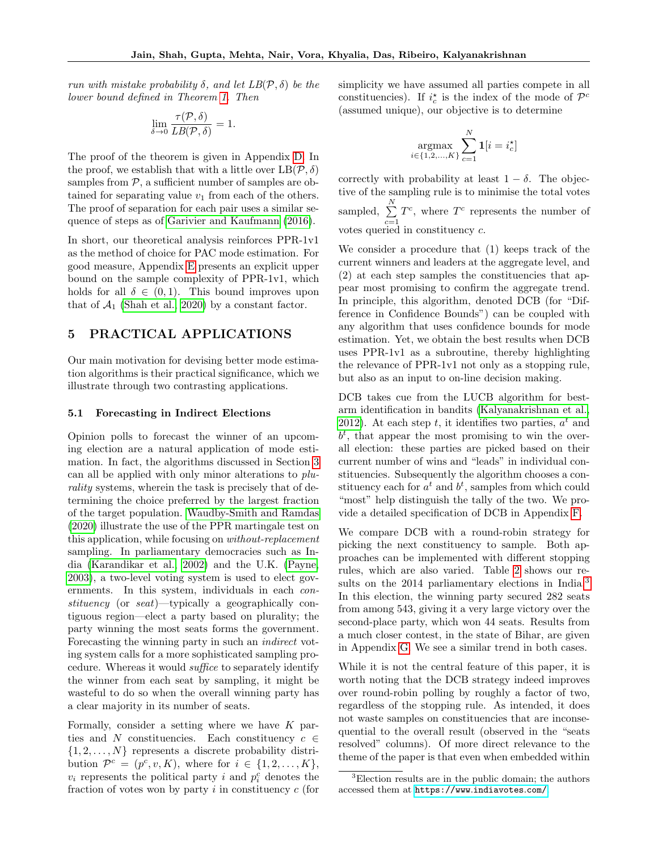run with mistake probability  $\delta$ , and let  $LB(\mathcal{P}, \delta)$  be the lower bound defined in Theorem [1.](#page-0-0) Then

$$
\lim_{\delta \to 0} \frac{\tau(\mathcal{P}, \delta)}{LB(\mathcal{P}, \delta)} = 1.
$$

The proof of the theorem is given in Appendix [D.](#page-24-0) In the proof, we establish that with a little over  $LB(\mathcal{P}, \delta)$ samples from  $P$ , a sufficient number of samples are obtained for separating value  $v_1$  from each of the others. The proof of separation for each pair uses a similar sequence of steps as of [Garivier and Kaufmann \(2016\)](#page-9-1).

In short, our theoretical analysis reinforces PPR-1v1 as the method of choice for PAC mode estimation. For good measure, Appendix [E](#page-28-0) presents an explicit upper bound on the sample complexity of PPR-1v1, which holds for all  $\delta \in (0,1)$ . This bound improves upon that of  $A_1$  [\(Shah et al., 2020\)](#page-9-0) by a constant factor.

### <span id="page-6-0"></span>5 PRACTICAL APPLICATIONS

Our main motivation for devising better mode estimation algorithms is their practical significance, which we illustrate through two contrasting applications.

#### <span id="page-6-2"></span>5.1 Forecasting in Indirect Elections

Opinion polls to forecast the winner of an upcoming election are a natural application of mode estimation. In fact, the algorithms discussed in Section [3](#page-3-0) can all be applied with only minor alterations to plurality systems, wherein the task is precisely that of determining the choice preferred by the largest fraction of the target population. [Waudby-Smith and Ramdas](#page-10-0) [\(2020\)](#page-10-0) illustrate the use of the PPR martingale test on this application, while focusing on *without-replacement* sampling. In parliamentary democracies such as India [\(Karandikar et al., 2002\)](#page-9-13) and the U.K. [\(Payne,](#page-9-14) [2003\)](#page-9-14), a two-level voting system is used to elect governments. In this system, individuals in each constituency (or seat)—typically a geographically contiguous region—elect a party based on plurality; the party winning the most seats forms the government. Forecasting the winning party in such an indirect voting system calls for a more sophisticated sampling procedure. Whereas it would suffice to separately identify the winner from each seat by sampling, it might be wasteful to do so when the overall winning party has a clear majority in its number of seats.

Formally, consider a setting where we have  $K$  parties and N constituencies. Each constituency  $c \in$  $\{1, 2, \ldots, N\}$  represents a discrete probability distribution  $\mathcal{P}^c = (p^c, v, K)$ , where for  $i \in \{1, 2, ..., K\}$ ,  $v_i$  represents the political party i and  $p_i^c$  denotes the fraction of votes won by party  $i$  in constituency  $c$  (for simplicity we have assumed all parties compete in all constituencies). If  $i_c^*$  is the index of the mode of  $\mathcal{P}^c$ (assumed unique), our objective is to determine

$$
\operatorname*{argmax}_{i \in \{1, 2, \dots, K\}} \sum_{c=1}^{N} \mathbf{1}[i = i_c^\star]
$$

correctly with probability at least  $1 - \delta$ . The objective of the sampling rule is to minimise the total votes sampled,  $\sum_{i=1}^{N}$  $\sum_{c=1} T^c$ , where  $T^c$  represents the number of votes queried in constituency c.

We consider a procedure that (1) keeps track of the current winners and leaders at the aggregate level, and (2) at each step samples the constituencies that appear most promising to confirm the aggregate trend. In principle, this algorithm, denoted DCB (for "Difference in Confidence Bounds") can be coupled with any algorithm that uses confidence bounds for mode estimation. Yet, we obtain the best results when DCB uses PPR-1v1 as a subroutine, thereby highlighting the relevance of PPR-1v1 not only as a stopping rule, but also as an input to on-line decision making.

DCB takes cue from the LUCB algorithm for bestarm identification in bandits [\(Kalyanakrishnan et al.,](#page-9-6) [2012\)](#page-9-6). At each step  $t$ , it identifies two parties,  $a^t$  and  $b<sup>t</sup>$ , that appear the most promising to win the overall election: these parties are picked based on their current number of wins and "leads" in individual constituencies. Subsequently the algorithm chooses a constituency each for  $a^t$  and  $b^t$ , samples from which could "most" help distinguish the tally of the two. We provide a detailed specification of DCB in Appendix [F.](#page-36-0)

We compare DCB with a round-robin strategy for picking the next constituency to sample. Both approaches can be implemented with different stopping rules, which are also varied. Table [2](#page-7-0) shows our re-sults on the 2014 parliamentary elections in India.<sup>[3](#page-6-1)</sup> In this election, the winning party secured 282 seats from among 543, giving it a very large victory over the second-place party, which won 44 seats. Results from a much closer contest, in the state of Bihar, are given in Appendix [G.](#page-37-0) We see a similar trend in both cases.

While it is not the central feature of this paper, it is worth noting that the DCB strategy indeed improves over round-robin polling by roughly a factor of two, regardless of the stopping rule. As intended, it does not waste samples on constituencies that are inconsequential to the overall result (observed in the "seats resolved" columns). Of more direct relevance to the theme of the paper is that even when embedded within

<span id="page-6-1"></span><sup>3</sup>Election results are in the public domain; the authors accessed them at [https://www](https://www.indiavotes.com/).indiavotes.com/.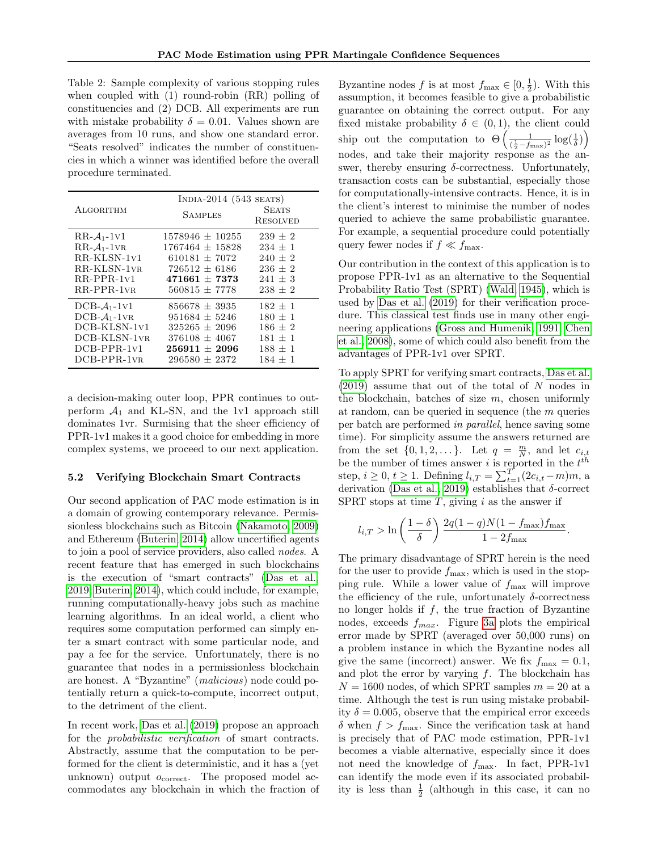<span id="page-7-0"></span>Table 2: Sample complexity of various stopping rules when coupled with (1) round-robin (RR) polling of constituencies and (2) DCB. All experiments are run with mistake probability  $\delta = 0.01$ . Values shown are averages from 10 runs, and show one standard error. "Seats resolved" indicates the number of constituencies in which a winner was identified before the overall procedure terminated.

| ALGORITHM     | INDIA-2014 $(543$ SEATS)<br><b>SAMPLES</b> | <b>SEATS</b><br>RESOLVED |
|---------------|--------------------------------------------|--------------------------|
| $RR-A_1-1V1$  | $1578946 \pm 10255$                        | $239 + 2$                |
| $RR-A_1-1VR$  | $1767464 + 15828$                          | $234 + 1$                |
| $RR-KLSN-1V1$ | $610181 + 7072$                            | $240 \pm 2$              |
| RR-KLSN-1vr   | $726512 + 6186$                            | $236 \pm 2$              |
| $RR-PPR-1V1$  | $471661 \pm 7373$                          | $241 \pm 3$              |
| $RR-PPR-1VR$  | $560815 + 7778$                            | $238 + 2$                |
| $DCB-A1-1V1$  | $856678 \pm 3935$                          | $182 + 1$                |
| $DCB-A_1-1VR$ | $951684 \pm 5246$                          | $180 \pm 1$              |
| DCB-KLSN-1v1  | $325265 + 2096$                            | $186 + 2$                |
| DCB-KLSN-1vr  | $376108 \pm 4067$                          | $181 + 1$                |
| $DCB-PPR-1V1$ | $256911 \pm 2096$                          | $188 \pm 1$              |
| $DCB-PPR-1VR$ | $296580 \pm 2372$                          | $184 + 1$                |

a decision-making outer loop, PPR continues to outperform  $A_1$  and KL-SN, and the 1v1 approach still dominates 1vr. Surmising that the sheer efficiency of PPR-1v1 makes it a good choice for embedding in more complex systems, we proceed to our next application.

### <span id="page-7-1"></span>5.2 Verifying Blockchain Smart Contracts

Our second application of PAC mode estimation is in a domain of growing contemporary relevance. Permissionless blockchains such as Bitcoin [\(Nakamoto, 2009\)](#page-9-15) and Ethereum [\(Buterin, 2014\)](#page-9-16) allow uncertified agents to join a pool of service providers, also called nodes. A recent feature that has emerged in such blockchains is the execution of "smart contracts" [\(Das et al.,](#page-9-5) [2019;](#page-9-5) [Buterin, 2014\)](#page-9-16), which could include, for example, running computationally-heavy jobs such as machine learning algorithms. In an ideal world, a client who requires some computation performed can simply enter a smart contract with some particular node, and pay a fee for the service. Unfortunately, there is no guarantee that nodes in a permissionless blockchain are honest. A "Byzantine" (malicious) node could potentially return a quick-to-compute, incorrect output, to the detriment of the client.

In recent work, [Das et al. \(2019\)](#page-9-5) propose an approach for the probabilistic verification of smart contracts. Abstractly, assume that the computation to be performed for the client is deterministic, and it has a (yet unknown) output  $o_{\text{correct}}$ . The proposed model accommodates any blockchain in which the fraction of

Byzantine nodes f is at most  $f_{\text{max}} \in [0, \frac{1}{2})$ . With this assumption, it becomes feasible to give a probabilistic guarantee on obtaining the correct output. For any fixed mistake probability  $\delta \in (0,1)$ , the client could ship out the computation to  $\Theta\left(\frac{1}{(\frac{1}{2}-f_{\text{max}})^2}\log(\frac{1}{\delta})\right)$ nodes, and take their majority response as the answer, thereby ensuring  $\delta$ -correctness. Unfortunately, transaction costs can be substantial, especially those for computationally-intensive contracts. Hence, it is in the client's interest to minimise the number of nodes queried to achieve the same probabilistic guarantee. For example, a sequential procedure could potentially query fewer nodes if  $f \ll f_{\text{max}}$ .

Our contribution in the context of this application is to propose PPR-1v1 as an alternative to the Sequential Probability Ratio Test (SPRT) [\(Wald, 1945\)](#page-10-1), which is used by [Das et al. \(2019\)](#page-9-5) for their verification procedure. This classical test finds use in many other engineering applications [\(Gross and Humenik, 1991;](#page-9-17) [Chen](#page-9-18) [et al., 2008\)](#page-9-18), some of which could also benefit from the advantages of PPR-1v1 over SPRT.

To apply SPRT for verifying smart contracts, [Das et al.](#page-9-5)  $(2019)$  assume that out of the total of N nodes in the blockchain, batches of size  $m$ , chosen uniformly at random, can be queried in sequence (the m queries per batch are performed in parallel, hence saving some time). For simplicity assume the answers returned are from the set  $\{0, 1, 2, \dots\}$ . Let  $q = \frac{m}{N}$ , and let  $c_{i,t}$ be the number of times answer i is reported in the  $t^{th}$ step,  $i \geq 0, t \geq 1$ . Defining  $l_{i,T} = \sum_{t=1}^{T} (2c_{i,t} - m)m$ , a derivation [\(Das et al., 2019\)](#page-9-5) establishes that  $\delta$ -correct SPRT stops at time  $T$ , giving i as the answer if

$$
l_{i,T} > \ln\left(\frac{1-\delta}{\delta}\right)\frac{2q(1-q)N(1-f_{\max})f_{\max}}{1-2f_{\max}}.
$$

The primary disadvantage of SPRT herein is the need for the user to provide  $f_{\text{max}}$ , which is used in the stopping rule. While a lower value of  $f_{\text{max}}$  will improve the efficiency of the rule, unfortunately  $\delta$ -correctness no longer holds if f, the true fraction of Byzantine nodes, exceeds  $f_{max}$ . Figure [3a](#page-8-0) plots the empirical error made by SPRT (averaged over 50,000 runs) on a problem instance in which the Byzantine nodes all give the same (incorrect) answer. We fix  $f_{\text{max}} = 0.1$ , and plot the error by varying  $f$ . The blockchain has  $N = 1600$  nodes, of which SPRT samples  $m = 20$  at a time. Although the test is run using mistake probability  $\delta = 0.005$ , observe that the empirical error exceeds  $\delta$  when  $f > f_{\text{max}}$ . Since the verification task at hand is precisely that of PAC mode estimation, PPR-1v1 becomes a viable alternative, especially since it does not need the knowledge of  $f_{\text{max}}$ . In fact, PPR-1v1 can identify the mode even if its associated probability is less than  $\frac{1}{2}$  (although in this case, it can no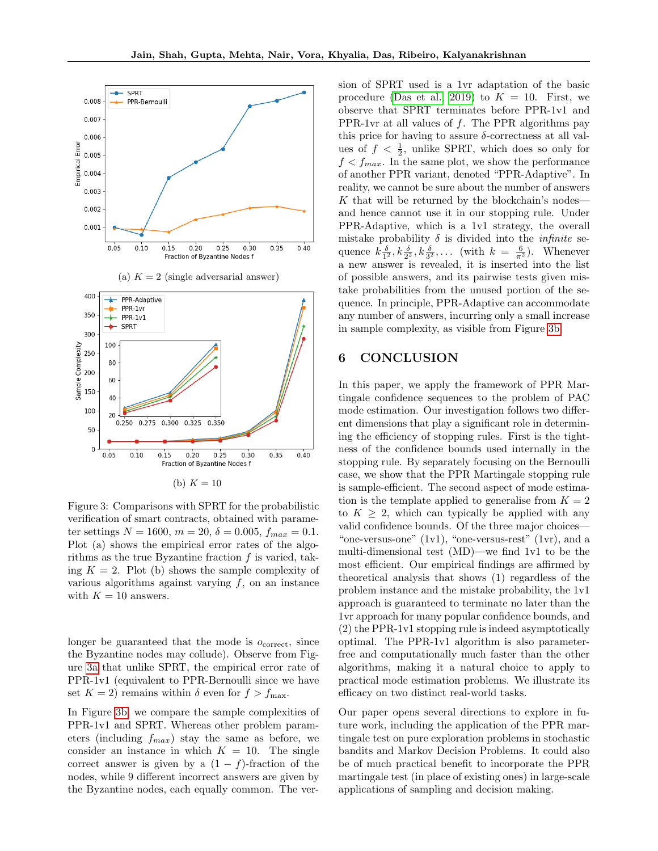<span id="page-8-0"></span>

Figure 3: Comparisons with SPRT for the probabilistic verification of smart contracts, obtained with parameter settings  $N = 1600$ ,  $m = 20$ ,  $\delta = 0.005$ ,  $f_{max} = 0.1$ . Plot (a) shows the empirical error rates of the algorithms as the true Byzantine fraction  $f$  is varied, taking  $K = 2$ . Plot (b) shows the sample complexity of various algorithms against varying  $f$ , on an instance with  $K = 10$  answers.

longer be guaranteed that the mode is  $o_{\text{correct}}$ , since the Byzantine nodes may collude). Observe from Figure [3a](#page-8-0) that unlike SPRT, the empirical error rate of PPR-1v1 (equivalent to PPR-Bernoulli since we have set  $K = 2$ ) remains within  $\delta$  even for  $f > f_{\text{max}}$ .

In Figure [3b,](#page-8-0) we compare the sample complexities of PPR-1v1 and SPRT. Whereas other problem parameters (including  $f_{max}$ ) stay the same as before, we consider an instance in which  $K = 10$ . The single correct answer is given by a  $(1 - f)$ -fraction of the nodes, while 9 different incorrect answers are given by the Byzantine nodes, each equally common. The version of SPRT used is a 1vr adaptation of the basic procedure [\(Das et al., 2019\)](#page-9-5) to  $K = 10$ . First, we observe that SPRT terminates before PPR-1v1 and PPR-1vr at all values of  $f$ . The PPR algorithms pay this price for having to assure  $\delta$ -correctness at all values of  $f < \frac{1}{2}$ , unlike SPRT, which does so only for  $f < f_{max}$ . In the same plot, we show the performance of another PPR variant, denoted "PPR-Adaptive". In reality, we cannot be sure about the number of answers  $K$  that will be returned by the blockchain's nodes and hence cannot use it in our stopping rule. Under PPR-Adaptive, which is a 1v1 strategy, the overall mistake probability  $\delta$  is divided into the *infinite* sequence  $k \frac{\delta}{1^2}$ ,  $k \frac{\delta}{2^2}$ ,  $k \frac{\delta}{3^2}$ , ... (with  $k = \frac{6}{\pi^2}$ ). Whenever a new answer is revealed, it is inserted into the list of possible answers, and its pairwise tests given mistake probabilities from the unused portion of the sequence. In principle, PPR-Adaptive can accommodate any number of answers, incurring only a small increase in sample complexity, as visible from Figure [3b.](#page-8-0)

### 6 CONCLUSION

In this paper, we apply the framework of PPR Martingale confidence sequences to the problem of PAC mode estimation. Our investigation follows two different dimensions that play a significant role in determining the efficiency of stopping rules. First is the tightness of the confidence bounds used internally in the stopping rule. By separately focusing on the Bernoulli case, we show that the PPR Martingale stopping rule is sample-efficient. The second aspect of mode estimation is the template applied to generalise from  $K = 2$ to  $K \geq 2$ , which can typically be applied with any valid confidence bounds. Of the three major choices— "one-versus-one"  $(1v1)$ , "one-versus-rest"  $(1vr)$ , and a multi-dimensional test (MD)—we find 1v1 to be the most efficient. Our empirical findings are affirmed by theoretical analysis that shows (1) regardless of the problem instance and the mistake probability, the 1v1 approach is guaranteed to terminate no later than the 1vr approach for many popular confidence bounds, and (2) the PPR-1v1 stopping rule is indeed asymptotically optimal. The PPR-1v1 algorithm is also parameterfree and computationally much faster than the other algorithms, making it a natural choice to apply to practical mode estimation problems. We illustrate its efficacy on two distinct real-world tasks.

Our paper opens several directions to explore in future work, including the application of the PPR martingale test on pure exploration problems in stochastic bandits and Markov Decision Problems. It could also be of much practical benefit to incorporate the PPR martingale test (in place of existing ones) in large-scale applications of sampling and decision making.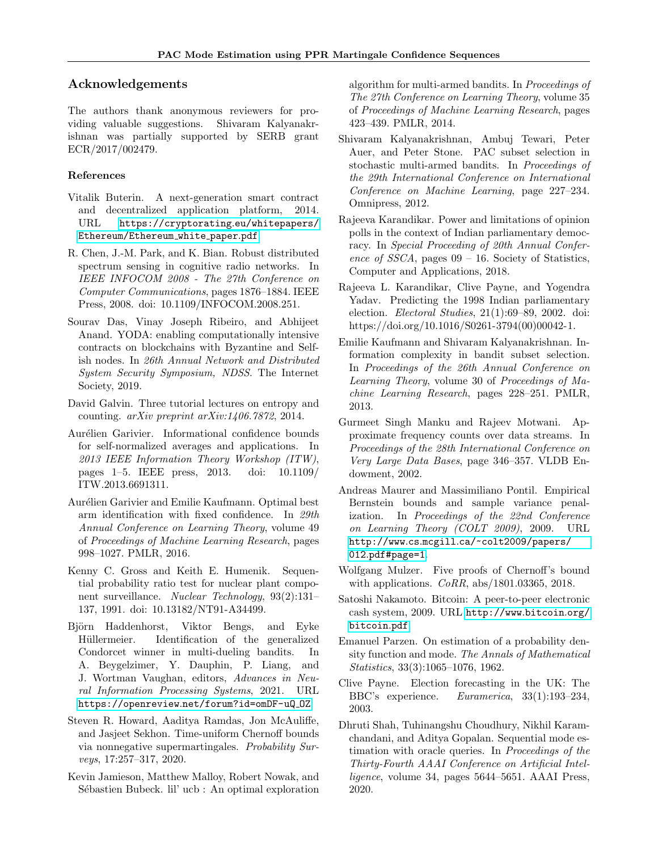# Acknowledgements

The authors thank anonymous reviewers for providing valuable suggestions. Shivaram Kalyanakrishnan was partially supported by SERB grant ECR/2017/002479.

# References

- <span id="page-9-16"></span>Vitalik Buterin. A next-generation smart contract and decentralized application platform, 2014. URL [https://cryptorating](https://cryptorating.eu/whitepapers/Ethereum/Ethereum_white_paper.pdf).eu/whitepapers/ [Ethereum/Ethereum](https://cryptorating.eu/whitepapers/Ethereum/Ethereum_white_paper.pdf) white paper.pdf.
- <span id="page-9-18"></span>R. Chen, J.-M. Park, and K. Bian. Robust distributed spectrum sensing in cognitive radio networks. In IEEE INFOCOM 2008 - The 27th Conference on Computer Communications, pages 1876–1884. IEEE Press, 2008. doi: 10.1109/INFOCOM.2008.251.
- <span id="page-9-5"></span>Sourav Das, Vinay Joseph Ribeiro, and Abhijeet Anand. YODA: enabling computationally intensive contracts on blockchains with Byzantine and Selfish nodes. In 26th Annual Network and Distributed System Security Symposium, NDSS. The Internet Society, 2019.
- <span id="page-9-20"></span>David Galvin. Three tutorial lectures on entropy and counting.  $arXiv$  preprint  $arXiv:1406.7872$ , 2014.
- <span id="page-9-9"></span>Aurélien Garivier. Informational confidence bounds for self-normalized averages and applications. In 2013 IEEE Information Theory Workshop (ITW), pages 1–5. IEEE press, 2013. doi: 10.1109/ ITW.2013.6691311.
- <span id="page-9-1"></span>Aurélien Garivier and Emilie Kaufmann. Optimal best arm identification with fixed confidence. In 29th Annual Conference on Learning Theory, volume 49 of Proceedings of Machine Learning Research, pages 998–1027. PMLR, 2016.
- <span id="page-9-17"></span>Kenny C. Gross and Keith E. Humenik. Sequential probability ratio test for nuclear plant component surveillance. Nuclear Technology, 93(2):131– 137, 1991. doi: 10.13182/NT91-A34499.
- <span id="page-9-12"></span>Björn Haddenhorst, Viktor Bengs, and Eyke Hüllermeier. Identification of the generalized Condorcet winner in multi-dueling bandits. In A. Beygelzimer, Y. Dauphin, P. Liang, and J. Wortman Vaughan, editors, Advances in Neural Information Processing Systems, 2021. URL https://openreview.[net/forum?id=omDF-uQ](https://openreview.net/forum?id=omDF-uQ_OZ)\_0Z.
- <span id="page-9-10"></span>Steven R. Howard, Aaditya Ramdas, Jon McAuliffe, and Jasjeet Sekhon. Time-uniform Chernoff bounds via nonnegative supermartingales. Probability Surveys, 17:257–317, 2020.
- <span id="page-9-8"></span>Kevin Jamieson, Matthew Malloy, Robert Nowak, and Sébastien Bubeck. lil' ucb : An optimal exploration

algorithm for multi-armed bandits. In Proceedings of The 27th Conference on Learning Theory, volume 35 of Proceedings of Machine Learning Research, pages 423–439. PMLR, 2014.

- <span id="page-9-6"></span>Shivaram Kalyanakrishnan, Ambuj Tewari, Peter Auer, and Peter Stone. PAC subset selection in stochastic multi-armed bandits. In Proceedings of the 29th International Conference on International Conference on Machine Learning, page 227–234. Omnipress, 2012.
- <span id="page-9-4"></span>Rajeeva Karandikar. Power and limitations of opinion polls in the context of Indian parliamentary democracy. In Special Proceeding of 20th Annual Conference of SSCA, pages  $09 - 16$ . Society of Statistics, Computer and Applications, 2018.
- <span id="page-9-13"></span>Rajeeva L. Karandikar, Clive Payne, and Yogendra Yadav. Predicting the 1998 Indian parliamentary election. Electoral Studies, 21(1):69–89, 2002. doi: https://doi.org/10.1016/S0261-3794(00)00042-1.
- <span id="page-9-7"></span>Emilie Kaufmann and Shivaram Kalyanakrishnan. Information complexity in bandit subset selection. In Proceedings of the 26th Annual Conference on Learning Theory, volume 30 of Proceedings of Machine Learning Research, pages 228–251. PMLR, 2013.
- <span id="page-9-3"></span>Gurmeet Singh Manku and Rajeev Motwani. Approximate frequency counts over data streams. In Proceedings of the 28th International Conference on Very Large Data Bases, page 346–357. VLDB Endowment, 2002.
- <span id="page-9-11"></span>Andreas Maurer and Massimiliano Pontil. Empirical Bernstein bounds and sample variance penalization. In Proceedings of the 22nd Conference on Learning Theory (COLT 2009), 2009. URL http://www.cs.mcgill.[ca/~colt2009/papers/](http://www.cs.mcgill.ca/~colt2009/papers/012.pdf#page=1) 012.[pdf#page=1](http://www.cs.mcgill.ca/~colt2009/papers/012.pdf#page=1).
- <span id="page-9-19"></span>Wolfgang Mulzer. Five proofs of Chernoff's bound with applications. CoRR, abs/1801.03365, 2018.
- <span id="page-9-15"></span>Satoshi Nakamoto. Bitcoin: A peer-to-peer electronic cash system, 2009. URL [http://www](http://www.bitcoin.org/bitcoin.pdf).bitcoin.org/ [bitcoin](http://www.bitcoin.org/bitcoin.pdf).pdf.
- <span id="page-9-2"></span>Emanuel Parzen. On estimation of a probability density function and mode. The Annals of Mathematical Statistics, 33(3):1065–1076, 1962.
- <span id="page-9-14"></span>Clive Payne. Election forecasting in the UK: The BBC's experience. Euramerica, 33(1):193–234, 2003.
- <span id="page-9-0"></span>Dhruti Shah, Tuhinangshu Choudhury, Nikhil Karamchandani, and Aditya Gopalan. Sequential mode estimation with oracle queries. In Proceedings of the Thirty-Fourth AAAI Conference on Artificial Intelligence, volume 34, pages 5644–5651. AAAI Press, 2020.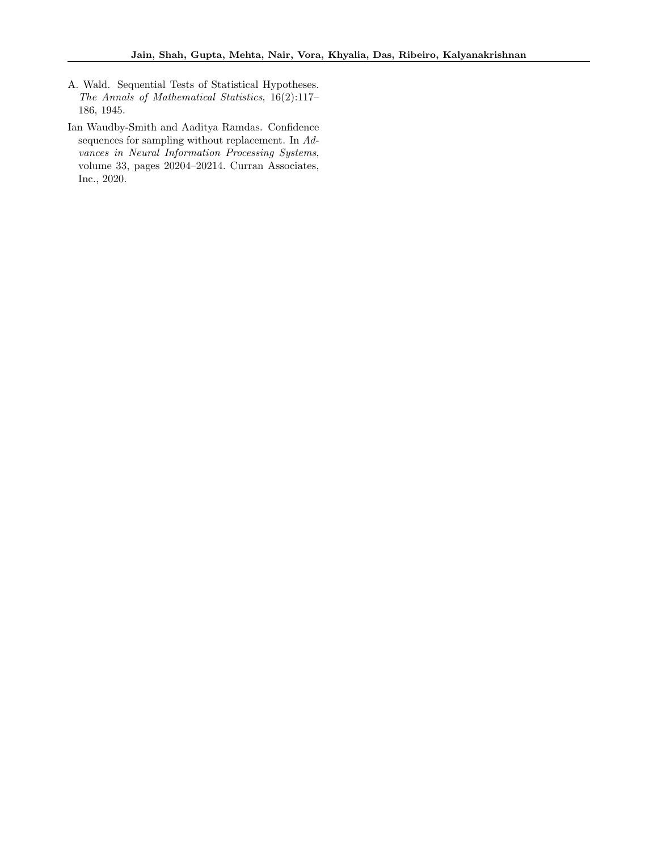- <span id="page-10-1"></span>A. Wald. Sequential Tests of Statistical Hypotheses. The Annals of Mathematical Statistics, 16(2):117– 186, 1945.
- <span id="page-10-0"></span>Ian Waudby-Smith and Aaditya Ramdas. Confidence sequences for sampling without replacement. In Advances in Neural Information Processing Systems, volume 33, pages 20204–20214. Curran Associates, Inc., 2020.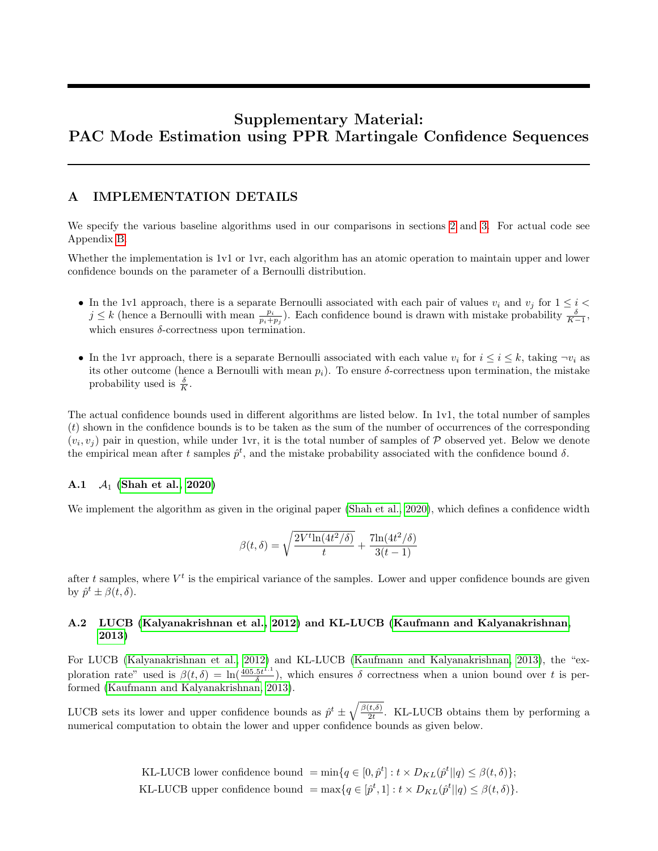# Supplementary Material: PAC Mode Estimation using PPR Martingale Confidence Sequences

### <span id="page-11-0"></span>A IMPLEMENTATION DETAILS

We specify the various baseline algorithms used in our comparisons in sections [2](#page-1-0) and [3.](#page-3-0) For actual code see Appendix [B.](#page-12-0)

Whether the implementation is 1v1 or 1vr, each algorithm has an atomic operation to maintain upper and lower confidence bounds on the parameter of a Bernoulli distribution.

- In the 1v1 approach, there is a separate Bernoulli associated with each pair of values  $v_i$  and  $v_j$  for  $1 \leq i <$  $j \leq k$  (hence a Bernoulli with mean  $\frac{p_i}{p_i+p_j}$ ). Each confidence bound is drawn with mistake probability  $\frac{\delta}{K-1}$ , which ensures  $\delta$ -correctness upon termination.
- In the 1vr approach, there is a separate Bernoulli associated with each value  $v_i$  for  $i \leq i \leq k$ , taking  $\neg v_i$  as its other outcome (hence a Bernoulli with mean  $p_i$ ). To ensure  $\delta$ -correctness upon termination, the mistake probability used is  $\frac{\delta}{K}$ .

The actual confidence bounds used in different algorithms are listed below. In 1v1, the total number of samples  $(t)$  shown in the confidence bounds is to be taken as the sum of the number of occurrences of the corresponding  $(v_i, v_j)$  pair in question, while under 1vr, it is the total number of samples of  $P$  observed yet. Below we denote the empirical mean after t samples  $\hat{p}^t$ , and the mistake probability associated with the confidence bound  $\delta$ .

### A.1  $A_1$  [\(Shah et al., 2020\)](#page-9-0)

We implement the algorithm as given in the original paper [\(Shah et al., 2020\)](#page-9-0), which defines a confidence width

$$
\beta(t,\delta) = \sqrt{\frac{2V^t \ln(4t^2/\delta)}{t}} + \frac{7\ln(4t^2/\delta)}{3(t-1)}
$$

after t samples, where  $V^t$  is the empirical variance of the samples. Lower and upper confidence bounds are given by  $\hat{p}^t \pm \beta(t,\delta)$ .

### A.2 LUCB [\(Kalyanakrishnan et al., 2012\)](#page-9-6) and KL-LUCB [\(Kaufmann and Kalyanakrishnan,](#page-9-7) [2013\)](#page-9-7)

For LUCB [\(Kalyanakrishnan et al., 2012\)](#page-9-6) and KL-LUCB [\(Kaufmann and Kalyanakrishnan, 2013\)](#page-9-7), the "exploration rate" used is  $\beta(t,\delta) = \ln(\frac{405.5t^{1.1}}{\delta})$  $\frac{5t^{1}}{\delta}$ , which ensures  $\delta$  correctness when a union bound over t is performed [\(Kaufmann and Kalyanakrishnan, 2013\)](#page-9-7).

LUCB sets its lower and upper confidence bounds as  $\hat{p}^t \pm \sqrt{\frac{\beta(t,\delta)}{2t}}$  $\frac{t, \delta}{2t}$ . KL-LUCB obtains them by performing a numerical computation to obtain the lower and upper confidence bounds as given below.

> KL-LUCB lower confidence bound  $= \min\{q \in [0, \hat{p}^t] : t \times D_{KL}(\hat{p}^t || q) \leq \beta(t, \delta)\};$ KL-LUCB upper confidence bound  $= \max\{q \in [\hat{p}^t, 1] : t \times D_{KL}(\hat{p}^t || q) \leq \beta(t, \delta)\}.$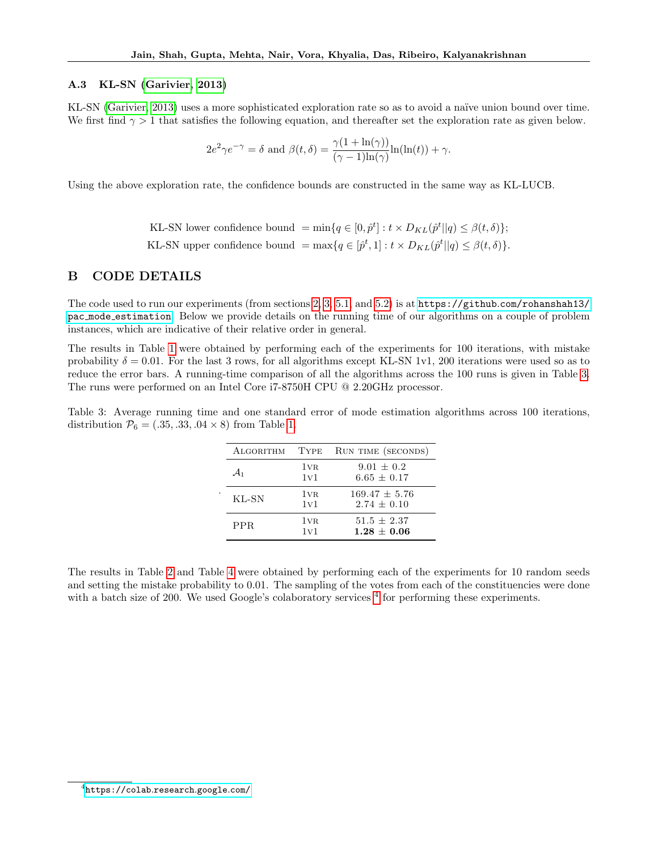#### A.3 KL-SN [\(Garivier, 2013\)](#page-9-9)

KL-SN [\(Garivier, 2013\)](#page-9-9) uses a more sophisticated exploration rate so as to avoid a naïve union bound over time. We first find  $\gamma > 1$  that satisfies the following equation, and thereafter set the exploration rate as given below.

$$
2e^{2}\gamma e^{-\gamma} = \delta \text{ and } \beta(t,\delta) = \frac{\gamma(1 + \ln(\gamma))}{(\gamma - 1)\ln(\gamma)}\ln(\ln(t)) + \gamma.
$$

Using the above exploration rate, the confidence bounds are constructed in the same way as KL-LUCB.

KL-SN lower confidence bound =  $\min\{q \in [0, \hat{p}^t] : t \times D_{KL}(\hat{p}^t || q) \leq \beta(t, \delta)\};$ KL-SN upper confidence bound =  $\max\{q \in [\hat{p}^t, 1] : t \times D_{KL}(\hat{p}^t || q) \leq \beta(t, \delta)\}.$ 

### <span id="page-12-0"></span>B CODE DETAILS

The code used to run our experiments (from sections [2,](#page-1-0) [3,](#page-3-0) [5.1,](#page-6-2) and [5.2\)](#page-7-1) is at https://github.[com/rohanshah13/](https://github.com/rohanshah13/pac_mode_estimation) pac mode [estimation](https://github.com/rohanshah13/pac_mode_estimation). Below we provide details on the running time of our algorithms on a couple of problem instances, which are indicative of their relative order in general.

The results in Table [1](#page-5-1) were obtained by performing each of the experiments for 100 iterations, with mistake probability  $\delta = 0.01$ . For the last 3 rows, for all algorithms except KL-SN 1v1, 200 iterations were used so as to reduce the error bars. A running-time comparison of all the algorithms across the 100 runs is given in Table [3.](#page-12-1) The runs were performed on an Intel Core i7-8750H CPU @ 2.20GHz processor.

<span id="page-12-1"></span>Table 3: Average running time and one standard error of mode estimation algorithms across 100 iterations, distribution  $\mathcal{P}_6 = (.35, .33, .04 \times 8)$  from Table [1.](#page-5-1)

| ALGORITHM       | TYPE                   | RUN TIME (SECONDS)                   |
|-----------------|------------------------|--------------------------------------|
| $\mathcal{A}_1$ | $1v_R$<br>1v1          | $9.01 \pm 0.2$<br>$6.65 + 0.17$      |
| KL-SN           | 1 <sub>VR</sub><br>1v1 | $169.47 \pm 5.76$<br>$2.74 \pm 0.10$ |
| PPR.            | 1 <sub>VR</sub><br>1v1 | $51.5 + 2.37$<br>$1.28 + 0.06$       |

.

The results in Table [2](#page-7-0) and Table [4](#page-37-1) were obtained by performing each of the experiments for 10 random seeds and setting the mistake probability to 0.01. The sampling of the votes from each of the constituencies were done with a batch size of 200. We used Google's colaboratory services  $4$  for performing these experiments.

<span id="page-12-2"></span> $^4$ [https://colab](https://colab.research.google.com/).research.google.com/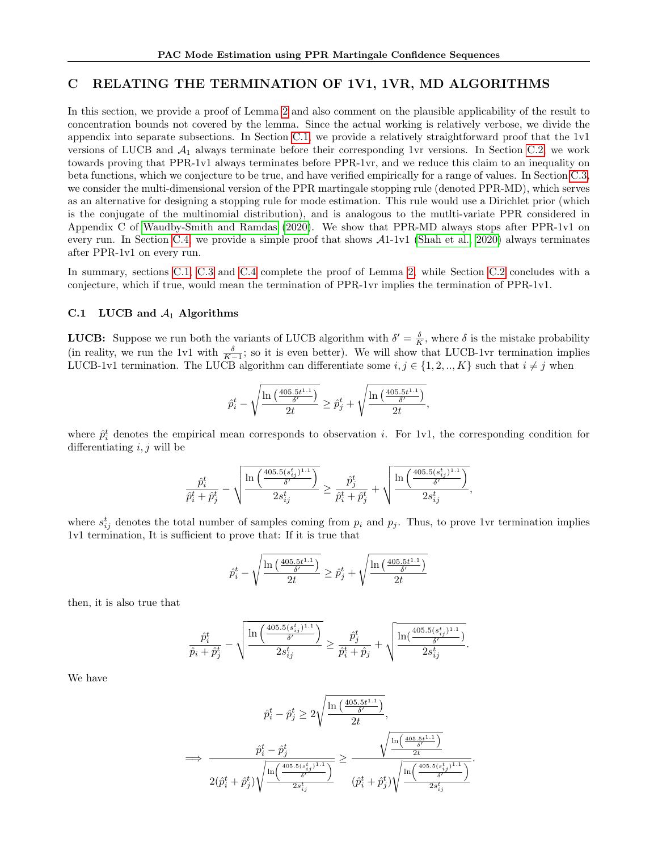### <span id="page-13-0"></span>C RELATING THE TERMINATION OF 1V1, 1VR, MD ALGORITHMS

In this section, we provide a proof of Lemma [2](#page-5-0) and also comment on the plausible applicability of the result to concentration bounds not covered by the lemma. Since the actual working is relatively verbose, we divide the appendix into separate subsections. In Section [C.1,](#page-13-1) we provide a relatively straightforward proof that the 1v1 versions of LUCB and  $A_1$  always terminate before their corresponding 1vr versions. In Section [C.2,](#page-15-0) we work towards proving that PPR-1v1 always terminates before PPR-1vr, and we reduce this claim to an inequality on beta functions, which we conjecture to be true, and have verified empirically for a range of values. In Section [C.3,](#page-18-0) we consider the multi-dimensional version of the PPR martingale stopping rule (denoted PPR-MD), which serves as an alternative for designing a stopping rule for mode estimation. This rule would use a Dirichlet prior (which is the conjugate of the multinomial distribution), and is analogous to the mutlti-variate PPR considered in Appendix C of [Waudby-Smith and Ramdas \(2020\)](#page-10-0). We show that PPR-MD always stops after PPR-1v1 on every run. In Section [C.4,](#page-22-0) we provide a simple proof that shows A1-1v1 [\(Shah et al., 2020\)](#page-9-0) always terminates after PPR-1v1 on every run.

In summary, sections [C.1,](#page-13-1) [C.3](#page-18-0) and [C.4](#page-22-0) complete the proof of Lemma [2,](#page-5-0) while Section [C.2](#page-15-0) concludes with a conjecture, which if true, would mean the termination of PPR-1vr implies the termination of PPR-1v1.

### <span id="page-13-1"></span>C.1 LUCB and  $A_1$  Algorithms

**LUCB:** Suppose we run both the variants of LUCB algorithm with  $\delta' = \frac{\delta}{K}$ , where  $\delta$  is the mistake probability (in reality, we run the 1v1 with  $\frac{\delta}{K-1}$ ; so it is even better). We will show that LUCB-1vr termination implies LUCB-1v1 termination. The LUCB algorithm can differentiate some  $i, j \in \{1, 2, ..., K\}$  such that  $i \neq j$  when

$$
\hat{p}_i^t - \sqrt{\frac{\ln\left(\frac{405.5t^{1.1}}{\delta'}\right)}{2t}} \ge \hat{p}_j^t + \sqrt{\frac{\ln\left(\frac{405.5t^{1.1}}{\delta'}\right)}{2t}},
$$

where  $\hat{p}_i^t$  denotes the empirical mean corresponds to observation i. For 1v1, the corresponding condition for differentiating  $i, j$  will be

$$
\frac{\hat{p}_i^t}{\hat{p}_i^t + \hat{p}_j^t} - \sqrt{\frac{\ln\left(\frac{405.5(s_{ij}^t)^{1.1}}{\delta'}\right)}{2s_{ij}^t}} \geq \frac{\hat{p}_j^t}{\hat{p}_i^t + \hat{p}_j^t} + \sqrt{\frac{\ln\left(\frac{405.5(s_{ij}^t)^{1.1}}{\delta'}\right)}{2s_{ij}^t}},
$$

where  $s_{ij}^t$  denotes the total number of samples coming from  $p_i$  and  $p_j$ . Thus, to prove 1vr termination implies 1v1 termination, It is sufficient to prove that: If it is true that

$$
\hat{p}_i^t - \sqrt{\frac{\ln\left(\frac{405.5t^{1.1}}{\delta'}\right)}{2t}} \ge \hat{p}_j^t + \sqrt{\frac{\ln\left(\frac{405.5t^{1.1}}{\delta'}\right)}{2t}}
$$

then, it is also true that

$$
\frac{\hat{p}_i^t}{\hat{p}_i+\hat{p}_j^t}-\sqrt{\frac{\ln\left(\frac{405.5(s_{ij}^t)^{1.1}}{\delta'}\right)}{2s_{ij}^t}}\geq \frac{\hat{p}_j^t}{\hat{p}_i^t+\hat{p}_j}+\sqrt{\frac{\ln(\frac{405.5(s_{ij}^t)^{1.1}}{\delta'} )}{2s_{ij}^t}}.
$$

We have

$$
\hat{p}_i^t - \hat{p}_j^t \ge 2\sqrt{\frac{\ln\left(\frac{405.5t^{1.1}}{\delta'}\right)}{2t}},
$$
\n
$$
\implies \frac{\hat{p}_i^t - \hat{p}_j^t}{2\left(\hat{p}_i^t + \hat{p}_j^t\right)\sqrt{\frac{\ln\left(\frac{405.5t^{1.1}}{\delta'}\right)}{2t}}}}{2\left(\hat{p}_i^t + \hat{p}_j^t\right)\sqrt{\frac{\ln\left(\frac{405.5t^{1.1}}{\delta'}\right)}{2s_{i_j}^t}}}} \ge \frac{\sqrt{\frac{\ln\left(\frac{405.5t^{1.1}}{\delta'}\right)}{2t}}{2t}}{\left(\hat{p}_i^t + \hat{p}_j^t\right)\sqrt{\frac{\ln\left(\frac{405.5(s_{i,j}^t)^{1.1}}{\delta'}\right)}{2s_{i_j}^t}}}.
$$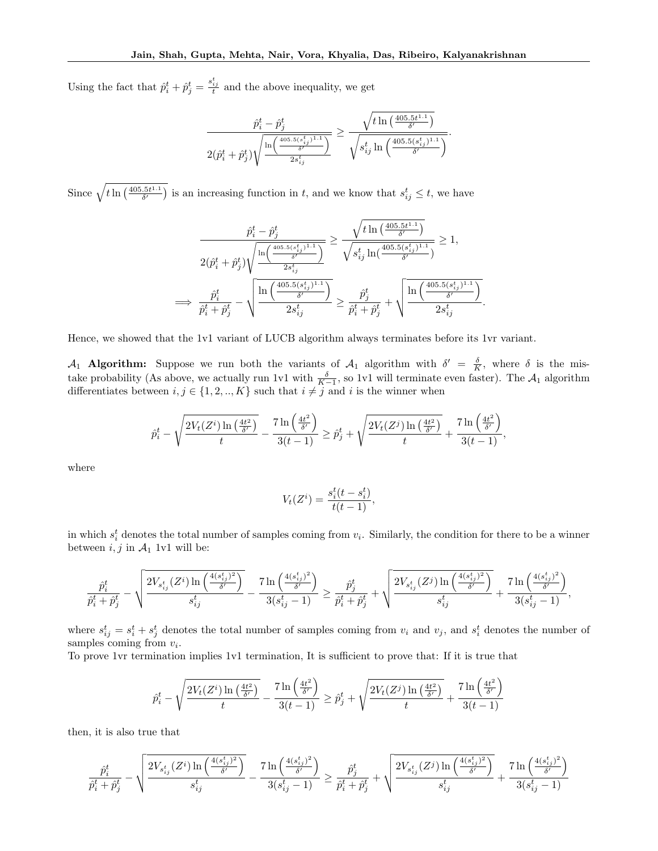Using the fact that  $\hat{p}_i^t + \hat{p}_j^t = \frac{s_{ij}^t}{t}$  and the above inequality, we get

$$
\frac{\hat{p}_i^t - \hat{p}_j^t}{2(\hat{p}_i^t + \hat{p}_j^t)\sqrt{\frac{\ln\left(\frac{405.5(t_i^t)^{1.1}}{\delta'}\right)}{2s_{ij}^t}}}\geq \frac{\sqrt{t\ln\left(\frac{405.5t^{1.1}}{\delta'}\right)}}{\sqrt{s_{ij}^t\ln\left(\frac{405.5(s_{ij}^t)^{1.1}}{\delta'}\right)}}.
$$

Since  $\sqrt{t \ln\left(\frac{405.5t^{1.1}}{\delta'}\right)}$  is an increasing function in t, and we know that  $s_{ij}^t \leq t$ , we have

$$
\frac{\hat{p}_i^t - \hat{p}_j^t}{2(\hat{p}_i^t + \hat{p}_j^t)\sqrt{\frac{\ln\left(\frac{405.5(s_{ij}^t)^{1.1}}{\delta'}\right)}{2s_{ij}^t}}}\geq \frac{\sqrt{t\ln\left(\frac{405.5(t_{ij}^{1.1})}{\delta'}\right)}}{\sqrt{s_{ij}^t\ln\left(\frac{405.5(s_{ij}^t)^{1.1}}{\delta'}\right)}}\geq 1,
$$
\n
$$
\implies \frac{\hat{p}_i^t}{\hat{p}_i^t + \hat{p}_j^t} - \sqrt{\frac{\ln\left(\frac{405.5(s_{ij}^t)^{1.1}}{\delta'}\right)}{2s_{ij}^t}}\geq \frac{\hat{p}_j^t}{\hat{p}_i^t + \hat{p}_j^t} + \sqrt{\frac{\ln\left(\frac{405.5(s_{ij}^t)^{1.1}}{\delta'}\right)}{2s_{ij}^t}}
$$

.

Hence, we showed that the 1v1 variant of LUCB algorithm always terminates before its 1vr variant.

 $\mathcal{A}_1$  **Algorithm:** Suppose we run both the variants of  $\mathcal{A}_1$  algorithm with  $\delta' = \frac{\delta}{K}$ , where  $\delta$  is the mistake probability (As above, we actually run 1v1 with  $\frac{\delta}{K-1}$ , so 1v1 will terminate even faster). The  $\mathcal{A}_1$  algorithm differentiates between  $i, j \in \{1, 2, ..., K\}$  such that  $i \neq j$  and i is the winner when

$$
\hat{p}_i^t - \sqrt{\frac{2V_t(Z^i)\ln\left(\frac{4t^2}{\delta'}\right)}{t}} - \frac{7\ln\left(\frac{4t^2}{\delta'}\right)}{3(t-1)} \ge \hat{p}_j^t + \sqrt{\frac{2V_t(Z^j)\ln\left(\frac{4t^2}{\delta'}\right)}{t}} + \frac{7\ln\left(\frac{4t^2}{\delta'}\right)}{3(t-1)},
$$

where

$$
V_t(Z^i) = \frac{s_i^t(t - s_i^t)}{t(t - 1)},
$$

in which  $s_i^t$  denotes the total number of samples coming from  $v_i$ . Similarly, the condition for there to be a winner between  $i, j$  in  $\mathcal{A}_1$  1v1 will be:

$$
\frac{\hat{p}_i^t}{\hat{p}_i^t + \hat{p}_j^t} - \sqrt{\frac{2V_{s_{ij}^t}(Z^i)\ln\left(\frac{4(s_{ij}^t)^2}{\delta'}\right)}{s_{ij}^t} - \frac{7\ln\left(\frac{4(s_{ij}^t)^2}{\delta'}\right)}{3(s_{ij}^t - 1)} } \geq \frac{\hat{p}_j^t}{\hat{p}_i^t + \hat{p}_j^t} + \sqrt{\frac{2V_{s_{ij}^t}(Z^j)\ln\left(\frac{4(s_{ij}^t)^2}{\delta'}\right)}{s_{ij}^t} + \frac{7\ln\left(\frac{4(s_{ij}^t)^2}{\delta'}\right)}{3(s_{ij}^t - 1)}},
$$

where  $s_{ij}^t = s_i^t + s_j^t$  denotes the total number of samples coming from  $v_i$  and  $v_j$ , and  $s_i^t$  denotes the number of samples coming from  $v_i$ .

To prove 1vr termination implies 1v1 termination, It is sufficient to prove that: If it is true that

$$
\hat{p}_i^t - \sqrt{\frac{2 V_t(Z^i) \ln\left(\frac{4 t^2}{\delta'}\right)}{t}} - \frac{7 \ln\left(\frac{4 t^2}{\delta'}\right)}{3 (t-1)} \geq \hat{p}_j^t + \sqrt{\frac{2 V_t(Z^j) \ln\left(\frac{4 t^2}{\delta'}\right)}{t}} + \frac{7 \ln\left(\frac{4 t^2}{\delta'}\right)}{3 (t-1)}
$$

then, it is also true that

$$
\frac{\hat{p}_i^t}{\hat{p}_i^t + \hat{p}_j^t} - \sqrt{\frac{2V_{s_{ij}^t}(Z^i)\ln\left(\frac{4(s_{ij}^t)^2}{\delta'}\right)}{s_{ij}^t} - \frac{7\ln\left(\frac{4(s_{ij}^t)^2}{\delta'}\right)}{3(s_{ij}^t - 1)} } \geq \frac{\hat{p}_j^t}{\hat{p}_i^t + \hat{p}_j^t} + \sqrt{\frac{2V_{s_{ij}^t}(Z^j)\ln\left(\frac{4(s_{ij}^t)^2}{\delta'}\right)}{s_{ij}^t} + \frac{7\ln\left(\frac{4(s_{ij}^t)^2}{\delta'}\right)}{3(s_{ij}^t - 1)}}
$$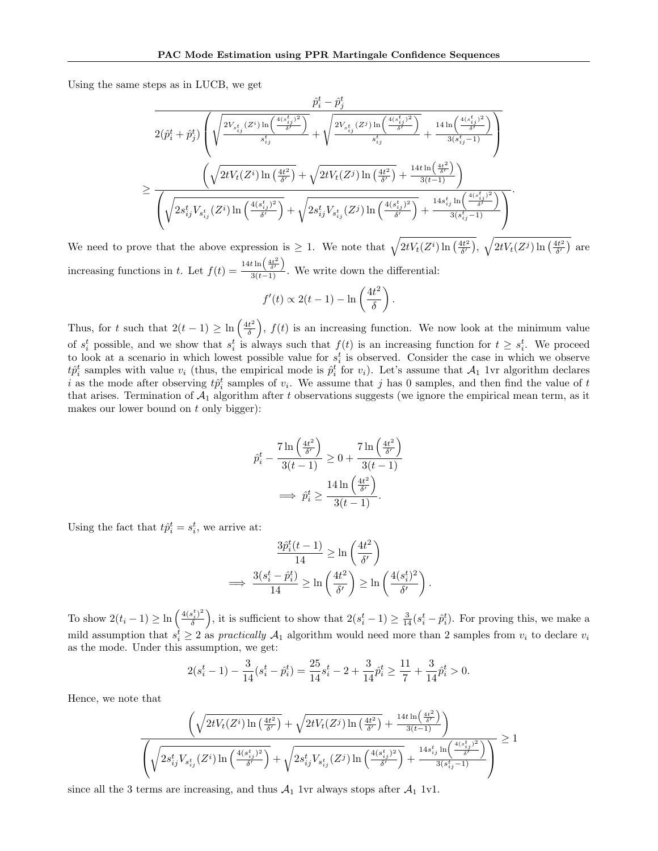Using the same steps as in LUCB, we get

$$
\frac{\hat{p}_i^t - \hat{p}_j^t}{2(\hat{p}_i^t + \hat{p}_j^t)\left(\sqrt{\frac{2V_{s_{ij}^t}(Z^i)\ln\left(\frac{4(s_{ij}^t)^2}{\delta'}\right)}{s_{ij}^t} + \sqrt{\frac{2V_{s_{ij}^t}(Z^j)\ln\left(\frac{4(s_{ij}^t)^2}{\delta'}\right)}{s_{ij}^t} + \frac{14\ln\left(\frac{4(s_{ij}^t)^2}{\delta'}\right)}{3(s_{ij}^t - 1)}}\right)}}{\left(\sqrt{2tV_t(Z^i)\ln\left(\frac{4t^2}{\delta'}\right)} + \sqrt{2tV_t(Z^j)\ln\left(\frac{4t^2}{\delta'}\right)} + \frac{14t\ln\left(\frac{4t^2}{\delta'}\right)}{3(s_{ij}^t) - 1}}\right)}}\right)}{\left(\sqrt{2s_{ij}^tV_{s_{ij}^t}(Z^i)\ln\left(\frac{4(s_{ij}^t)^2}{\delta'}\right)} + \sqrt{2s_{ij}^tV_{s_{ij}^t}(Z^j)\ln\left(\frac{4(s_{ij}^t)^2}{\delta'}\right)} + \frac{14t\ln\left(\frac{4t^2}{\delta'}\right)}{3(s_{ij}^t) - 1}}\right)}}\right)}.
$$

We need to prove that the above expression is  $\geq 1$ . We note that  $\sqrt{2tV_t(Z^i)\ln\left(\frac{4t^2}{\delta'}\right)}$ ,  $\sqrt{2tV_t(Z^j)\ln\left(\frac{4t^2}{\delta'}\right)}$  are increasing functions in t. Let  $f(t) =$  $14t\ln\left(\frac{4t^2}{\delta'}\right)$  $\frac{3\pi}{3(t-1)}$ . We write down the differential:

$$
f'(t) \propto 2(t-1) - \ln\left(\frac{4t^2}{\delta}\right).
$$

Thus, for t such that  $2(t-1) \geq \ln \left( \frac{4t^2}{\delta} \right)$  $\left(\frac{t^2}{\delta}\right)$ ,  $f(t)$  is an increasing function. We now look at the minimum value of  $s_i^t$  possible, and we show that  $s_i^t$  is always such that  $f(t)$  is an increasing function for  $t \geq s_i^t$ . We proceed to look at a scenario in which lowest possible value for  $s_i^t$  is observed. Consider the case in which we observe  $t\hat{p}_i^t$  samples with value  $v_i$  (thus, the empirical mode is  $\hat{p}_i^t$  for  $v_i$ ). Let's assume that  $\mathcal{A}_1$  1vr algorithm declares i as the mode after observing  $t\hat{p}_i^t$  samples of  $v_i$ . We assume that j has 0 samples, and then find the value of t that arises. Termination of  $A_1$  algorithm after t observations suggests (we ignore the empirical mean term, as it makes our lower bound on  $t$  only bigger):

$$
\hat{p}_i^t - \frac{7 \ln\left(\frac{4t^2}{\delta'}\right)}{3(t-1)} \ge 0 + \frac{7 \ln\left(\frac{4t^2}{\delta'}\right)}{3(t-1)}
$$
\n
$$
\implies \hat{p}_i^t \ge \frac{14 \ln\left(\frac{4t^2}{\delta'}\right)}{3(t-1)}.
$$

Using the fact that  $t\hat{p}_i^t = s_i^t$ , we arrive at:

$$
\frac{3\hat{p}_i^t(t-1)}{14} \ge \ln\left(\frac{4t^2}{\delta'}\right)
$$
  

$$
\implies \frac{3(s_i^t - \hat{p}_i^t)}{14} \ge \ln\left(\frac{4t^2}{\delta'}\right) \ge \ln\left(\frac{4(s_i^t)^2}{\delta'}\right).
$$

To show  $2(t_i-1) \geq \ln \left( \frac{4(s_i^t)^2}{\delta} \right)$  $\left(\frac{\delta_i^t j^2}{\delta}\right)$ , it is sufficient to show that  $2(s_i^t-1) \geq \frac{3}{14}(s_i^t - \hat{p}_i^t)$ . For proving this, we make a mild assumption that  $s_i^t \geq 2$  as practically  $\mathcal{A}_1$  algorithm would need more than 2 samples from  $v_i$  to declare  $v_i$ as the mode. Under this assumption, we get:

$$
2(s_i^t - 1) - \frac{3}{14}(s_i^t - \hat{p}_i^t) = \frac{25}{14}s_i^t - 2 + \frac{3}{14}\hat{p}_i^t \ge \frac{11}{7} + \frac{3}{14}\hat{p}_i^t > 0.
$$

Hence, we note that

$$
\frac{\left(\sqrt{2tV_t(Z^i)\ln\left(\frac{4t^2}{\delta'}\right)} + \sqrt{2tV_t(Z^j)\ln\left(\frac{4t^2}{\delta'}\right)} + \frac{14t\ln\left(\frac{4t^2}{\delta'}\right)}{3(t-1)}\right)}{\left(\sqrt{2s_{ij}^tV_{s_{ij}^t}(Z^i)\ln\left(\frac{4(s_{ij}^t)^2}{\delta'}\right)} + \sqrt{2s_{ij}^tV_{s_{ij}^t}(Z^j)\ln\left(\frac{4(s_{ij}^t)^2}{\delta'}\right)} + \frac{14s_{ij}^t\ln\left(\frac{4(s_{ij}^t)^2}{\delta'}\right)}{3(s_{ij}^t-1)}\right)} \ge 1
$$

<span id="page-15-0"></span>since all the 3 terms are increasing, and thus  $A_1$  1vr always stops after  $A_1$  1v1.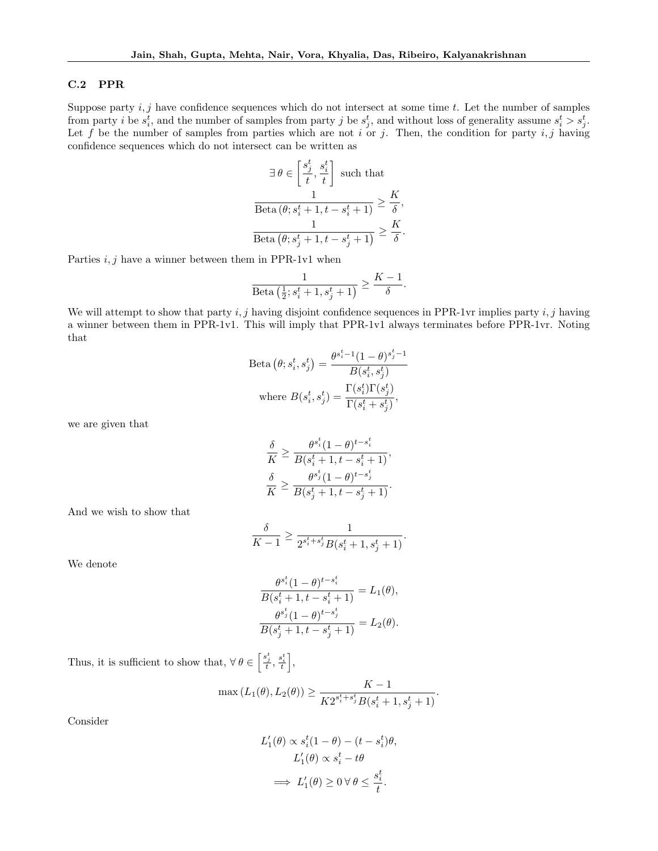### C.2 PPR

Suppose party  $i, j$  have confidence sequences which do not intersect at some time t. Let the number of samples from party *i* be  $s_i^t$ , and the number of samples from party *j* be  $s_j^t$ , and without loss of generality assume  $s_i^t > s_j^t$ . Let f be the number of samples from parties which are not i or j. Then, the condition for party  $i, j$  having confidence sequences which do not intersect can be written as

$$
\exists \theta \in \left[\frac{s_j^t}{t}, \frac{s_i^t}{t}\right] \text{ such that}
$$

$$
\frac{1}{\text{Beta}(\theta; s_i^t + 1, t - s_i^t + 1)} \ge \frac{K}{\delta}
$$

$$
\frac{1}{\text{Beta}(\theta; s_j^t + 1, t - s_j^t + 1)} \ge \frac{K}{\delta}
$$

,

.

Parties  $i, j$  have a winner between them in PPR-1v1 when

$$
\frac{1}{\text{Beta}\left(\frac{1}{2}; s_i^t + 1, s_j^t + 1\right)} \ge \frac{K - 1}{\delta}.
$$

We will attempt to show that party  $i, j$  having disjoint confidence sequences in PPR-1vr implies party  $i, j$  having a winner between them in PPR-1v1. This will imply that PPR-1v1 always terminates before PPR-1vr. Noting that

$$
\text{Beta}(\theta; s_i^t, s_j^t) = \frac{\theta^{s_i^t - 1} (1 - \theta)^{s_j^t - 1}}{B(s_i^t, s_j^t)}
$$
\n
$$
\text{where } B(s_i^t, s_j^t) = \frac{\Gamma(s_i^t) \Gamma(s_j^t)}{\Gamma(s_i^t + s_j^t)},
$$

we are given that

$$
\frac{\delta}{K} \ge \frac{\theta^{s_i^t}(1-\theta)^{t-s_i^t}}{B(s_i^t + 1, t - s_i^t + 1)},
$$
  

$$
\frac{\delta}{K} \ge \frac{\theta^{s_j^t}(1-\theta)^{t-s_j^t}}{B(s_j^t + 1, t - s_j^t + 1)}.
$$

And we wish to show that

$$
\frac{\delta}{K-1} \ge \frac{1}{2^{s^t_i + s^t_j} B(s^t_i + 1, s^t_j + 1)}.
$$

We denote

$$
\frac{\theta^{s_i^t}(1-\theta)^{t-s_i^t}}{B(s_i^t+1, t-s_i^t+1)} = L_1(\theta),
$$

$$
\frac{\theta^{s_j^t}(1-\theta)^{t-s_j^t}}{B(s_j^t+1, t-s_j^t+1)} = L_2(\theta).
$$

Thus, it is sufficient to show that,  $\forall \theta \in \left[\frac{s_j^t}{t}, \frac{s_i^t}{t}\right],$ 

$$
\max (L_1(\theta), L_2(\theta)) \ge \frac{K-1}{K2^{s_i^t+s_j^t}B(s_i^t+1, s_j^t+1)}.
$$

Consider

$$
L'_1(\theta) \propto s_i^t (1 - \theta) - (t - s_i^t)\theta,
$$
  

$$
L'_1(\theta) \propto s_i^t - t\theta
$$
  

$$
\implies L'_1(\theta) \ge 0 \,\forall \,\theta \le \frac{s_i^t}{t}.
$$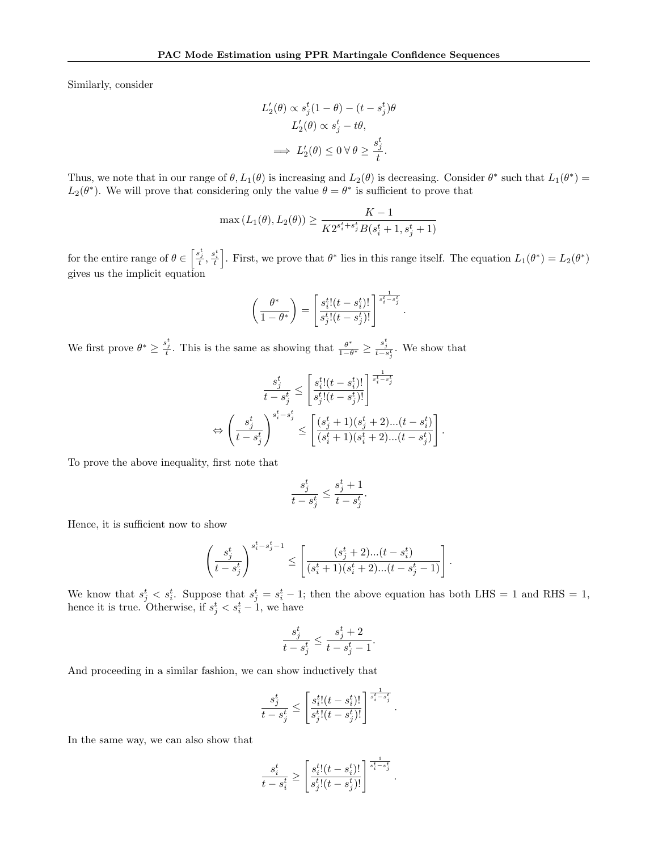Similarly, consider

$$
\begin{aligned} L_2'(\theta) &\propto s_j^t(1-\theta)-(t-s_j^t)\theta\\ L_2'(\theta) &\propto s_j^t-t\theta,\\ \implies L_2'(\theta) &\leq 0\ \forall\ \theta\geq \frac{s_j^t}{t}. \end{aligned}
$$

Thus, we note that in our range of  $\theta$ ,  $L_1(\theta)$  is increasing and  $L_2(\theta)$  is decreasing. Consider  $\theta^*$  such that  $L_1(\theta^*)$  =  $L_2(\theta^*)$ . We will prove that considering only the value  $\theta = \theta^*$  is sufficient to prove that

$$
\max (L_1(\theta), L_2(\theta)) \ge \frac{K-1}{K2^{s_i^t + s_j^t} B(s_i^t + 1, s_j^t + 1)}
$$

for the entire range of  $\theta \in \left[\frac{s_i^t}{t}, \frac{s_i^t}{t}\right]$ . First, we prove that  $\theta^*$  lies in this range itself. The equation  $L_1(\theta^*) = L_2(\theta^*)$ gives us the implicit equation

$$
\left(\frac{\theta^*}{1-\theta^*}\right) = \left[\frac{s_i^t!(t-s_i^t)!}{s_j^t!(t-s_j^t)!}\right]^{\frac{1}{s_i^t-s_j^t}}
$$

.

.

We first prove  $\theta^* \geq \frac{s_j^t}{t}$ . This is the same as showing that  $\frac{\theta^*}{1-t}$  $\frac{\theta^*}{1-\theta^*} \geq \frac{s_j^t}{t-s_j^t}$ . We show that

$$
\begin{aligned} \frac{s_j^t}{t-s_j^t} &\leq \left[\frac{s_i^t!(t-s_i^t)!}{s_j^t!(t-s_j^t)!}\right]^{\frac{1}{s_i^t-s_j^t}}\\ \Leftrightarrow \left(\frac{s_j^t}{t-s_j^t}\right)^{s_i^t-s_j^t} &\leq \left[\frac{(s_j^t+1)(s_j^t+2)...(t-s_i^t)}{(s_i^t+1)(s_i^t+2)...(t-s_j^t)}\right] \end{aligned}
$$

To prove the above inequality, first note that

$$
\frac{s_j^t}{t-s_j^t} \le \frac{s_j^t+1}{t-s_j^t}.
$$

Hence, it is sufficient now to show

$$
\left(\frac{s_j^t}{t-s_j^t}\right)^{s_i^t-s_j^t-1}\leq \left[\frac{(s_j^t+2)...(t-s_i^t)}{(s_i^t+1)(s_i^t+2)...(t-s_j^t-1)}\right].
$$

We know that  $s_j^t < s_i^t$ . Suppose that  $s_j^t = s_i^t - 1$ ; then the above equation has both LHS = 1 and RHS = 1, hence it is true. Otherwise, if  $s_j^t < s_i^t - 1$ , we have

$$
\frac{s_j^t}{t-s_j^t} \le \frac{s_j^t+2}{t-s_j^t-1}.
$$

And proceeding in a similar fashion, we can show inductively that

$$
\frac{s_j^t}{t-s_j^t} \leq \left[\frac{s_i^t!(t-s_i^t)!}{s_j^t!(t-s_j^t)!}\right]^{\frac{1}{s_i^t-s_j^t}}
$$

.

In the same way, we can also show that

$$
\frac{s_i^t}{t-s_i^t} \ge \left[\frac{s_i^t!(t-s_i^t)!}{s_j^t!(t-s_j^t)!}\right]^{\frac{1}{s_i^t-s_j^t}}.
$$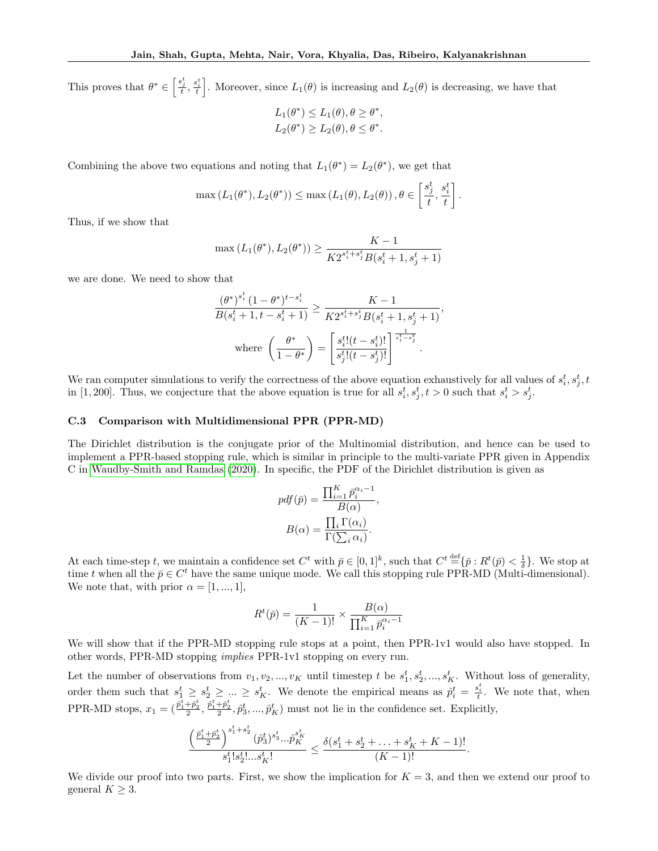This proves that  $\theta^* \in \left[\frac{s_j^*}{t}, \frac{s_i^*}{t}\right]$ . Moreover, since  $L_1(\theta)$  is increasing and  $L_2(\theta)$  is decreasing, we have that

$$
L_1(\theta^*) \le L_1(\theta), \theta \ge \theta^*,
$$
  

$$
L_2(\theta^*) \ge L_2(\theta), \theta \le \theta^*.
$$

Combining the above two equations and noting that  $L_1(\theta^*) = L_2(\theta^*)$ , we get that

$$
\max\left(L_1(\theta^*), L_2(\theta^*)\right) \leq \max\left(L_1(\theta), L_2(\theta)\right), \theta \in \left[\frac{s_j^t}{t}, \frac{s_i^t}{t}\right].
$$

Thus, if we show that

$$
\max(L_1(\theta^*), L_2(\theta^*)) \ge \frac{K-1}{K2^{s_i^t + s_j^t} B(s_i^t + 1, s_j^t + 1)}
$$

we are done. We need to show that

$$
\frac{\left(\theta^{*}\right)^{s_{i}^{t}}(1-\theta^{*})^{t-s_{i}^{t}}}{B(s_{i}^{t}+1, t-s_{i}^{t}+1)} \geq \frac{K-1}{K2^{s_{i}^{t}+s_{j}^{t}}B(s_{i}^{t}+1, s_{j}^{t}+1)},
$$
\n
$$
\text{where } \left(\frac{\theta^{*}}{1-\theta^{*}}\right) = \left[\frac{s_{i}^{t}!(t-s_{i}^{t})!}{s_{j}^{t}!(t-s_{j}^{t})!}\right]^{\frac{1}{s_{i}^{t}-s_{j}^{t}}}.
$$

We ran computer simulations to verify the correctness of the above equation exhaustively for all values of  $s_i^t, s_j^t, t_j^t$ in [1, 200]. Thus, we conjecture that the above equation is true for all  $s_i^t, s_j^t, t > 0$  such that  $s_i^t > s_j^t$ .

#### <span id="page-18-0"></span>C.3 Comparison with Multidimensional PPR (PPR-MD)

The Dirichlet distribution is the conjugate prior of the Multinomial distribution, and hence can be used to implement a PPR-based stopping rule, which is similar in principle to the multi-variate PPR given in Appendix C in [Waudby-Smith and Ramdas \(2020\)](#page-10-0). In specific, the PDF of the Dirichlet distribution is given as

$$
pdf(\bar{p}) = \frac{\prod_{i=1}^{K} \bar{p}_i^{\alpha_i - 1}}{B(\alpha)},
$$

$$
B(\alpha) = \frac{\prod_{i} \Gamma(\alpha_i)}{\Gamma(\sum_{i} \alpha_i)}.
$$

At each time-step t, we maintain a confidence set  $C^t$  with  $\bar{p} \in [0,1]^k$ , such that  $C^t \stackrel{\text{def}}{=} \{\bar{p}: R^t(\bar{p}) < \frac{1}{\delta}\}$ . We stop at time t when all the  $\bar{p} \in C^t$  have the same unique mode. We call this stopping rule PPR-MD (Multi-dimensional). We note that, with prior  $\alpha = [1, ..., 1]$ ,

$$
R^{t}(\bar{p}) = \frac{1}{(K-1)!} \times \frac{B(\alpha)}{\prod_{i=1}^{K} \bar{p}_{i}^{\alpha_{i}-1}}
$$

We will show that if the PPR-MD stopping rule stops at a point, then PPR-1v1 would also have stopped. In other words, PPR-MD stopping implies PPR-1v1 stopping on every run.

Let the number of observations from  $v_1, v_2, ..., v_K$  until timestep t be  $s_1^t, s_2^t, ..., s_K^t$ . Without loss of generality, order them such that  $s_1^t \geq s_2^t \geq ... \geq s_K^t$ . We denote the empirical means as  $\hat{p}_i^t = \frac{s_i^t}{t}$ . We note that, when PPR-MD stops,  $x_1 = \left(\frac{\hat{p}_1^t + \hat{p}_2^t}{2}, \frac{\hat{p}_1^t + \hat{p}_2^t}{2}, \hat{p}_3^t, ..., \hat{p}_K^t\right)$  must not lie in the confidence set. Explicitly,

$$
\frac{\left(\frac{\hat{p}^t_1+\hat{p}^t_2}{2}\right)^{s^t_1+s^t_2}(\hat{p}^t_3)^{s^t_3}...\hat{p}^{s^t_K}_{K}}{s^t_1!s^t_2!...s^t_K!}\leq \frac{\delta(s^t_1+s^t_2+\ldots+s^t_K+K-1)!}{(K-1)!}.
$$

We divide our proof into two parts. First, we show the implication for  $K = 3$ , and then we extend our proof to general  $K \geq 3$ .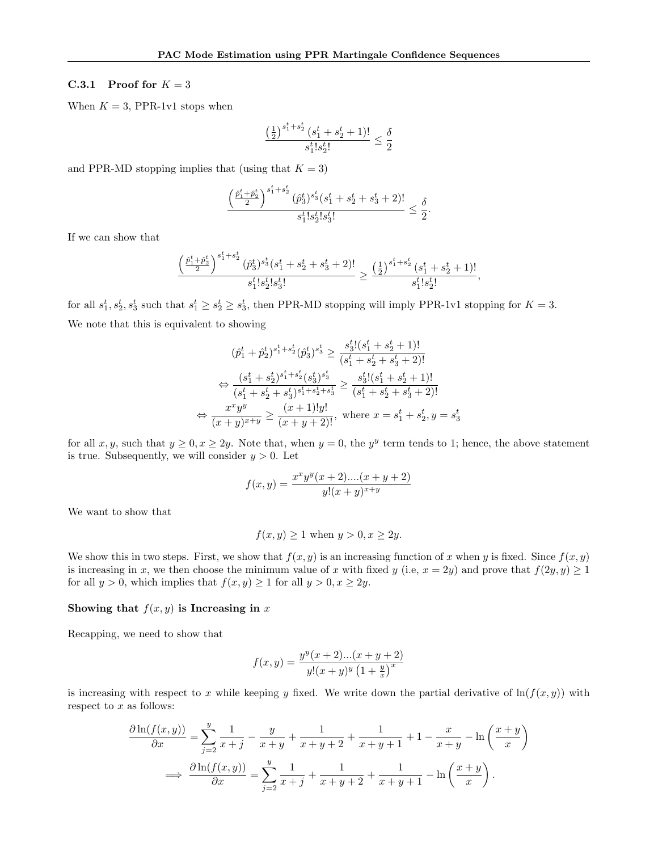### C.3.1 Proof for  $K = 3$

When  $K = 3$ , PPR-1v1 stops when

$$
\frac{\left(\frac{1}{2}\right)^{s^t_1+s^t_2}(s^t_1+s^t_2+1)!}{s^t_1!s^t_2!}\leq\frac{\delta}{2}
$$

and PPR-MD stopping implies that (using that  $K = 3$ )

$$
\frac{\left(\frac{\hat{p}_1^t+\hat{p}_2^t}{2}\right)^{s_1^t+s_2^t}(\hat{p}_3^t)^{s_3^t}(s_1^t+s_2^t+s_3^t+2)!}{s_1^t!s_2^t!s_3^t!}\leq \frac{\delta}{2}
$$

.

If we can show that

$$
\frac{\left(\frac{\hat{p}^t_1+\hat{p}^t_2}{2}\right)^{s^t_1+s^t_2}(\hat{p}^t_3)^{s^t_3}(s^t_1+s^t_2+s^t_3+2)!}{s^t_1!s^t_2!s^t_3!}\geq \frac{\left(\frac{1}{2}\right)^{s^t_1+s^t_2}(s^t_1+s^t_2+1)!}{s^t_1!s^t_2!},
$$

for all  $s_1^t, s_2^t, s_3^t$  such that  $s_1^t \geq s_2^t \geq s_3^t$ , then PPR-MD stopping will imply PPR-1v1 stopping for  $K = 3$ . We note that this is equivalent to showing

$$
(\hat{p}_1^t + \hat{p}_2^t)^{s_1^t + s_2^t} (\hat{p}_3^t)^{s_3^t} \ge \frac{s_3^t! (s_1^t + s_2^t + 1)!}{(s_1^t + s_2^t + s_3^t + 2)!}
$$
  
\n
$$
\Leftrightarrow \frac{(s_1^t + s_2^t)^{s_1^t + s_2^t} (s_3^t)^{s_3^t}}{(s_1^t + s_2^t + s_3^t)^{s_1^t + s_2^t + s_3^t} \ge \frac{s_3^t! (s_1^t + s_2^t + 1)!}{(s_1^t + s_2^t + s_3^t + 2)!}
$$
  
\n
$$
\Leftrightarrow \frac{x^x y^y}{(x + y)^{x + y}} \ge \frac{(x + 1)! y!}{(x + y + 2)!}, \text{ where } x = s_1^t + s_2^t, y = s_3^t
$$

for all  $x, y$ , such that  $y \ge 0, x \ge 2y$ . Note that, when  $y = 0$ , the  $y<sup>y</sup>$  term tends to 1; hence, the above statement is true. Subsequently, we will consider  $y > 0$ . Let

$$
f(x,y) = \frac{x^xy^y(x+2)\dots(x+y+2)}{y!(x+y)^{x+y}}
$$

We want to show that

$$
f(x, y) \ge 1
$$
 when  $y > 0, x \ge 2y$ .

We show this in two steps. First, we show that  $f(x, y)$  is an increasing function of x when y is fixed. Since  $f(x, y)$ is increasing in x, we then choose the minimum value of x with fixed y (i.e,  $x = 2y$ ) and prove that  $f(2y, y) \ge 1$ for all  $y > 0$ , which implies that  $f(x, y) \ge 1$  for all  $y > 0, x \ge 2y$ .

### Showing that  $f(x, y)$  is Increasing in x

Recapping, we need to show that

$$
f(x,y) = \frac{y^{y}(x+2)...(x+y+2)}{y!(x+y)^{y}(1+\frac{y}{x})^{x}}
$$

is increasing with respect to x while keeping y fixed. We write down the partial derivative of  $\ln(f(x, y))$  with respect to  $x$  as follows:

$$
\frac{\partial \ln(f(x,y))}{\partial x} = \sum_{j=2}^{y} \frac{1}{x+j} - \frac{y}{x+y} + \frac{1}{x+y+2} + \frac{1}{x+y+1} + 1 - \frac{x}{x+y} - \ln\left(\frac{x+y}{x}\right)
$$

$$
\implies \frac{\partial \ln(f(x,y))}{\partial x} = \sum_{j=2}^{y} \frac{1}{x+j} + \frac{1}{x+y+2} + \frac{1}{x+y+1} - \ln\left(\frac{x+y}{x}\right).
$$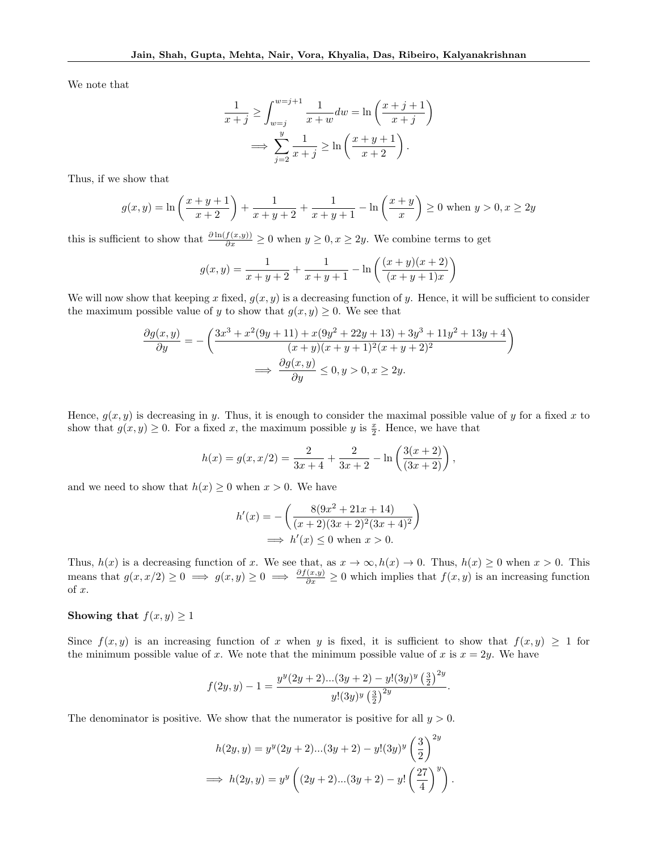We note that

$$
\frac{1}{x+j} \ge \int_{w=j}^{w=j+1} \frac{1}{x+w} dw = \ln\left(\frac{x+j+1}{x+j}\right)
$$

$$
\implies \sum_{j=2}^{y} \frac{1}{x+j} \ge \ln\left(\frac{x+y+1}{x+2}\right).
$$

Thus, if we show that

$$
g(x,y) = \ln\left(\frac{x+y+1}{x+2}\right) + \frac{1}{x+y+2} + \frac{1}{x+y+1} - \ln\left(\frac{x+y}{x}\right) \ge 0 \text{ when } y > 0, x \ge 2y
$$

this is sufficient to show that  $\frac{\partial \ln(f(x,y))}{\partial x} \geq 0$  when  $y \geq 0, x \geq 2y$ . We combine terms to get

$$
g(x,y) = \frac{1}{x+y+2} + \frac{1}{x+y+1} - \ln\left(\frac{(x+y)(x+2)}{(x+y+1)x}\right)
$$

We will now show that keeping x fixed,  $g(x, y)$  is a decreasing function of y. Hence, it will be sufficient to consider the maximum possible value of y to show that  $g(x, y) \geq 0$ . We see that

$$
\frac{\partial g(x,y)}{\partial y} = -\left(\frac{3x^3 + x^2(9y + 11) + x(9y^2 + 22y + 13) + 3y^3 + 11y^2 + 13y + 4}{(x + y)(x + y + 1)^2(x + y + 2)^2}\right)
$$

$$
\implies \frac{\partial g(x,y)}{\partial y} \le 0, y > 0, x \ge 2y.
$$

Hence,  $g(x, y)$  is decreasing in y. Thus, it is enough to consider the maximal possible value of y for a fixed x to show that  $g(x, y) \geq 0$ . For a fixed x, the maximum possible y is  $\frac{x}{2}$ . Hence, we have that

$$
h(x) = g(x, x/2) = \frac{2}{3x + 4} + \frac{2}{3x + 2} - \ln\left(\frac{3(x + 2)}{(3x + 2)}\right),
$$

and we need to show that  $h(x) \geq 0$  when  $x > 0$ . We have

$$
h'(x) = -\left(\frac{8(9x^2 + 21x + 14)}{(x+2)(3x+2)^2(3x+4)^2}\right)
$$
  

$$
\implies h'(x) \le 0 \text{ when } x > 0.
$$

Thus,  $h(x)$  is a decreasing function of x. We see that, as  $x \to \infty$ ,  $h(x) \to 0$ . Thus,  $h(x) \ge 0$  when  $x > 0$ . This means that  $g(x, x/2) \ge 0 \implies g(x, y) \ge 0 \implies \frac{\partial f(x, y)}{\partial x} \ge 0$  which implies that  $f(x, y)$  is an increasing function of x.

### Showing that  $f(x, y) \geq 1$

Since  $f(x, y)$  is an increasing function of x when y is fixed, it is sufficient to show that  $f(x, y) \ge 1$  for the minimum possible value of x. We note that the minimum possible value of x is  $x = 2y$ . We have

$$
f(2y, y) - 1 = \frac{y^{y}(2y + 2)...(3y + 2) - y!(3y)^{y} (\frac{3}{2})^{2y}}{y!(3y)^{y} (\frac{3}{2})^{2y}}.
$$

The denominator is positive. We show that the numerator is positive for all  $y > 0$ .

$$
h(2y, y) = y^{y}(2y + 2)...(3y + 2) - y!(3y)^{y} \left(\frac{3}{2}\right)^{2y}
$$
  
\n
$$
\implies h(2y, y) = y^{y} \left( (2y + 2)...(3y + 2) - y! \left(\frac{27}{4}\right)^{y} \right).
$$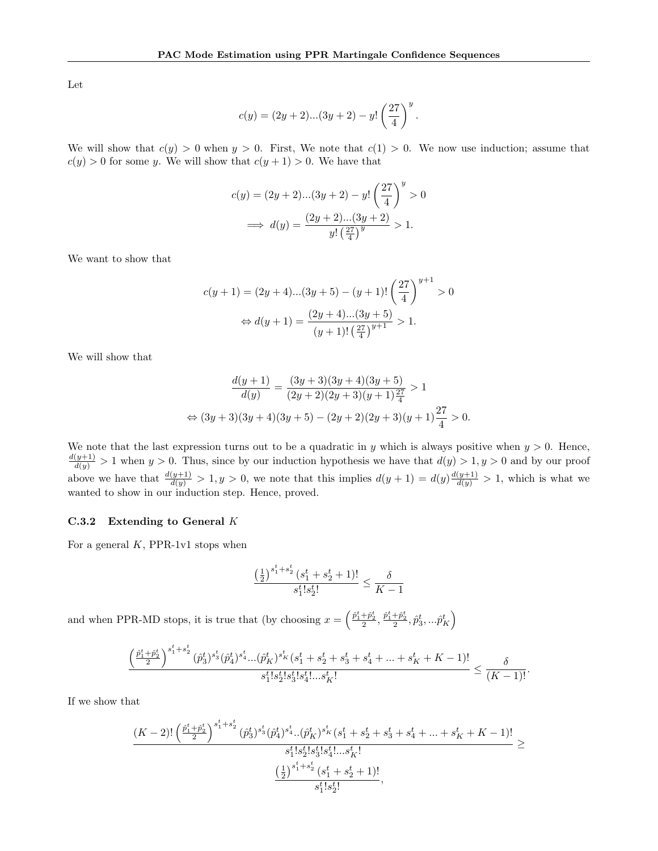Let

$$
c(y) = (2y + 2)...(3y + 2) - y! \left(\frac{27}{4}\right)^y.
$$

We will show that  $c(y) > 0$  when  $y > 0$ . First, We note that  $c(1) > 0$ . We now use induction; assume that  $c(y) > 0$  for some y. We will show that  $c(y + 1) > 0$ . We have that

$$
c(y) = (2y + 2)...(3y + 2) - y! \left(\frac{27}{4}\right)^y > 0
$$
  

$$
\implies d(y) = \frac{(2y + 2)...(3y + 2)}{y! \left(\frac{27}{4}\right)^y} > 1.
$$

We want to show that

$$
c(y+1) = (2y+4)...(3y+5) - (y+1)! \left(\frac{27}{4}\right)^{y+1} > 0
$$
  

$$
\Leftrightarrow d(y+1) = \frac{(2y+4)...(3y+5)}{(y+1)! \left(\frac{27}{4}\right)^{y+1}} > 1.
$$

We will show that

$$
\frac{d(y+1)}{d(y)} = \frac{(3y+3)(3y+4)(3y+5)}{(2y+2)(2y+3)(y+1)\frac{27}{4}} > 1
$$
  
\n
$$
\Leftrightarrow (3y+3)(3y+4)(3y+5) - (2y+2)(2y+3)(y+1)\frac{27}{4} > 0.
$$

We note that the last expression turns out to be a quadratic in y which is always positive when  $y > 0$ . Hence,  $\frac{d(y+1)}{d(y)} > 1$  when  $y > 0$ . Thus, since by our induction hypothesis we have that  $d(y) > 1, y > 0$  and by our proof above we have that  $\frac{d(y+1)}{d(y)} > 1, y > 0$ , we note that this implies  $d(y+1) = d(y)\frac{d(y+1)}{d(y)} > 1$ , which is what we wanted to show in our induction step. Hence, proved.

#### C.3.2 Extending to General K

For a general  $K$ , PPR-1v1 stops when

$$
\frac{\left(\frac{1}{2}\right)^{s_1^t + s_2^t} (s_1^t + s_2^t + 1)!}{s_1^t! s_2^t!} \le \frac{\delta}{K - 1}
$$

and when PPR-MD stops, it is true that (by choosing  $x = \left(\frac{\hat{p}_1^t + \hat{p}_2^t}{2}, \frac{\hat{p}_1^t + \hat{p}_2^t}{2}, \hat{p}_3^t, ...\hat{p}_K^t\right)$ 

$$
\frac{\left(\frac{\hat{p}^t_1+\hat{p}^t_2}{2}\right)^{s^t_1+s^t_2}(\hat{p}^t_3)^{s^t_3}(\hat{p}^t_4)^{s^t_4}...(\hat{p}^t_K)^{s^t_K}(s^t_1+s^t_2+s^t_3+s^t_4+...+s^t_K+K-1)!}{s^t_1!s^t_2!s^t_3!s^t_4!...s^t_K!}\leq \frac{\delta}{(K-1)!}.
$$

If we show that

$$
\frac{(K-2)!\left(\frac{\hat{p}^t_1+\hat{p}^t_2}{2}\right)^{s^t_1+s^t_2}(\hat{p}^t_3)^{s^t_3}(\hat{p}^t_4)^{s^t_4}..(\hat{p}^t_K)^{s^t_K}(s^t_1+s^t_2+s^t_3+s^t_4+...+s^t_K+K-1)!}{s^t_1!s^t_2!s^t_3!s^t_4!...s^t_K!\\\frac{\left(\frac{1}{2}\right)^{s^t_1+s^t_2}(s^t_1+s^t_2+1)!}{s^t_1!s^t_2!},
$$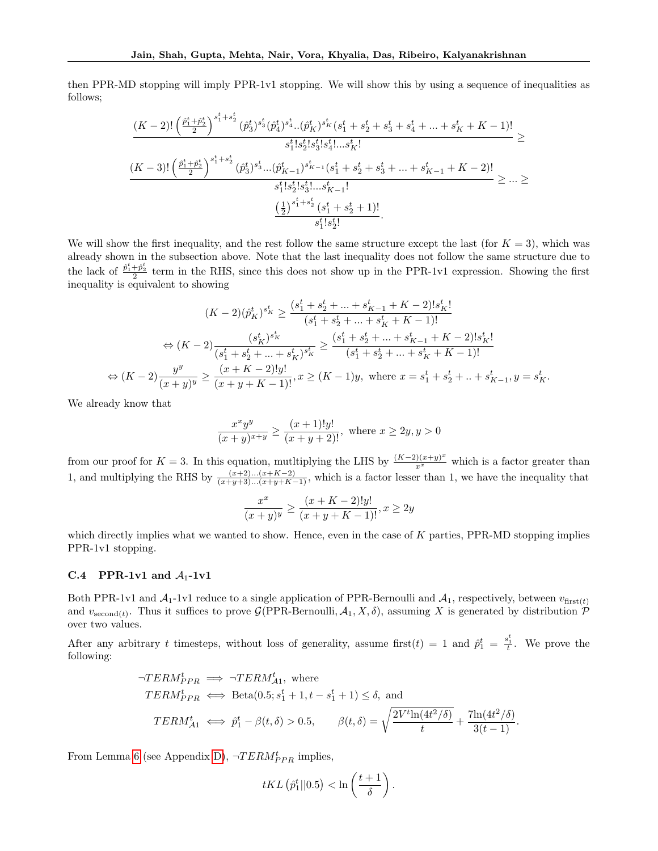then PPR-MD stopping will imply PPR-1v1 stopping. We will show this by using a sequence of inequalities as follows;

$$
\frac{(K-2)!\left(\frac{\hat{p}^t_1+\hat{p}^t_2}{2}\right)^{s^t_1+s^t_2}(\hat{p}^t_3)^{s^t_3}(\hat{p}^t_4)^{s^t_4}..(\hat{p}^t_K)^{s^t_K}(s^t_1+s^t_2+s^t_3+s^t_4+...+s^t_K+K-1)!}{s^t_1!s^t_2!s^t_3!s^t_4!...s^t_K!}\geq\\ \frac{(K-3)!\left(\frac{\hat{p}^t_1+\hat{p}^t_2}{2}\right)^{s^t_1+s^t_2}(\hat{p}^t_3)^{s^t_3}...( \hat{p}^t_{K-1})^{s^t_{K-1}}(s^t_1+s^t_2+s^t_3+...+s^t_{K-1}+K-2)!}{s^t_1!s^t_2!s^t_3!...s^t_{K-1}!}\geq...\geq\\ \frac{\left(\frac{1}{2}\right)^{s^t_1+s^t_2}(s^t_1+s^t_2+1)!}{s^t_1!s^t_2!}.
$$

We will show the first inequality, and the rest follow the same structure except the last (for  $K = 3$ ), which was already shown in the subsection above. Note that the last inequality does not follow the same structure due to the lack of  $\frac{\hat{p}_1^t + \hat{p}_2^t}{2}$  term in the RHS, since this does not show up in the PPR-1v1 expression. Showing the first inequality is equivalent to showing

$$
(K-2)(\hat{p}_{K}^{t})^{s_{K}^{t}} \geq \frac{(s_{1}^{t} + s_{2}^{t} + \ldots + s_{K-1}^{t} + K - 2)!s_{K}^{t}}{(s_{1}^{t} + s_{2}^{t} + \ldots + s_{K}^{t} + K - 1)!}
$$

$$
\Leftrightarrow (K-2)\frac{(s_{K}^{t})^{s_{K}^{t}}}{(s_{1}^{t} + s_{2}^{t} + \ldots + s_{K}^{t})^{s_{K}^{t}} \geq \frac{(s_{1}^{t} + s_{2}^{t} + \ldots + s_{K-1}^{t} + K - 2)!s_{K}^{t}}{(s_{1}^{t} + s_{2}^{t} + \ldots + s_{K}^{t} + K - 1)!}
$$

$$
\Leftrightarrow (K-2)\frac{y^{y}}{(x+y)^{y}} \geq \frac{(x+K-2)!y!}{(x+y+K-1)!}, x \geq (K-1)y, \text{ where } x = s_{1}^{t} + s_{2}^{t} + \ldots + s_{K-1}^{t}, y = s_{K}^{t}.
$$

We already know that

$$
\frac{x^xy^y}{(x+y)^{x+y}} \ge \frac{(x+1)!y!}{(x+y+2)!}
$$
, where  $x \ge 2y, y > 0$ 

from our proof for  $K = 3$ . In this equation, mutitiplying the LHS by  $\frac{(K-2)(x+y)^x}{x^x}$  which is a factor greater than 1, and multiplying the RHS by  $\frac{(x+2)...(x+K-2)}{(x+y+3)...(x+y+K-1)}$ , which is a factor lesser than 1, we have the inequality that

$$
\frac{x^x}{(x+y)^y} \ge \frac{(x+K-2)!y!}{(x+y+K-1)!}, x \ge 2y
$$

which directly implies what we wanted to show. Hence, even in the case of  $K$  parties, PPR-MD stopping implies PPR-1v1 stopping.

#### <span id="page-22-0"></span>C.4 PPR-1v1 and  $A_1$ -1v1

Both PPR-1v1 and  $A_1$ -1v1 reduce to a single application of PPR-Bernoulli and  $A_1$ , respectively, between  $v_{\text{first}(t)}$ and  $v_{\text{second}(t)}$ . Thus it suffices to prove  $\mathcal{G}(\text{PPR-Bernoulli}, \mathcal{A}_1, X, \delta)$ , assuming X is generated by distribution  $\mathcal P$ over two values.

After any arbitrary t timesteps, without loss of generality, assume first(t) = 1 and  $\hat{p}_1^t = \frac{s_1^t}{t}$ . We prove the following:

$$
\neg TERM_{PPR}^t \implies \neg TERM_{A1}^t, \text{ where}
$$
  
\n
$$
TERM_{PPR}^t \iff \text{Beta}(0.5; s_1^t + 1, t - s_1^t + 1) \le \delta, \text{ and}
$$
  
\n
$$
TERM_{A1}^t \iff \hat{p}_1^t - \beta(t, \delta) > 0.5, \qquad \beta(t, \delta) = \sqrt{\frac{2V^t \ln(4t^2/\delta)}{t}} + \frac{7\ln(4t^2/\delta)}{3(t-1)}.
$$

From Lemma [6](#page-26-0) (see Appendix [D\)](#page-24-0),  $\neg$ *TERM*<sup>*t*</sup><sub>*PPR*</sub> implies,

$$
tKL\left(\hat{p}_1^t||0.5\right) < \ln\left(\frac{t+1}{\delta}\right).
$$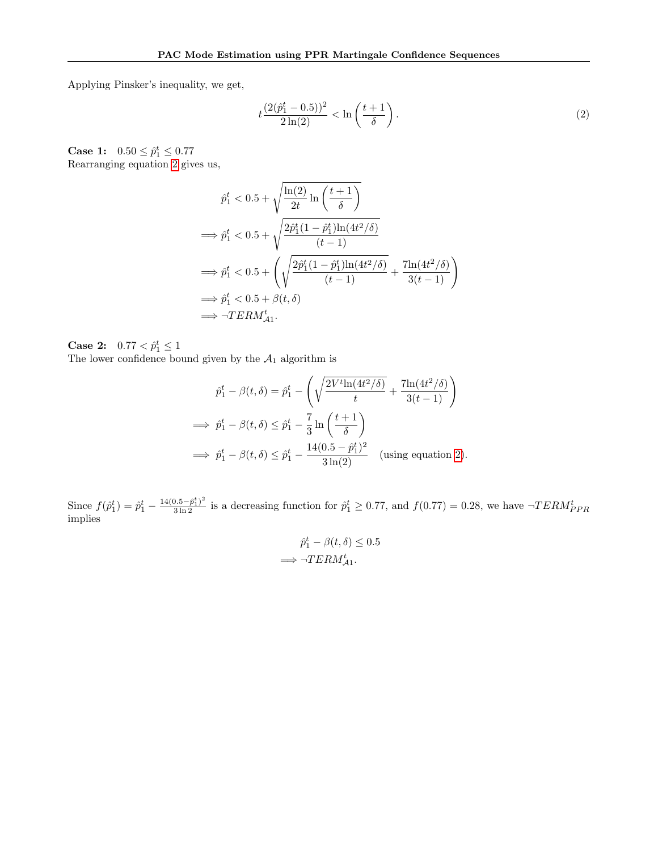Applying Pinsker's inequality, we get,

<span id="page-23-0"></span>
$$
t\frac{(2(\hat{p}_1^t - 0.5))^2}{2\ln(2)} < \ln\left(\frac{t+1}{\delta}\right). \tag{2}
$$

**Case 1:**  $0.50 \le \hat{p}_1^t \le 0.77$ Rearranging equation [2](#page-23-0) gives us,

$$
\hat{p}_1^t < 0.5 + \sqrt{\frac{\ln(2)}{2t} \ln\left(\frac{t+1}{\delta}\right)}
$$
\n
$$
\implies \hat{p}_1^t < 0.5 + \sqrt{\frac{2\hat{p}_1^t (1 - \hat{p}_1^t) \ln(4t^2/\delta)}{(t-1)}}
$$
\n
$$
\implies \hat{p}_1^t < 0.5 + \left(\sqrt{\frac{2\hat{p}_1^t (1 - \hat{p}_1^t) \ln(4t^2/\delta)}{(t-1)}} + \frac{7\ln(4t^2/\delta)}{3(t-1)}\right)
$$
\n
$$
\implies \hat{p}_1^t < 0.5 + \beta(t, \delta)
$$
\n
$$
\implies \neg TERM_{\mathcal{A}_1}^t.
$$

**Case 2:**  $0.77 < \hat{p}_1^t \le 1$ The lower confidence bound given by the  $A_1$  algorithm is

$$
\hat{p}_1^t - \beta(t,\delta) = \hat{p}_1^t - \left(\sqrt{\frac{2V^t \ln(4t^2/\delta)}{t}} + \frac{7\ln(4t^2/\delta)}{3(t-1)}\right)
$$
\n
$$
\implies \hat{p}_1^t - \beta(t,\delta) \le \hat{p}_1^t - \frac{7}{3}\ln\left(\frac{t+1}{\delta}\right)
$$
\n
$$
\implies \hat{p}_1^t - \beta(t,\delta) \le \hat{p}_1^t - \frac{14(0.5 - \hat{p}_1^t)^2}{3\ln(2)} \quad \text{(using equation 2)}.
$$

Since  $f(\hat{p}_1^t) = \hat{p}_1^t - \frac{14(0.5 - \hat{p}_1^t)^2}{3 \ln 2}$  is a decreasing function for  $\hat{p}_1^t \ge 0.77$ , and  $f(0.77) = 0.28$ , we have  $\neg$ *TERM*<sup>*t*</sup><sub>*PPR*</sub> implies

$$
\hat{p}_1^t - \beta(t, \delta) \le 0.5
$$
  

$$
\implies \neg TERM_{\mathcal{A}1}^t.
$$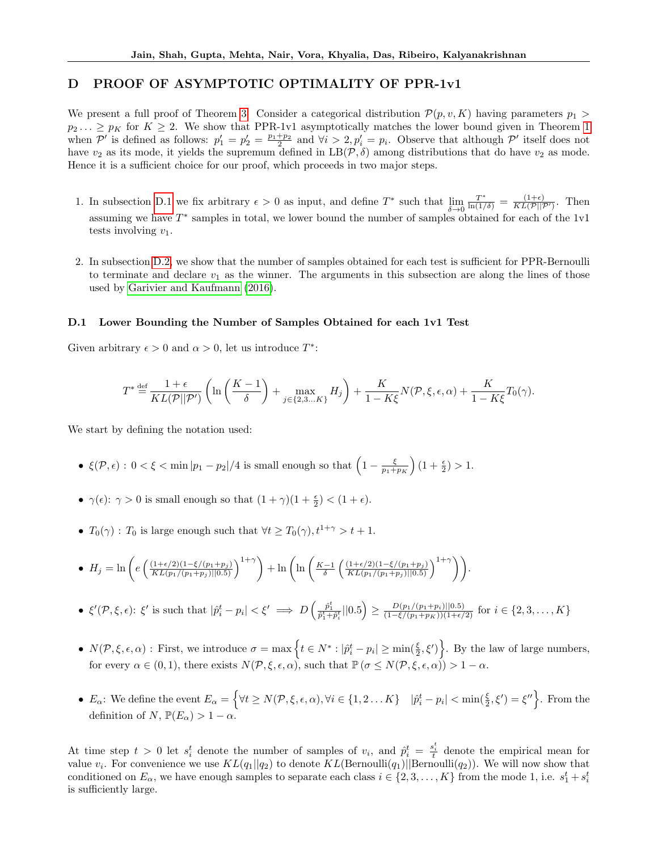# <span id="page-24-0"></span>D PROOF OF ASYMPTOTIC OPTIMALITY OF PPR-1v1

We present a full proof of Theorem [3.](#page-5-3) Consider a categorical distribution  $\mathcal{P}(p, v, K)$  having parameters  $p_1 >$  $p_2 \ldots \geq p_K$  for  $K \geq 2$ . We show that PPR-1v1 asymptotically matches the lower bound given in Theorem [1](#page-0-0) when  $\mathcal{P}'$  is defined as follows:  $p'_1 = p'_2 = \frac{p_1 + p_2}{2}$  and  $\forall i > 2, p'_i = p_i$ . Observe that although  $\mathcal{P}'$  itself does not have  $v_2$  as its mode, it yields the supremum defined in  $LB(\mathcal{P}, \delta)$  among distributions that do have  $v_2$  as mode. Hence it is a sufficient choice for our proof, which proceeds in two major steps.

- 1. In subsection [D.1](#page-24-1) we fix arbitrary  $\epsilon > 0$  as input, and define  $T^*$  such that  $\lim_{\delta \to 0}$  $\frac{T^*}{\ln(1/\delta)} = \frac{(1+\epsilon)}{KL(\mathcal{P}||\mathcal{P}')}$ . Then assuming we have  $T^*$  samples in total, we lower bound the number of samples obtained for each of the 1v1 tests involving  $v_1$ .
- 2. In subsection [D.2,](#page-25-0) we show that the number of samples obtained for each test is sufficient for PPR-Bernoulli to terminate and declare  $v_1$  as the winner. The arguments in this subsection are along the lines of those used by [Garivier and Kaufmann \(2016\)](#page-9-1).

#### <span id="page-24-1"></span>D.1 Lower Bounding the Number of Samples Obtained for each 1v1 Test

Given arbitrary  $\epsilon > 0$  and  $\alpha > 0$ , let us introduce  $T^*$ :

$$
T^* \stackrel{\text{def}}{=} \frac{1+\epsilon}{KL(\mathcal{P}||\mathcal{P}')} \left( \ln \left( \frac{K-1}{\delta} \right) + \max_{j \in \{2,3...K\}} H_j \right) + \frac{K}{1-K\xi} N(\mathcal{P}, \xi, \epsilon, \alpha) + \frac{K}{1-K\xi} T_0(\gamma).
$$

We start by defining the notation used:

- $\xi(\mathcal{P}, \epsilon): 0 < \xi < \min |p_1 p_2|/4$  is small enough so that  $\left(1 \frac{\xi}{p_1 + p_K}\right)(1 + \frac{\epsilon}{2}) > 1$ .
- $\gamma(\epsilon)$ :  $\gamma > 0$  is small enough so that  $(1 + \gamma)(1 + \frac{\epsilon}{2}) < (1 + \epsilon)$ .
- $T_0(\gamma)$ :  $T_0$  is large enough such that  $\forall t \geq T_0(\gamma)$ ,  $t^{1+\gamma} > t+1$ .

• 
$$
H_j = \ln\left(e\left(\frac{(1+\epsilon/2)(1-\xi/(p_1+p_j))}{KL(p_1/(p_1+p_j)||0.5)}\right)^{1+\gamma}\right) + \ln\left(\ln\left(\frac{K-1}{\delta}\left(\frac{(1+\epsilon/2)(1-\xi/(p_1+p_j))}{KL(p_1/(p_1+p_j)||0.5)}\right)^{1+\gamma}\right)\right).
$$

- $\xi'(\mathcal{P}, \xi, \epsilon)$ :  $\xi'$  is such that  $|\hat{p}_i^t p_i| < \xi' \implies D\left(\frac{\hat{p}_1^t}{\hat{p}_1^t + \hat{p}_i^t} ||0.5\right) \ge \frac{D(p_1/(p_1+p_i)||0.5)}{(1-\xi/(p_1+p_K))(1+\epsilon/2)}$  for  $i \in \{2, 3, ..., K\}$
- $N(\mathcal{P}, \xi, \epsilon, \alpha)$ : First, we introduce  $\sigma = \max \left\{ t \in N^* : |\hat{p}_i^t p_i| \ge \min(\frac{\xi}{2}, \xi') \right\}$ . By the law of large numbers, for every  $\alpha \in (0,1)$ , there exists  $N(\mathcal{P}, \xi, \epsilon, \alpha)$ , such that  $\mathbb{P}(\sigma \leq N(\mathcal{P}, \xi, \epsilon, \alpha)) > 1 - \alpha$ .
- $E_{\alpha}$ : We define the event  $E_{\alpha} = \left\{ \forall t \ge N(\mathcal{P}, \xi, \epsilon, \alpha), \forall i \in \{1, 2 \dots K\} \mid |\hat{p}_i^t p_i| < \min(\frac{\xi}{2}, \xi') = \xi'' \right\}$ . From the definition of N,  $\mathbb{P}(E_{\alpha}) > 1 - \alpha$ .

At time step  $t > 0$  let  $s_i^t$  denote the number of samples of  $v_i$ , and  $\hat{p}_i^t = \frac{s_i^t}{t}$  denote the empirical mean for value  $v_i$ . For convenience we use  $KL(q_1||q_2)$  to denote  $KL(\text{Bernoulli}(q_1)||\text{Bernoulli}(q_2))$ . We will now show that conditioned on  $E_{\alpha}$ , we have enough samples to separate each class  $i \in \{2, 3, ..., K\}$  from the mode 1, i.e.  $s_1^t + s_i^t$ is sufficiently large.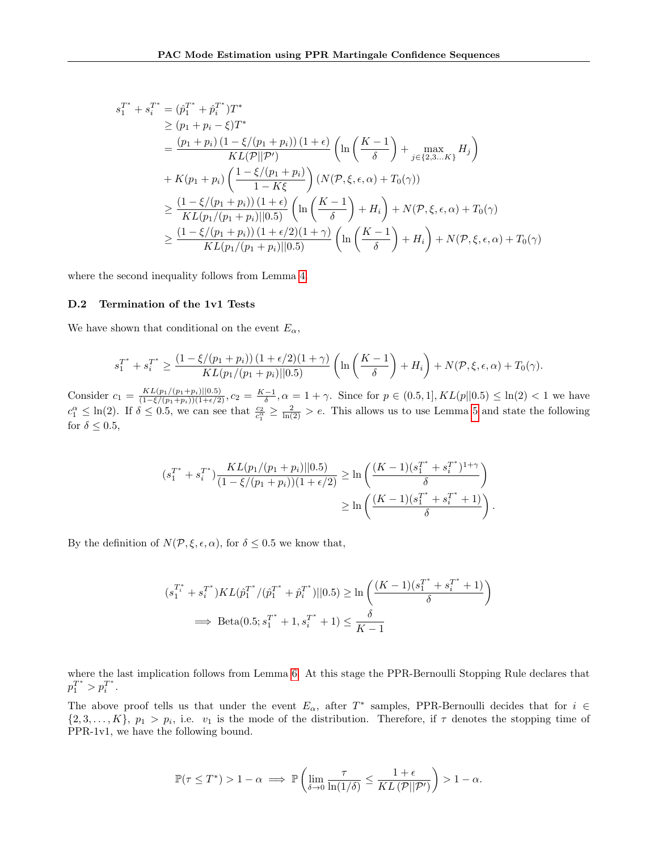$$
s_1^{T^*} + s_i^{T^*} = (\hat{p}_1^{T^*} + \hat{p}_i^{T^*})T^*
$$
  
\n
$$
\ge (p_1 + p_i - \xi)T^*
$$
  
\n
$$
= \frac{(p_1 + p_i)(1 - \xi/(p_1 + p_i)) (1 + \epsilon)}{KL(\mathcal{P}||\mathcal{P}')
$$
  
\n
$$
+ K(p_1 + p_i) \left(\frac{1 - \xi/(p_1 + p_i)}{1 - K\xi}\right) (N(\mathcal{P}, \xi, \epsilon, \alpha) + T_0(\gamma))
$$
  
\n
$$
\ge \frac{(1 - \xi/(p_1 + p_i)) (1 + \epsilon)}{KL(p_1/(p_1 + p_i)) (0.5)} \left(\ln\left(\frac{K - 1}{\delta}\right) + H_i\right) + N(\mathcal{P}, \xi, \epsilon, \alpha) + T_0(\gamma)
$$
  
\n
$$
\ge \frac{(1 - \xi/(p_1 + p_i)) (1 + \epsilon/2)(1 + \gamma)}{KL(p_1/(p_1 + p_i)) (0.5)} \left(\ln\left(\frac{K - 1}{\delta}\right) + H_i\right) + N(\mathcal{P}, \xi, \epsilon, \alpha) + T_0(\gamma)
$$

<span id="page-25-0"></span>where the second inequality follows from Lemma [4.](#page-26-1)

### D.2 Termination of the 1v1 Tests

We have shown that conditional on the event  $E_{\alpha}$ ,

$$
s_1^{T^*} + s_i^{T^*} \ge \frac{(1 - \xi/(p_1 + p_i)) (1 + \epsilon/2)(1 + \gamma)}{KL(p_1/(p_1 + p_i) || 0.5)} \left( \ln \left( \frac{K - 1}{\delta} \right) + H_i \right) + N(\mathcal{P}, \xi, \epsilon, \alpha) + T_0(\gamma).
$$

Consider  $c_1 = \frac{KL(p_1/(p_1+p_i)||0.5)}{(1-\xi/(p_1+p_i))(1+\epsilon/2)}$ ,  $c_2 = \frac{K-1}{\delta}$ ,  $\alpha = 1 + \gamma$ . Since for  $p \in (0.5, 1]$ ,  $KL(p||0.5) \leq \ln(2) < 1$  we have  $c_1^{\alpha} \leq \ln(2)$ . If  $\delta \leq 0.5$ , we can see that  $\frac{c_2}{c_1^{\alpha}} \geq \frac{2}{\ln(2)} > e$ . This allows us to use Lemma [5](#page-26-2) and state the following for  $\delta \leq 0.5$ ,

$$
(s_1^{T^*} + s_i^{T^*}) \frac{KL(p_1/(p_1 + p_i) || 0.5)}{(1 - \xi/(p_1 + p_i))(1 + \epsilon/2)} \ge \ln\left(\frac{(K - 1)(s_1^{T^*} + s_i^{T^*})^{1 + \gamma}}{\delta}\right)
$$
  
 
$$
\ge \ln\left(\frac{(K - 1)(s_1^{T^*} + s_i^{T^*} + 1)}{\delta}\right)
$$

.

By the definition of  $N(\mathcal{P}, \xi, \epsilon, \alpha)$ , for  $\delta \leq 0.5$  we know that,

$$
(s_1^{T_i^*} + s_i^{T^*})KL(\hat{p}_1^{T^*}/(\hat{p}_1^{T^*} + \hat{p}_i^{T^*})||0.5) \ge \ln\left(\frac{(K-1)(s_1^{T^*} + s_i^{T^*} + 1)}{\delta}\right)
$$
  

$$
\implies \text{Beta}(0.5; s_1^{T^*} + 1, s_i^{T^*} + 1) \le \frac{\delta}{K-1}
$$

where the last implication follows from Lemma [6.](#page-26-0) At this stage the PPR-Bernoulli Stopping Rule declares that  $p_1^{T^*} > p_i^{T^*}.$ 

The above proof tells us that under the event  $E_{\alpha}$ , after T<sup>\*</sup> samples, PPR-Bernoulli decides that for  $i \in$  $\{2, 3, \ldots, K\}, p_1 > p_i$ , i.e.  $v_1$  is the mode of the distribution. Therefore, if  $\tau$  denotes the stopping time of PPR-1v1, we have the following bound.

$$
\mathbb{P}(\tau \leq T^*) > 1 - \alpha \implies \mathbb{P}\left(\lim_{\delta \to 0} \frac{\tau}{\ln(1/\delta)} \leq \frac{1+\epsilon}{KL\left(\mathcal{P}||\mathcal{P}'\right)}\right) > 1 - \alpha.
$$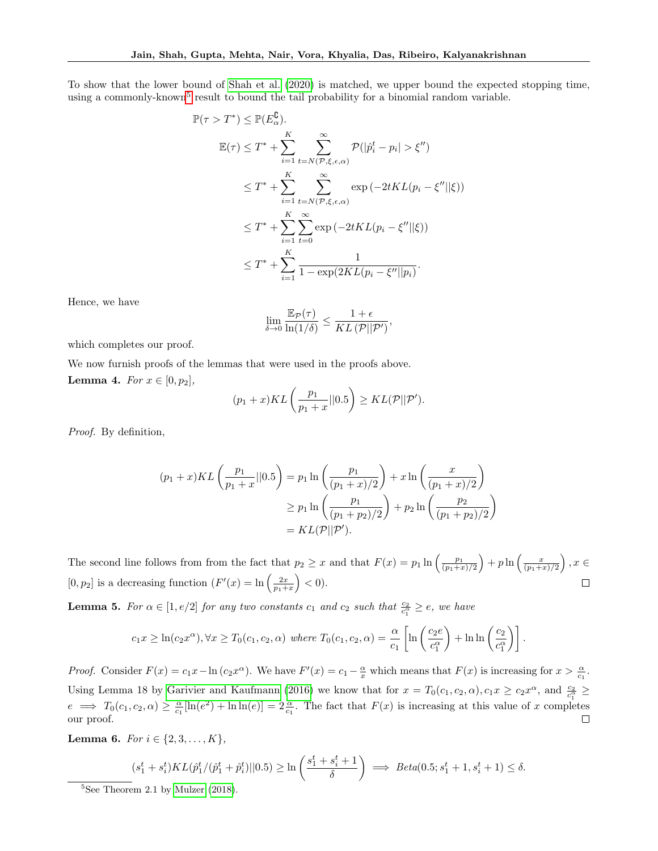To show that the lower bound of [Shah et al. \(2020\)](#page-9-0) is matched, we upper bound the expected stopping time, using a commonly-known<sup>[5](#page-26-3)</sup> result to bound the tail probability for a binomial random variable.

$$
\mathbb{P}(\tau > T^*) \leq \mathbb{P}(E_{\alpha}^{\complement}).
$$
  
\n
$$
\mathbb{E}(\tau) \leq T^* + \sum_{i=1}^K \sum_{t=N(\mathcal{P}, \xi, \epsilon, \alpha)}^{\infty} \mathcal{P}(|\hat{p}_i^t - p_i| > \xi'')
$$
  
\n
$$
\leq T^* + \sum_{i=1}^K \sum_{t=N(\mathcal{P}, \xi, \epsilon, \alpha)}^{\infty} \exp(-2tKL(p_i - \xi' || \xi))
$$
  
\n
$$
\leq T^* + \sum_{i=1}^K \sum_{t=0}^{\infty} \exp(-2tKL(p_i - \xi'' || \xi))
$$
  
\n
$$
\leq T^* + \sum_{i=1}^K \frac{1}{1 - \exp(2KL(p_i - \xi'' || p_i)}.
$$

Hence, we have

$$
\lim_{\delta \to 0} \frac{\mathbb{E}_{\mathcal{P}}(\tau)}{\ln(1/\delta)} \le \frac{1+\epsilon}{KL(\mathcal{P}||\mathcal{P}'),}
$$

which completes our proof.

<span id="page-26-1"></span>We now furnish proofs of the lemmas that were used in the proofs above. **Lemma 4.** For  $x \in [0, p_2]$ ,

$$
(p_1+x)KL\left(\frac{p_1}{p_1+x}||0.5\right) \geq KL(\mathcal{P}||\mathcal{P}').
$$

Proof. By definition,

$$
(p_1 + x)KL\left(\frac{p_1}{p_1 + x}||0.5\right) = p_1 \ln\left(\frac{p_1}{(p_1 + x)/2}\right) + x \ln\left(\frac{x}{(p_1 + x)/2}\right)
$$

$$
\geq p_1 \ln\left(\frac{p_1}{(p_1 + p_2)/2}\right) + p_2 \ln\left(\frac{p_2}{(p_1 + p_2)/2}\right)
$$

$$
= KL(\mathcal{P}||\mathcal{P}').
$$

The second line follows from from the fact that  $p_2 \geq x$  and that  $F(x) = p_1 \ln\left(\frac{p_1}{(p_1+x)/2}\right) + p \ln\left(\frac{x}{(p_1+x)/2}\right)$ ,  $x \in$ [0,  $p_2$ ] is a decreasing function  $(F'(x) = \ln\left(\frac{2x}{p_1+x}\right) < 0$ .  $\Box$ 

<span id="page-26-2"></span>**Lemma 5.** For  $\alpha \in [1, e/2]$  for any two constants  $c_1$  and  $c_2$  such that  $\frac{c_2}{c_1^{\alpha}} \geq e$ , we have

$$
c_1 x \geq \ln(c_2 x^{\alpha}), \forall x \geq T_0(c_1, c_2, \alpha) \text{ where } T_0(c_1, c_2, \alpha) = \frac{\alpha}{c_1} \left[ \ln \left( \frac{c_2 e}{c_1^{\alpha}} \right) + \ln \ln \left( \frac{c_2}{c_1^{\alpha}} \right) \right].
$$

*Proof.* Consider  $F(x) = c_1 x - \ln(c_2 x^{\alpha})$ . We have  $F'(x) = c_1 - \frac{\alpha}{x}$  which means that  $F(x)$  is increasing for  $x > \frac{\alpha}{c_1}$ . Using Lemma 18 by [Garivier and Kaufmann \(2016\)](#page-9-1) we know that for  $x = T_0(c_1, c_2, \alpha), c_1 x \ge c_2 x^{\alpha}$ , and  $\frac{c_2}{c_1^{\alpha}} \ge c_1$  $e \implies T_0(c_1, c_2, \alpha) \ge \frac{\alpha}{c_1}[\ln(e^2) + \ln \ln(e)] = 2\frac{\alpha}{c_1}$ . The fact that  $F(x)$  is increasing at this value of x completes our proof.  $\Box$ 

<span id="page-26-0"></span>Lemma 6. For  $i \in \{2, 3, ..., K\}$ ,

$$
(s_1^t + s_i^t)KL(\hat{p}_1^t / (\hat{p}_1^t + \hat{p}_i^t) || 0.5) \ge \ln\left(\frac{s_1^t + s_i^t + 1}{\delta}\right) \implies Beta(0.5; s_1^t + 1, s_i^t + 1) \le \delta.
$$

<span id="page-26-3"></span> ${}^{5}$ See Theorem 2.1 by [Mulzer](#page-9-19) [\(2018\)](#page-9-19).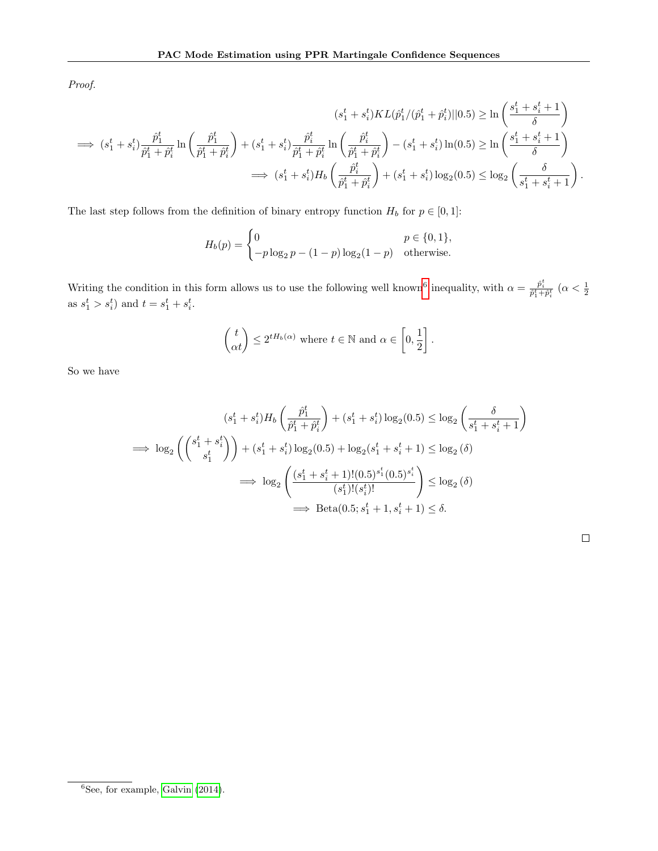Proof.

$$
(s_1^t + s_i^t)KL(\hat{p}_1^t/(\hat{p}_1^t + \hat{p}_i^t)||0.5) \ge \ln\left(\frac{s_1^t + s_i^t + 1}{\delta}\right)
$$
  
\n
$$
\implies (s_1^t + s_i^t)\frac{\hat{p}_1^t}{\hat{p}_1^t + \hat{p}_i^t}\ln\left(\frac{\hat{p}_1^t}{\hat{p}_1^t + \hat{p}_i^t}\right) + (s_1^t + s_i^t)\frac{\hat{p}_i^t}{\hat{p}_1^t + \hat{p}_i^t}\ln\left(\frac{\hat{p}_i^t}{\hat{p}_1^t + \hat{p}_i^t}\right) - (s_1^t + s_i^t)\ln(0.5) \ge \ln\left(\frac{s_1^t + s_i^t + 1}{\delta}\right)
$$
  
\n
$$
\implies (s_1^t + s_i^t)H_b\left(\frac{\hat{p}_i^t}{\hat{p}_1^t + \hat{p}_i^t}\right) + (s_1^t + s_i^t)\log_2(0.5) \le \log_2\left(\frac{\delta}{s_1^t + s_i^t + 1}\right).
$$

The last step follows from the definition of binary entropy function  $H_b$  for  $p \in [0, 1]$ :

$$
H_b(p) = \begin{cases} 0 & p \in \{0, 1\}, \\ -p \log_2 p - (1 - p) \log_2 (1 - p) & \text{otherwise.} \end{cases}
$$

Writing the condition in this form allows us to use the following well known<sup>[6](#page-27-0)</sup> inequality, with  $\alpha = \frac{\hat{p}_i^t}{\hat{p}_1^t + \hat{p}_i^t}$  ( $\alpha < \frac{1}{2}$ ) as  $s_1^t > s_i^t$  and  $t = s_1^t + s_i^t$ .

$$
\begin{pmatrix} t \\ \alpha t \end{pmatrix} \le 2^{tH_b(\alpha)} \text{ where } t \in \mathbb{N} \text{ and } \alpha \in \left[0, \frac{1}{2}\right].
$$

So we have

$$
(s_1^t + s_i^t)H_b\left(\frac{\hat{p}_1^t}{\hat{p}_1^t + \hat{p}_i^t}\right) + (s_1^t + s_i^t)\log_2(0.5) \le \log_2\left(\frac{\delta}{s_1^t + s_i^t + 1}\right)
$$
  
\n
$$
\implies \log_2\left(\binom{s_1^t + s_i^t}{s_1^t}\right) + (s_1^t + s_i^t)\log_2(0.5) + \log_2(s_1^t + s_i^t + 1) \le \log_2(\delta)
$$
  
\n
$$
\implies \log_2\left(\frac{(s_1^t + s_i^t + 1)!(0.5)^{s_1^t}(0.5)^{s_1^t}}{(s_1^t)!(s_i^t)!}\right) \le \log_2(\delta)
$$
  
\n
$$
\implies \text{Beta}(0.5; s_1^t + 1, s_i^t + 1) \le \delta.
$$

<span id="page-27-0"></span> ${}^{6}$ See, for example, [Galvin](#page-9-20) [\(2014\)](#page-9-20).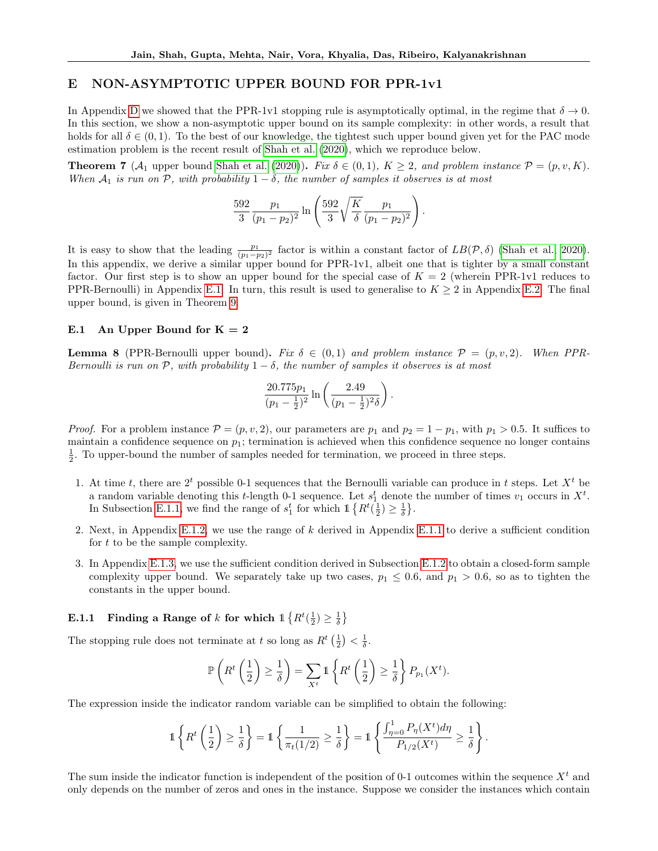### <span id="page-28-0"></span>E NON-ASYMPTOTIC UPPER BOUND FOR PPR-1v1

In Appendix [D](#page-24-0) we showed that the PPR-1v1 stopping rule is asymptotically optimal, in the regime that  $\delta \to 0$ . In this section, we show a non-asymptotic upper bound on its sample complexity: in other words, a result that holds for all  $\delta \in (0,1)$ . To the best of our knowledge, the tightest such upper bound given yet for the PAC mode estimation problem is the recent result of [Shah et al. \(2020\)](#page-9-0), which we reproduce below.

**Theorem 7** ( $\mathcal{A}_1$  upper bound [Shah et al. \(2020\)](#page-9-0)). Fix  $\delta \in (0,1)$ ,  $K \geq 2$ , and problem instance  $\mathcal{P} = (p, v, K)$ . When  $A_1$  is run on P, with probability  $1 - \delta$ , the number of samples it observes is at most

$$
\frac{592}{3} \frac{p_1}{(p_1 - p_2)^2} \ln \left( \frac{592}{3} \sqrt{\frac{K}{\delta}} \frac{p_1}{(p_1 - p_2)^2} \right)
$$

.

It is easy to show that the leading  $\frac{p_1}{(p_1-p_2)^2}$  factor is within a constant factor of  $LB(\mathcal{P},\delta)$  [\(Shah et al., 2020\)](#page-9-0). In this appendix, we derive a similar upper bound for PPR-1v1, albeit one that is tighter by a small constant factor. Our first step is to show an upper bound for the special case of  $K = 2$  (wherein PPR-1v1 reduces to PPR-Bernoulli) in Appendix [E.1.](#page-28-1) In turn, this result is used to generalise to  $K \geq 2$  in Appendix [E.2.](#page-34-0) The final upper bound, is given in Theorem [9.](#page-34-1)

### <span id="page-28-1"></span>E.1 An Upper Bound for  $K = 2$

<span id="page-28-3"></span>**Lemma 8** (PPR-Bernoulli upper bound). Fix  $\delta \in (0,1)$  and problem instance  $\mathcal{P} = (p, v, 2)$ . When PPR-Bernoulli is run on  $\mathcal{P}$ , with probability  $1 - \delta$ , the number of samples it observes is at most

$$
\frac{20.775p_1}{(p_1-\frac{1}{2})^2}\ln\left(\frac{2.49}{(p_1-\frac{1}{2})^2\delta}\right).
$$

*Proof.* For a problem instance  $\mathcal{P} = (p, v, 2)$ , our parameters are  $p_1$  and  $p_2 = 1 - p_1$ , with  $p_1 > 0.5$ . It suffices to maintain a confidence sequence on  $p_1$ ; termination is achieved when this confidence sequence no longer contains  $\frac{1}{2}$ . To upper-bound the number of samples needed for termination, we proceed in three steps.

- 1. At time t, there are  $2<sup>t</sup>$  possible 0-1 sequences that the Bernoulli variable can produce in t steps. Let  $X<sup>t</sup>$  be a random variable denoting this *t*-length 0-1 sequence. Let  $s_1^t$  denote the number of times  $v_1$  occurs in  $X^t$ . In Subsection [E.1.1,](#page-28-2) we find the range of  $s_1^t$  for which  $\mathbb{1}\left\{R^t(\frac{1}{2}) \geq \frac{1}{\delta}\right\}$ .
- 2. Next, in Appendix [E.1.2,](#page-30-0) we use the range of k derived in Appendix [E.1.1](#page-28-2) to derive a sufficient condition for t to be the sample complexity.
- 3. In Appendix [E.1.3,](#page-31-0) we use the sufficient condition derived in Subsection [E.1.2](#page-30-0) to obtain a closed-form sample complexity upper bound. We separately take up two cases,  $p_1 \leq 0.6$ , and  $p_1 > 0.6$ , so as to tighten the constants in the upper bound.

# <span id="page-28-2"></span>**E.1.1** Finding a Range of k for which  $\mathbb{1} \left\{ R^t(\frac{1}{2}) \geq \frac{1}{\delta} \right\}$

The stopping rule does not terminate at t so long as  $R^t\left(\frac{1}{2}\right) < \frac{1}{\delta}$ .

$$
\mathbb{P}\left(R^t\left(\frac{1}{2}\right) \geq \frac{1}{\delta}\right) = \sum_{X^t} \mathbb{1}\left\{R^t\left(\frac{1}{2}\right) \geq \frac{1}{\delta}\right\} P_{p_1}(X^t).
$$

The expression inside the indicator random variable can be simplified to obtain the following:

$$
\mathbb{1}\left\{R^t\left(\frac{1}{2}\right)\geq \frac{1}{\delta}\right\}=\mathbb{1}\left\{\frac{1}{\pi_t(1/2)}\geq \frac{1}{\delta}\right\}=\mathbb{1}\left\{\frac{\int_{\eta=0}^1P_\eta(X^t)d\eta}{P_{1/2}(X^t)}\geq \frac{1}{\delta}\right\}.
$$

The sum inside the indicator function is independent of the position of 0-1 outcomes within the sequence  $X<sup>t</sup>$  and only depends on the number of zeros and ones in the instance. Suppose we consider the instances which contain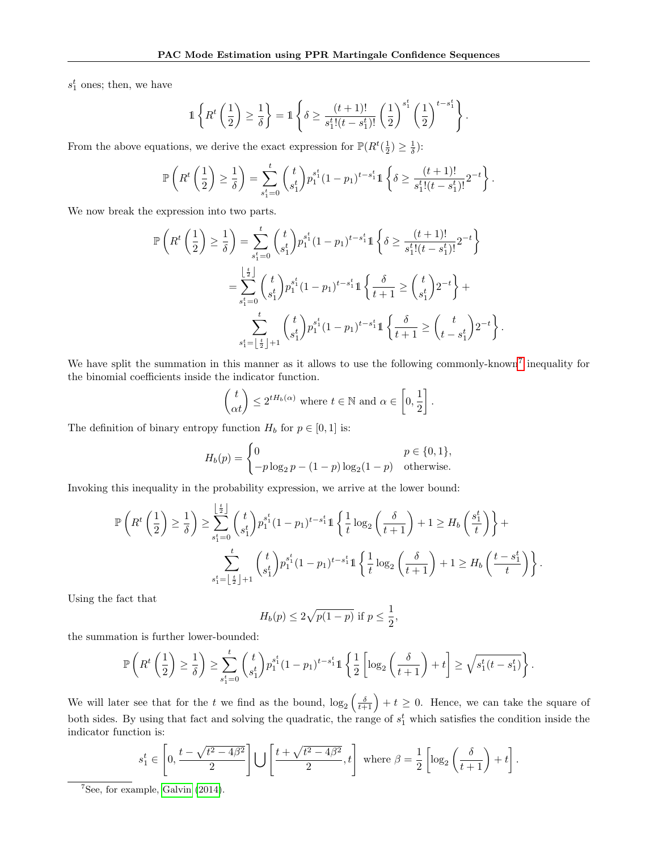$s_1^t$  ones; then, we have

$$
\mathbb{1}\left\{R^t\left(\frac{1}{2}\right)\geq \frac{1}{\delta}\right\}=\mathbb{1}\left\{\delta\geq \frac{(t+1)!}{s_1^t!(t-s_1^t)!}\left(\frac{1}{2}\right)^{s_1^t}\left(\frac{1}{2}\right)^{t-s_1^t}\right\}.
$$

From the above equations, we derive the exact expression for  $\mathbb{P}(R^t(\frac{1}{2}) \geq \frac{1}{\delta})$ :

$$
\mathbb{P}\left(R^t\left(\frac{1}{2}\right) \geq \frac{1}{\delta}\right) = \sum_{s_1^t=0}^t \binom{t}{s_1^t} p_1^{s_1^t} (1-p_1)^{t-s_1^t} 1 \left\{\delta \geq \frac{(t+1)!}{s_1^t!(t-s_1^t)!} 2^{-t}\right\}.
$$

We now break the expression into two parts.

$$
\mathbb{P}\left(R^{t}\left(\frac{1}{2}\right) \geq \frac{1}{\delta}\right) = \sum_{s_{1}^{t}=0}^{t} {t \choose s_{1}^{t}} p_{1}^{s_{1}^{t}} (1-p_{1})^{t-s_{1}^{t}} \mathbb{1} \left\{\delta \geq \frac{(t+1)!}{s_{1}^{t}!(t-s_{1}^{t})!} 2^{-t}\right\}
$$
\n
$$
= \sum_{s_{1}^{t}=0}^{\lfloor \frac{t}{2} \rfloor} {t \choose s_{1}^{t}} p_{1}^{s_{1}^{t}} (1-p_{1})^{t-s_{1}^{t}} \mathbb{1} \left\{\frac{\delta}{t+1} \geq {t \choose s_{1}^{t}} 2^{-t}\right\} + \sum_{s_{1}^{t}=\lfloor \frac{t}{2} \rfloor+1}^{t} {t \choose s_{1}^{t}} p_{1}^{s_{1}^{t}} (1-p_{1})^{t-s_{1}^{t}} \mathbb{1} \left\{\frac{\delta}{t+1} \geq {t \choose t-s_{1}^{t}} 2^{-t}\right\}.
$$

We have split the summation in this manner as it allows to use the following commonly-known<sup>[7](#page-29-0)</sup> inequality for the binomial coefficients inside the indicator function.

$$
\begin{pmatrix} t \\ \alpha t \end{pmatrix} \le 2^{tH_b(\alpha)} \text{ where } t \in \mathbb{N} \text{ and } \alpha \in \left[0, \frac{1}{2}\right].
$$

The definition of binary entropy function  $H_b$  for  $p \in [0, 1]$  is:

$$
H_b(p) = \begin{cases} 0 & p \in \{0, 1\}, \\ -p \log_2 p - (1 - p) \log_2 (1 - p) & \text{otherwise.} \end{cases}
$$

Invoking this inequality in the probability expression, we arrive at the lower bound:

$$
\mathbb{P}\left(R^t\left(\frac{1}{2}\right) \geq \frac{1}{\delta}\right) \geq \sum_{s_1^t=0}^{\left\lfloor \frac{t}{2} \right\rfloor} {t \choose s_1^t} p_1^{s_1^t} (1-p_1)^{t-s_1^t} 1 \left\{ \frac{1}{t} \log_2\left(\frac{\delta}{t+1}\right) + 1 \geq H_b\left(\frac{s_1^t}{t}\right) \right\} + \sum_{s_1^t=\left\lfloor \frac{t}{2} \right\rfloor+1} {t \choose s_1^t} p_1^{s_1^t} (1-p_1)^{t-s_1^t} 1 \left\{ \frac{1}{t} \log_2\left(\frac{\delta}{t+1}\right) + 1 \geq H_b\left(\frac{t-s_1^t}{t}\right) \right\}.
$$

Using the fact that

$$
H_b(p) \le 2\sqrt{p(1-p)} \text{ if } p \le \frac{1}{2},
$$

the summation is further lower-bounded:

$$
\mathbb{P}\left(R^t\left(\frac{1}{2}\right) \geq \frac{1}{\delta}\right) \geq \sum_{s_1^t=0}^t \binom{t}{s_1^t} p_1^{s_1^t} (1-p_1)^{t-s_1^t} \mathbb{1}\left\{\frac{1}{2}\left[\log_2\left(\frac{\delta}{t+1}\right)+t\right] \geq \sqrt{s_1^t(t-s_1^t)}\right\}.
$$

We will later see that for the t we find as the bound,  $\log_2\left(\frac{\delta}{t+1}\right) + t \geq 0$ . Hence, we can take the square of both sides. By using that fact and solving the quadratic, the range of  $s_1^t$  which satisfies the condition inside the indicator function is:

$$
s_1^t \in \left[0, \frac{t - \sqrt{t^2 - 4\beta^2}}{2}\right] \bigcup \left[\frac{t + \sqrt{t^2 - 4\beta^2}}{2}, t\right] \text{ where } \beta = \frac{1}{2} \left[\log_2\left(\frac{\delta}{t+1}\right) + t\right].
$$

<span id="page-29-0"></span><sup>7</sup>See, for example, [Galvin](#page-9-20) [\(2014\)](#page-9-20).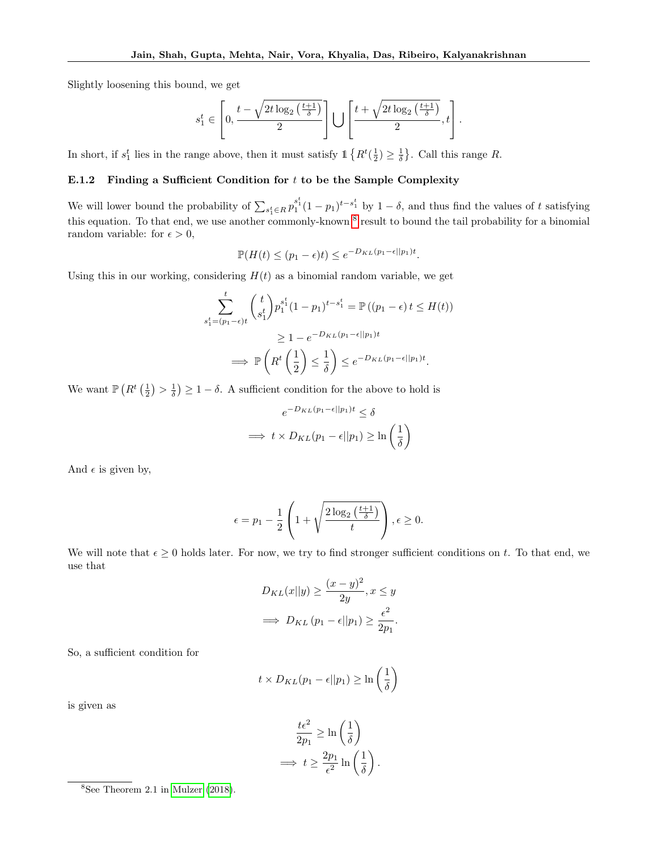Slightly loosening this bound, we get

$$
s_1^t \in \left[0, \frac{t - \sqrt{2t \log_2\left(\frac{t+1}{\delta}\right)}}{2}\right] \bigcup \left[\frac{t + \sqrt{2t \log_2\left(\frac{t+1}{\delta}\right)}}{2}, t\right].
$$

<span id="page-30-0"></span>In short, if  $s_1^t$  lies in the range above, then it must satisfy  $\mathbb{1}\left\{R^t(\frac{1}{2}) \geq \frac{1}{\delta}\right\}$ . Call this range R.

# E.1.2 Finding a Sufficient Condition for  $t$  to be the Sample Complexity

We will lower bound the probability of  $\sum_{s_1^t \in R} p_1^{s_1^t} (1-p_1)^{t-s_1^t}$  by  $1-\delta$ , and thus find the values of t satisfying this equation. To that end, we use another commonly-known <sup>[8](#page-30-1)</sup> result to bound the tail probability for a binomial random variable: for  $\epsilon > 0$ ,

$$
\mathbb{P}(H(t) \le (p_1 - \epsilon)t) \le e^{-D_{KL}(p_1 - \epsilon||p_1)t}.
$$

Using this in our working, considering  $H(t)$  as a binomial random variable, we get

$$
\sum_{s_1^t = (p_1 - \epsilon)t}^t {t \choose s_1^t} p_1^{s_1^t} (1 - p_1)^{t - s_1^t} = \mathbb{P}((p_1 - \epsilon) t \le H(t))
$$
\n
$$
\ge 1 - e^{-D_{KL}(p_1 - \epsilon || p_1)t}
$$
\n
$$
\implies \mathbb{P}\left(R^t \left(\frac{1}{2}\right) \le \frac{1}{\delta}\right) \le e^{-D_{KL}(p_1 - \epsilon || p_1)t}.
$$

We want  $\mathbb{P}\left(R^t\left(\frac{1}{2}\right) > \frac{1}{\delta}\right) \geq 1 - \delta$ . A sufficient condition for the above to hold is

$$
e^{-D_{KL}(p_1-\epsilon||p_1)t} \le \delta
$$
  
\n
$$
\implies t \times D_{KL}(p_1-\epsilon||p_1) \ge \ln\left(\frac{1}{\delta}\right)
$$

And  $\epsilon$  is given by,

$$
\epsilon = p_1 - \frac{1}{2} \left( 1 + \sqrt{\frac{2 \log_2 \left( \frac{t+1}{\delta} \right)}{t}} \right), \epsilon \ge 0.
$$

We will note that  $\epsilon \geq 0$  holds later. For now, we try to find stronger sufficient conditions on t. To that end, we use that

$$
D_{KL}(x||y) \ge \frac{(x-y)^2}{2y}, x \le y
$$
  
\n
$$
\implies D_{KL}(p_1 - \epsilon || p_1) \ge \frac{\epsilon^2}{2p_1}.
$$

So, a sufficient condition for

$$
t \times D_{KL}(p_1 - \epsilon || p_1) \ge \ln\left(\frac{1}{\delta}\right)
$$

is given as

$$
\frac{t\epsilon^2}{2p_1} \ge \ln\left(\frac{1}{\delta}\right)
$$

$$
\implies t \ge \frac{2p_1}{\epsilon^2} \ln\left(\frac{1}{\delta}\right).
$$

<span id="page-30-1"></span> ${}^{8}$ See Theorem 2.1 in [Mulzer](#page-9-19) [\(2018\)](#page-9-19).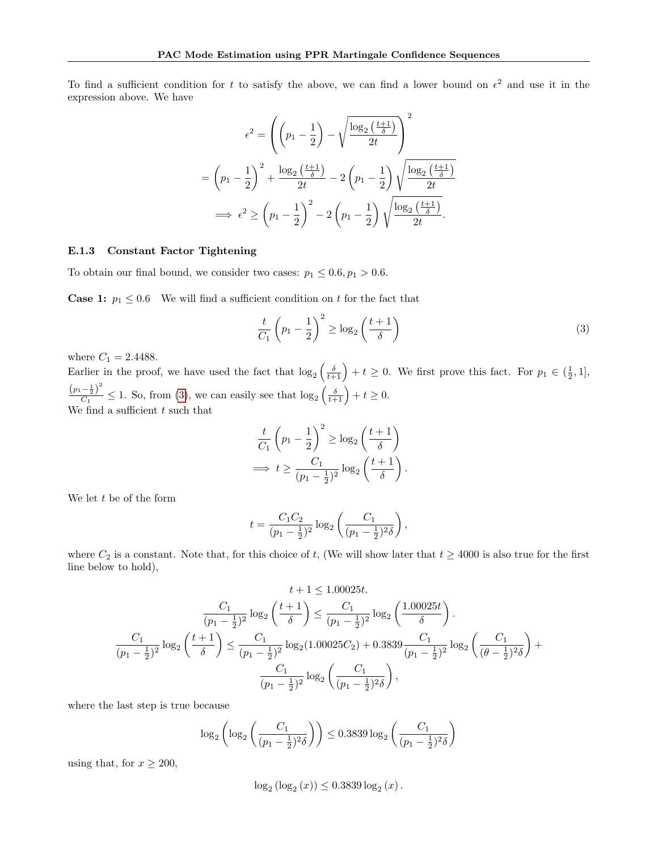To find a sufficient condition for t to satisfy the above, we can find a lower bound on  $\epsilon^2$  and use it in the expression above. We have

$$
\epsilon^2 = \left( \left( p_1 - \frac{1}{2} \right) - \sqrt{\frac{\log_2\left(\frac{t+1}{\delta}\right)}{2t}} \right)^2
$$

$$
= \left( p_1 - \frac{1}{2} \right)^2 + \frac{\log_2\left(\frac{t+1}{\delta}\right)}{2t} - 2\left( p_1 - \frac{1}{2} \right) \sqrt{\frac{\log_2\left(\frac{t+1}{\delta}\right)}{2t}}
$$

$$
\implies \epsilon^2 \ge \left( p_1 - \frac{1}{2} \right)^2 - 2\left( p_1 - \frac{1}{2} \right) \sqrt{\frac{\log_2\left(\frac{t+1}{\delta}\right)}{2t}}.
$$

### <span id="page-31-0"></span>E.1.3 Constant Factor Tightening

To obtain our final bound, we consider two cases:  $p_1 \leq 0.6, p_1 > 0.6$ .

**Case 1:**  $p_1 \leq 0.6$  We will find a sufficient condition on t for the fact that

<span id="page-31-1"></span>
$$
\frac{t}{C_1} \left(p_1 - \frac{1}{2}\right)^2 \ge \log_2\left(\frac{t+1}{\delta}\right) \tag{3}
$$

where  $C_1 = 2.4488.$ 

Earlier in the proof, we have used the fact that  $\log_2\left(\frac{\delta}{t+1}\right) + t \geq 0$ . We first prove this fact. For  $p_1 \in (\frac{1}{2}, 1]$ ,  $(p_1-\frac{1}{2})^2$  $\frac{-\frac{1}{2}}{C_1} \leq 1$ . So, from [\(3\)](#page-31-1), we can easily see that  $\log_2\left(\frac{\delta}{t+1}\right) + t \geq 0$ . We find a sufficient  $t$  such that

$$
\frac{t}{C_1} \left( p_1 - \frac{1}{2} \right)^2 \ge \log_2 \left( \frac{t+1}{\delta} \right)
$$
  
\n
$$
\implies t \ge \frac{C_1}{(p_1 - \frac{1}{2})^2} \log_2 \left( \frac{t+1}{\delta} \right).
$$

We let  $t$  be of the form

$$
t = \frac{C_1 C_2}{(p_1 - \frac{1}{2})^2} \log_2 \left( \frac{C_1}{(p_1 - \frac{1}{2})^2 \delta} \right),
$$

where  $C_2$  is a constant. Note that, for this choice of t, (We will show later that  $t \ge 4000$  is also true for the first line below to hold),

$$
t + 1 \le 1.00025t.
$$

$$
\frac{C_1}{(p_1 - \frac{1}{2})^2} \log_2 \left(\frac{t+1}{\delta}\right) \le \frac{C_1}{(p_1 - \frac{1}{2})^2} \log_2 \left(\frac{1.00025t}{\delta}\right).
$$

$$
\frac{C_1}{(p_1 - \frac{1}{2})^2} \log_2 \left(\frac{t+1}{\delta}\right) \le \frac{C_1}{(p_1 - \frac{1}{2})^2} \log_2 (1.00025C_2) + 0.3839 \frac{C_1}{(p_1 - \frac{1}{2})^2} \log_2 \left(\frac{C_1}{(\theta - \frac{1}{2})^2 \delta}\right) + \frac{C_1}{(p_1 - \frac{1}{2})^2} \log_2 \left(\frac{C_1}{(p_1 - \frac{1}{2})^2 \delta}\right),
$$

where the last step is true because

$$
\log_2\left(\log_2\left(\frac{C_1}{(p_1 - \frac{1}{2})^2 \delta}\right)\right) \le 0.3839 \log_2\left(\frac{C_1}{(p_1 - \frac{1}{2})^2 \delta}\right)
$$

using that, for  $x \ge 200$ ,

$$
\log_2 (\log_2 (x)) \le 0.3839 \log_2 (x).
$$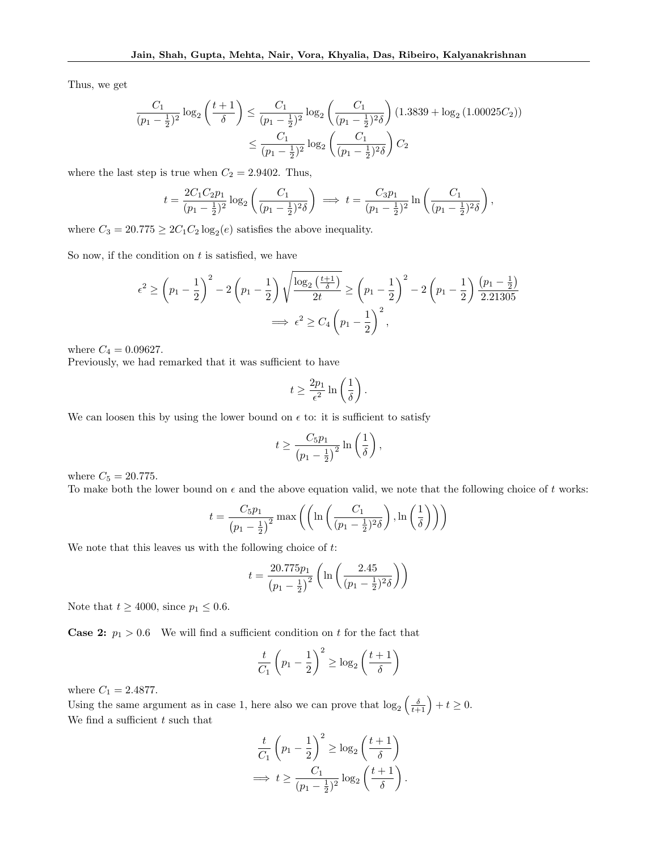Thus, we get

$$
\frac{C_1}{(p_1 - \frac{1}{2})^2} \log_2 \left(\frac{t+1}{\delta}\right) \le \frac{C_1}{(p_1 - \frac{1}{2})^2} \log_2 \left(\frac{C_1}{(p_1 - \frac{1}{2})^2 \delta}\right) (1.3839 + \log_2 (1.00025C_2))
$$

$$
\le \frac{C_1}{(p_1 - \frac{1}{2})^2} \log_2 \left(\frac{C_1}{(p_1 - \frac{1}{2})^2 \delta}\right) C_2
$$

where the last step is true when  $C_2 = 2.9402$ . Thus,

$$
t = \frac{2C_1C_2p_1}{(p_1 - \frac{1}{2})^2} \log_2 \left( \frac{C_1}{(p_1 - \frac{1}{2})^2 \delta} \right) \implies t = \frac{C_3p_1}{(p_1 - \frac{1}{2})^2} \ln \left( \frac{C_1}{(p_1 - \frac{1}{2})^2 \delta} \right),
$$

where  $C_3 = 20.775 \geq 2C_1C_2 \log_2(e)$  satisfies the above inequality.

So now, if the condition on  $t$  is satisfied, we have

$$
\epsilon^{2} \ge \left(p_{1} - \frac{1}{2}\right)^{2} - 2\left(p_{1} - \frac{1}{2}\right)\sqrt{\frac{\log_{2}\left(\frac{t+1}{\delta}\right)}{2t}} \ge \left(p_{1} - \frac{1}{2}\right)^{2} - 2\left(p_{1} - \frac{1}{2}\right)\frac{\left(p_{1} - \frac{1}{2}\right)}{2.21305}
$$

$$
\implies \epsilon^{2} \ge C_{4}\left(p_{1} - \frac{1}{2}\right)^{2},
$$

where  $C_4 = 0.09627$ .

Previously, we had remarked that it was sufficient to have

$$
t \ge \frac{2p_1}{\epsilon^2} \ln\left(\frac{1}{\delta}\right).
$$

We can loosen this by using the lower bound on  $\epsilon$  to: it is sufficient to satisfy

$$
t \geq \frac{C_5 p_1}{\left(p_1 - \frac{1}{2}\right)^2} \ln\left(\frac{1}{\delta}\right),\,
$$

where  $C_5 = 20.775$ .

To make both the lower bound on  $\epsilon$  and the above equation valid, we note that the following choice of t works:

$$
t = \frac{C_5 p_1}{(p_1 - \frac{1}{2})^2} \max \left( \left( \ln \left( \frac{C_1}{(p_1 - \frac{1}{2})^2 \delta} \right), \ln \left( \frac{1}{\delta} \right) \right) \right)
$$

We note that this leaves us with the following choice of  $t$ :

$$
t = \frac{20.775p_1}{(p_1 - \frac{1}{2})^2} \left( \ln \left( \frac{2.45}{(p_1 - \frac{1}{2})^2 \delta} \right) \right)
$$

Note that  $t \ge 4000$ , since  $p_1 \le 0.6$ .

**Case 2:**  $p_1 > 0.6$  We will find a sufficient condition on t for the fact that

$$
\frac{t}{C_1} \left(p_1 - \frac{1}{2}\right)^2 \ge \log_2\left(\frac{t+1}{\delta}\right)
$$

where  $C_1 = 2.4877$ .

Using the same argument as in case 1, here also we can prove that  $\log_2\left(\frac{\delta}{t+1}\right) + t \geq 0$ . We find a sufficient  $t$  such that

$$
\frac{t}{C_1} \left( p_1 - \frac{1}{2} \right)^2 \ge \log_2 \left( \frac{t+1}{\delta} \right)
$$
  
\n
$$
\implies t \ge \frac{C_1}{(p_1 - \frac{1}{2})^2} \log_2 \left( \frac{t+1}{\delta} \right).
$$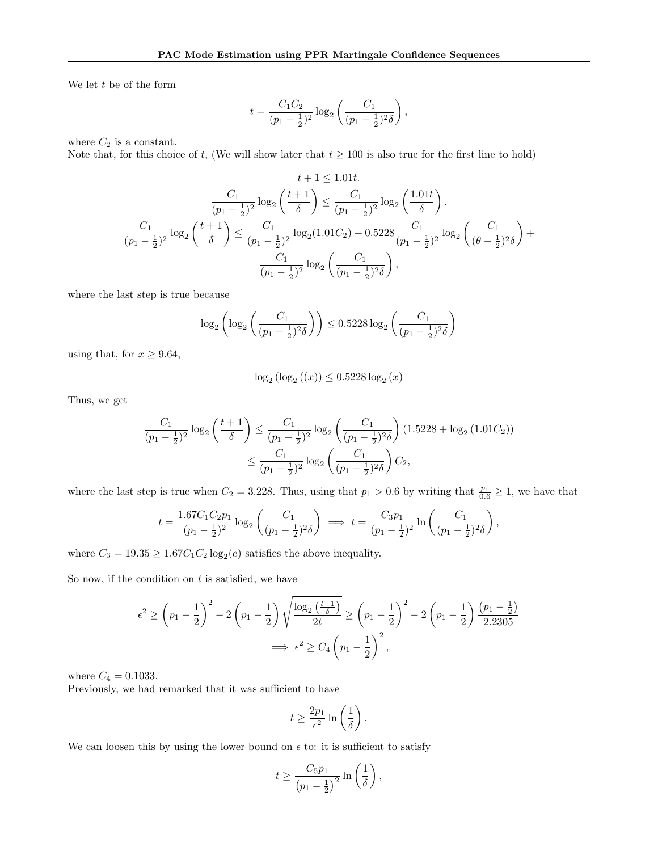We let  $t$  be of the form

$$
t = \frac{C_1 C_2}{(p_1 - \frac{1}{2})^2} \log_2 \left( \frac{C_1}{(p_1 - \frac{1}{2})^2 \delta} \right),
$$

where  $C_2$  is a constant.

Note that, for this choice of t, (We will show later that  $t \ge 100$  is also true for the first line to hold)

$$
t + 1 \le 1.01t.
$$

$$
\frac{C_1}{(p_1 - \frac{1}{2})^2} \log_2 \left(\frac{t+1}{\delta}\right) \le \frac{C_1}{(p_1 - \frac{1}{2})^2} \log_2 \left(\frac{1.01t}{\delta}\right).
$$

$$
\frac{C_1}{(p_1 - \frac{1}{2})^2} \log_2 \left(\frac{t+1}{\delta}\right) \le \frac{C_1}{(p_1 - \frac{1}{2})^2} \log_2 (1.01C_2) + 0.5228 \frac{C_1}{(p_1 - \frac{1}{2})^2} \log_2 \left(\frac{C_1}{(\theta - \frac{1}{2})^2 \delta}\right) + \frac{C_1}{(\rho_1 - \frac{1}{2})^2} \log_2 \left(\frac{C_1}{(\rho_1 - \frac{1}{2})^2 \delta}\right),
$$

where the last step is true because

$$
\log_2\left(\log_2\left(\frac{C_1}{(p_1 - \frac{1}{2})^2 \delta}\right)\right) \le 0.5228 \log_2\left(\frac{C_1}{(p_1 - \frac{1}{2})^2 \delta}\right)
$$

using that, for  $x \geq 9.64$ ,

$$
\log_2\left(\log_2\left(\left(x\right)\right) \le 0.5228\log_2\left(x\right)\right)
$$

Thus, we get

$$
\frac{C_1}{(p_1 - \frac{1}{2})^2} \log_2 \left(\frac{t+1}{\delta}\right) \le \frac{C_1}{(p_1 - \frac{1}{2})^2} \log_2 \left(\frac{C_1}{(p_1 - \frac{1}{2})^2 \delta}\right) (1.5228 + \log_2(1.01C_2))
$$

$$
\le \frac{C_1}{(p_1 - \frac{1}{2})^2} \log_2 \left(\frac{C_1}{(p_1 - \frac{1}{2})^2 \delta}\right) C_2,
$$

where the last step is true when  $C_2 = 3.228$ . Thus, using that  $p_1 > 0.6$  by writing that  $\frac{p_1}{0.6} \ge 1$ , we have that

$$
t = \frac{1.67C_1C_2p_1}{(p_1 - \frac{1}{2})^2} \log_2\left(\frac{C_1}{(p_1 - \frac{1}{2})^2 \delta}\right) \implies t = \frac{C_3p_1}{(p_1 - \frac{1}{2})^2} \ln\left(\frac{C_1}{(p_1 - \frac{1}{2})^2 \delta}\right),
$$

where  $C_3 = 19.35 \ge 1.67 C_1 C_2 \log_2(e)$  satisfies the above inequality.

So now, if the condition on  $t$  is satisfied, we have

$$
\epsilon^{2} \ge \left(p_{1} - \frac{1}{2}\right)^{2} - 2\left(p_{1} - \frac{1}{2}\right)\sqrt{\frac{\log_{2}\left(\frac{t+1}{\delta}\right)}{2t}} \ge \left(p_{1} - \frac{1}{2}\right)^{2} - 2\left(p_{1} - \frac{1}{2}\right)\frac{\left(p_{1} - \frac{1}{2}\right)}{2.2305}
$$

$$
\implies \epsilon^{2} \ge C_{4}\left(p_{1} - \frac{1}{2}\right)^{2},
$$

where  $C_4 = 0.1033$ .

Previously, we had remarked that it was sufficient to have

$$
t \ge \frac{2p_1}{\epsilon^2} \ln\left(\frac{1}{\delta}\right).
$$

We can loosen this by using the lower bound on  $\epsilon$  to: it is sufficient to satisfy

$$
t \ge \frac{C_5 p_1}{\left(p_1 - \frac{1}{2}\right)^2} \ln\left(\frac{1}{\delta}\right),\,
$$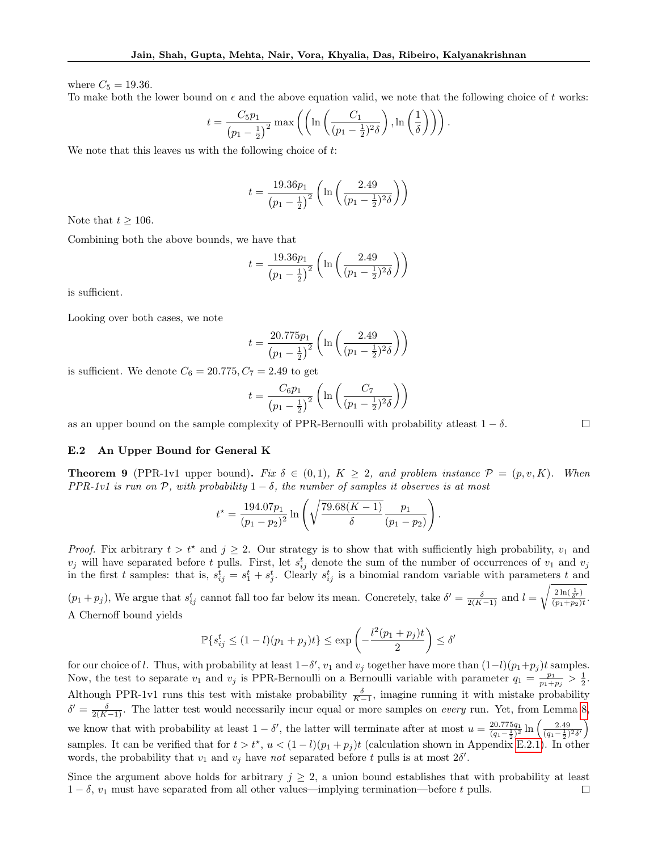where  $C_5 = 19.36$ .

To make both the lower bound on  $\epsilon$  and the above equation valid, we note that the following choice of t works:

$$
t = \frac{C_5 p_1}{(p_1 - \frac{1}{2})^2} \max \left( \left( \ln \left( \frac{C_1}{(p_1 - \frac{1}{2})^2 \delta} \right), \ln \left( \frac{1}{\delta} \right) \right) \right).
$$

We note that this leaves us with the following choice of  $t$ :

$$
t = \frac{19.36p_1}{(p_1 - \frac{1}{2})^2} \left( \ln \left( \frac{2.49}{(p_1 - \frac{1}{2})^2 \delta} \right) \right)
$$

Note that  $t \geq 106$ .

Combining both the above bounds, we have that

$$
t = \frac{19.36p_1}{(p_1 - \frac{1}{2})^2} \left( \ln \left( \frac{2.49}{(p_1 - \frac{1}{2})^2 \delta} \right) \right)
$$

is sufficient.

Looking over both cases, we note

$$
t = \frac{20.775p_1}{(p_1 - \frac{1}{2})^2} \left( \ln \left( \frac{2.49}{(p_1 - \frac{1}{2})^2 \delta} \right) \right)
$$

is sufficient. We denote  $C_6 = 20.775, C_7 = 2.49$  to get

$$
t = \frac{C_6 p_1}{(p_1 - \frac{1}{2})^2} \left( \ln \left( \frac{C_7}{(p_1 - \frac{1}{2})^2 \delta} \right) \right)
$$

as an upper bound on the sample complexity of PPR-Bernoulli with probability at least  $1 - \delta$ .

#### <span id="page-34-0"></span>E.2 An Upper Bound for General K

<span id="page-34-1"></span>**Theorem 9** (PPR-1v1 upper bound). Fix  $\delta \in (0,1)$ ,  $K \geq 2$ , and problem instance  $\mathcal{P} = (p, v, K)$ . When PPR-1v1 is run on P, with probability  $1 - \delta$ , the number of samples it observes is at most

$$
t^* = \frac{194.07p_1}{(p_1 - p_2)^2} \ln\left(\sqrt{\frac{79.68(K-1)}{\delta}} \frac{p_1}{(p_1 - p_2)}\right)
$$

.

 $\Box$ 

*Proof.* Fix arbitrary  $t > t^*$  and  $j \geq 2$ . Our strategy is to show that with sufficiently high probability,  $v_1$  and  $v_j$  will have separated before t pulls. First, let  $s_{ij}^t$  denote the sum of the number of occurrences of  $v_1$  and  $v_j$ in the first t samples: that is,  $s_{ij}^t = s_1^t + s_j^t$ . Clearly  $s_{ij}^t$  is a binomial random variable with parameters t and

 $(p_1+p_j)$ , We argue that  $s_{ij}^t$  cannot fall too far below its mean. Concretely, take  $\delta'=\frac{\delta}{2(K-1)}$  and  $l=$  $\sqrt{\frac{2\ln(\frac{1}{\delta'})}{(p_1+p_2)t}}$ . A Chernoff bound yields

$$
\mathbb{P}\{s_{ij}^t \le (1-l)(p_1+p_j)t\} \le \exp\left(-\frac{l^2(p_1+p_j)t}{2}\right) \le \delta'
$$

for our choice of l. Thus, with probability at least  $1-\delta'$ ,  $v_1$  and  $v_j$  together have more than  $(1-l)(p_1+p_j)t$  samples. Now, the test to separate  $v_1$  and  $v_j$  is PPR-Bernoulli on a Bernoulli variable with parameter  $q_1 = \frac{p_1}{p_1 + p_j} > \frac{1}{2}$ . Although PPR-1v1 runs this test with mistake probability  $\frac{\delta}{K-1}$ , imagine running it with mistake probability  $\delta' = \frac{\delta}{2(K-1)}$ . The latter test would necessarily incur equal or more samples on *every* run. Yet, from Lemma [8,](#page-28-3) we know that with probability at least  $1 - \delta'$ , the latter will terminate after at most  $u = \frac{20.775q_1}{(q_1 - \frac{1}{2})^2} \ln \left( \frac{2.49}{(q_1 - \frac{1}{2})^2 \delta'} \right)$ samples. It can be verified that for  $t > t^*$ ,  $u < (1 - l)(p_1 + p_j)t$  (calculation shown in Appendix [E.2.1\)](#page-34-2). In other words, the probability that  $v_1$  and  $v_j$  have not separated before t pulls is at most  $2\delta'$ .

<span id="page-34-2"></span>Since the argument above holds for arbitrary  $j \geq 2$ , a union bound establishes that with probability at least  $1 - \delta$ ,  $v_1$  must have separated from all other values—implying termination—before t pulls.  $\Box$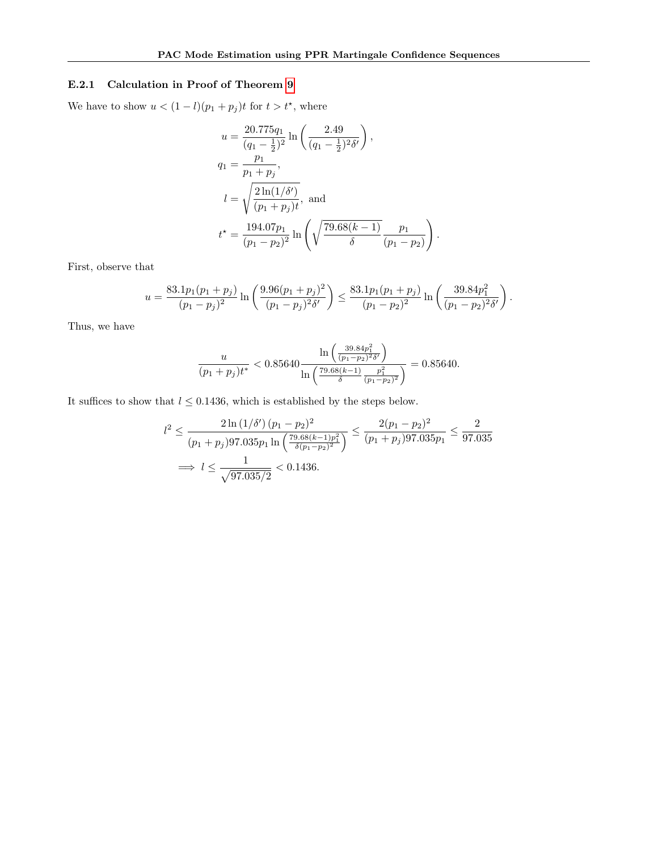## E.2.1 Calculation in Proof of Theorem [9](#page-34-1)

We have to show  $u < (1 - l)(p_1 + p_j)t$  for  $t > t^*$ , where

$$
u = \frac{20.775q_1}{(q_1 - \frac{1}{2})^2} \ln\left(\frac{2.49}{(q_1 - \frac{1}{2})^2 \delta'}\right),
$$
  
\n
$$
q_1 = \frac{p_1}{p_1 + p_j},
$$
  
\n
$$
l = \sqrt{\frac{2\ln(1/\delta')}{(p_1 + p_j)t}}, \text{ and}
$$
  
\n
$$
t^* = \frac{194.07p_1}{(p_1 - p_2)^2} \ln\left(\sqrt{\frac{79.68(k - 1)}{\delta}} \frac{p_1}{(p_1 - p_2)}\right)
$$

First, observe that

$$
u = \frac{83.1p_1(p_1 + p_j)}{(p_1 - p_j)^2} \ln\left(\frac{9.96(p_1 + p_j)^2}{(p_1 - p_j)^2 \delta'}\right) \le \frac{83.1p_1(p_1 + p_j)}{(p_1 - p_2)^2} \ln\left(\frac{39.84p_1^2}{(p_1 - p_2)^2 \delta'}\right).
$$

.

Thus, we have

$$
\frac{u}{(p_1+p_j)t^*} < 0.85640 \frac{\ln\left(\frac{39.84p_1^2}{(p_1-p_2)^2\delta'}\right)}{\ln\left(\frac{79.68(k-1)}{\delta}\frac{p_1^2}{(p_1-p_2)^2}\right)} = 0.85640.
$$

It suffices to show that  $l\leq 0.1436,$  which is established by the steps below.

$$
l^{2} \leq \frac{2 \ln(1/\delta') (p_{1} - p_{2})^{2}}{(p_{1} + p_{j}) 97.035 p_{1} \ln\left(\frac{79.68(k-1)p_{1}^{2}}{\delta(p_{1} - p_{2})^{2}}\right)} \leq \frac{2(p_{1} - p_{2})^{2}}{(p_{1} + p_{j}) 97.035 p_{1}} \leq \frac{2}{97.035}
$$
  

$$
\implies l \leq \frac{1}{\sqrt{97.035/2}} < 0.1436.
$$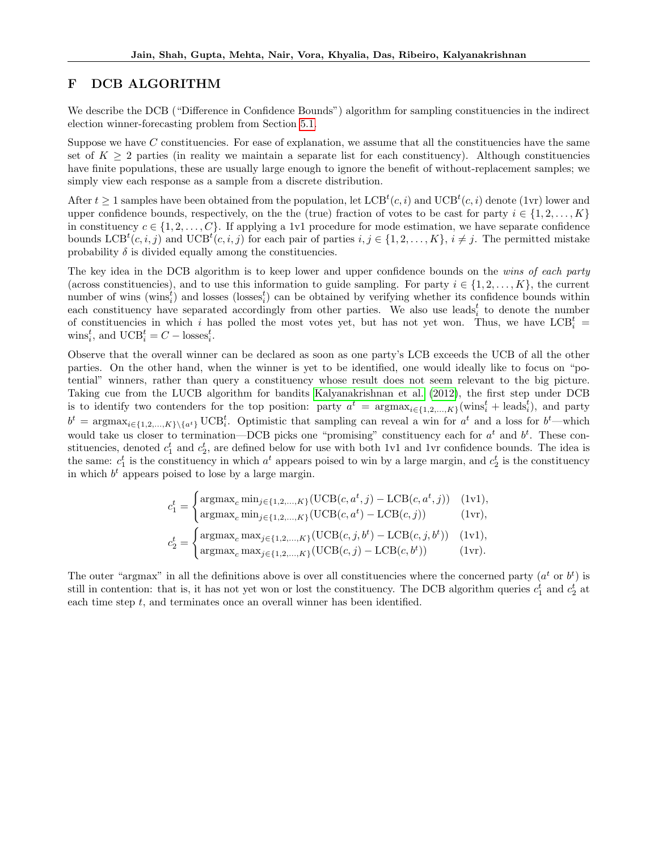# <span id="page-36-0"></span>F DCB ALGORITHM

We describe the DCB ("Difference in Confidence Bounds") algorithm for sampling constituencies in the indirect election winner-forecasting problem from Section [5.1.](#page-6-2)

Suppose we have C constituencies. For ease of explanation, we assume that all the constituencies have the same set of  $K \geq 2$  parties (in reality we maintain a separate list for each constituency). Although constituencies have finite populations, these are usually large enough to ignore the benefit of without-replacement samples; we simply view each response as a sample from a discrete distribution.

After  $t \geq 1$  samples have been obtained from the population, let  $LCB^{t}(c, i)$  and  $UCB^{t}(c, i)$  denote (1vr) lower and upper confidence bounds, respectively, on the the (true) fraction of votes to be cast for party  $i \in \{1, 2, \ldots, K\}$ in constituency  $c \in \{1, 2, \ldots, C\}$ . If applying a 1v1 procedure for mode estimation, we have separate confidence bounds  $\text{LCB}^{t}(c, i, j)$  and  $\text{UCB}^{t}(c, i, j)$  for each pair of parties  $i, j \in \{1, 2, ..., K\}, i \neq j$ . The permitted mistake probability  $\delta$  is divided equally among the constituencies.

The key idea in the DCB algorithm is to keep lower and upper confidence bounds on the wins of each party (across constituencies), and to use this information to guide sampling. For party  $i \in \{1, 2, ..., K\}$ , the current number of wins (wins<sup>t</sup><sub>i</sub>) and losses (losses<sup>t</sup><sub>i</sub>) can be obtained by verifying whether its confidence bounds within each constituency have separated accordingly from other parties. We also use leads<sup>t</sup> to denote the number of constituencies in which i has polled the most votes yet, but has not yet won. Thus, we have  $LCB_i^t =$ wins<sup>t</sup><sub>i</sub>, and  $\mathrm{UCB}_{i}^{t} = C - \mathrm{losses}_{i}^{t}$ .

Observe that the overall winner can be declared as soon as one party's LCB exceeds the UCB of all the other parties. On the other hand, when the winner is yet to be identified, one would ideally like to focus on "potential" winners, rather than query a constituency whose result does not seem relevant to the big picture. Taking cue from the LUCB algorithm for bandits [Kalyanakrishnan et al. \(2012\)](#page-9-6), the first step under DCB is to identify two contenders for the top position: party  $a^t = \arg \max_{i \in \{1,2,\ldots,K\}} (\text{wins}_i^t + \text{leads}_i^t)$ , and party  $b^t = \operatorname{argmax}_{i \in \{1, 2, ..., K\} \setminus \{a^t\}} \text{UCB}_i^t$ . Optimistic that sampling can reveal a win for  $a^t$  and a loss for  $b^t$ —which would take us closer to termination—DCB picks one "promising" constituency each for  $a^t$  and  $b^t$ . These constituencies, denoted  $c_1^t$  and  $c_2^t$ , are defined below for use with both 1v1 and 1vr confidence bounds. The idea is the same:  $c_1^t$  is the constituency in which  $a^t$  appears poised to win by a large margin, and  $c_2^t$  is the constituency in which  $b<sup>t</sup>$  appears poised to lose by a large margin.

$$
c_1^t = \begin{cases} \operatorname{argmax}_c \min_{j \in \{1, 2, ..., K\}} (\mathrm{UCB}(c, a^t, j) - \mathrm{LCB}(c, a^t, j)) & (\text{1v1}), \\ \operatorname{argmax}_c \min_{j \in \{1, 2, ..., K\}} (\mathrm{UCB}(c, a^t) - \mathrm{LCB}(c, j)) & (\text{1vr}), \\ c_2^t = \begin{cases} \operatorname{argmax}_c \max_{j \in \{1, 2, ..., K\}} (\mathrm{UCB}(c, j, b^t) - \mathrm{LCB}(c, j, b^t)) & (\text{1v1}), \\ \operatorname{argmax}_c \max_{j \in \{1, 2, ..., K\}} (\mathrm{UCB}(c, j) - \mathrm{LCB}(c, b^t)) & (\text{1vr}). \end{cases}
$$

The outer "argmax" in all the definitions above is over all constituencies where the concerned party  $(a^t$  or  $b^t)$  is still in contention: that is, it has not yet won or lost the constituency. The DCB algorithm queries  $c_1^t$  and  $c_2^t$  at each time step t, and terminates once an overall winner has been identified.